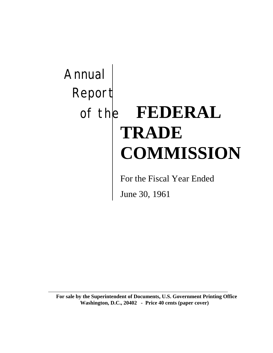# Annual Report of the **FEDERAL TRADE COMMISSION**

For the Fiscal Year Ended

June 30, 1961

**For sale by the Superintendent of Documents, U.S. Government Printing Office Washington, D.C., 20402 - Price 40 cents (paper cover)**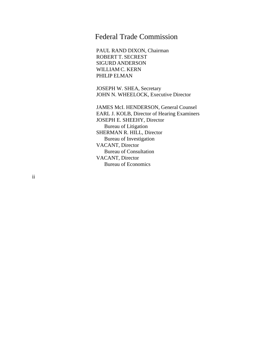## Federal Trade Commission

PAUL RAND DIXON, Chairman ROBERT T. SECREST SIGURD ANDERSON WILLIAM C. KERN PHILIP ELMAN

JOSEPH W. SHEA, Secretary JOHN N. WHEELOCK, Executive Director

JAMES McI. HENDERSON, General Counsel EARL J. KOLB, Director of Hearing Examiners JOSEPH E. SHEEHY, Director Bureau of Litigation SHERMAN R. HILL, Director Bureau of Investigation VACANT, Director Bureau of Consultation VACANT, Director Bureau of Economics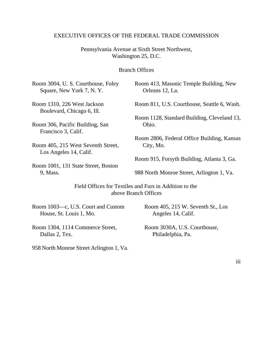### EXECUTIVE OFFICES OF THE FEDERAL TRADE COMMISSION

Pennsylvania Avenue at Sixth Street Northwest, Washington 25, D.C.

#### Branch Offices

| Room 3004, U.S. Courthouse, Foley<br>Square, New York 7, N.Y. | Room 413, Masonic Temple Building, New<br>Orleans 12, La.                      |
|---------------------------------------------------------------|--------------------------------------------------------------------------------|
| Room 1310, 226 West Jackson<br>Boulevard, Chicago 6, Ill.     | Room 811, U.S. Courthouse, Seattle 6, Wash.                                    |
| Room 306, Pacific Building, San<br>Francisco 3, Calif.        | Room 1128, Standard Building, Cleveland 13,<br>Ohio.                           |
|                                                               | Room 2806, Federal Office Building, Kansas                                     |
| Room 405, 215 West Seventh Street,<br>Los Angeles 14, Calif.  | City, Mo.                                                                      |
|                                                               | Room 915, Forsyth Building, Atlanta 3, Ga.                                     |
| Room 1001, 131 State Street, Boston                           |                                                                                |
| 9, Mass.                                                      | 988 North Monroe Street, Arlington 1, Va.                                      |
|                                                               | Field Offices for Textiles and Furs in Addition to the<br>above Branch Offices |
| Room 1003—c, U.S. Court and Custom<br>House, St. Louis 1, Mo. | Room 405, 215 W. Seventh St., Los<br>Angeles 14, Calif.                        |
|                                                               |                                                                                |

Room 1304, 1114 Commerce Street, Dallas 2, Tex.

Room 3030A, U.S. Courthouse, Philadelphia, Pa.

958 North Monroe Street Arlington 1, Va.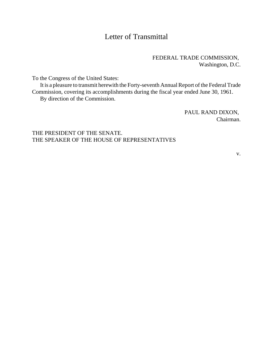## Letter of Transmittal

#### FEDERAL TRADE COMMISSION, Washington, D.C.

To the Congress of the United States:

It is a pleasure to transmit herewith the Forty-seventh Annual Report of the Federal Trade Commission, covering its accomplishments during the fiscal year ended June 30, 1961. By direction of the Commission.

> PAUL RAND DIXON, Chairman.

#### THE PRESIDENT OF THE SENATE. THE SPEAKER OF THE HOUSE OF REPRESENTATIVES

v.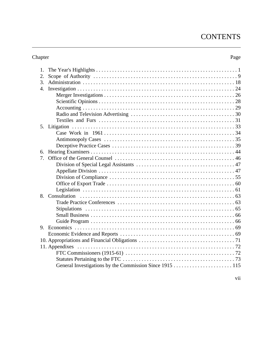#### Chapter Page

| $\mathbf{1}$ . |  |
|----------------|--|
| 2.             |  |
| 3.             |  |
| 4.             |  |
|                |  |
|                |  |
|                |  |
|                |  |
|                |  |
|                |  |
|                |  |
|                |  |
|                |  |
| 6.             |  |
| 7.             |  |
|                |  |
|                |  |
|                |  |
|                |  |
|                |  |
| 8.             |  |
|                |  |
|                |  |
|                |  |
|                |  |
| 9.             |  |
|                |  |
|                |  |
|                |  |
|                |  |
|                |  |
|                |  |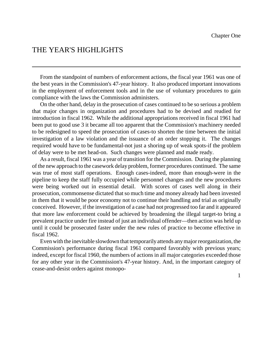## THE YEAR'S HIGHLIGHTS

From the standpoint of numbers of enforcement actions, the fiscal year 1961 was one of the best years in the Commission's 47-year history. It also produced important innovations in the employment of enforcement tools and in the use of voluntary procedures to gain compliance with the laws the Commission administers.

On the other hand, delay in the prosecution of cases continued to be so serious a problem that major changes in organization and procedures had to be devised and readied for introduction in fiscal 1962. While the additional appropriations received in fiscal 1961 had been put to good use 3 it became all too apparent that the Commission's machinery needed to be redesigned to speed the prosecution of cases-to shorten the time between the initial investigation of a law violation and the issuance of an order stopping it. The changes required would have to be fundamental-not just a shoring up of weak spots-if the problem of delay were to be met head-on. Such changes were planned and made ready.

As a result, fiscal 1961 was a year of transition for the Commission. During the planning of the new approach to the casework delay problem, former procedures continued. The same was true of most staff operations. Enough cases-indeed, more than enough-were in the pipeline to keep the staff fully occupied while personnel changes and the new procedures were being worked out in essential detail. With scores of cases well along in their prosecution, commonsense dictated that so much time and money already had been invested in them that it would be poor economy not to continue their handling and trial as originally conceived. However, if the investigation of a case had not progressed too far and it appeared that more law enforcement could be achieved by broadening the illegal target-to bring a prevalent practice under fire instead of just an individual offender—then action was held up until it could be prosecuted faster under the new rules of practice to become effective in fiscal 1962.

Even with the inevitable slowdown that temporarilyattends anymajorreorganization, the Commission's performance during fiscal 1961 compared favorably with previous years; indeed, except for fiscal 1960, the numbers of actions in all major categories exceeded those for any other year in the Commission's 47-year history. And, in the important category of cease-and-desist orders against monopo-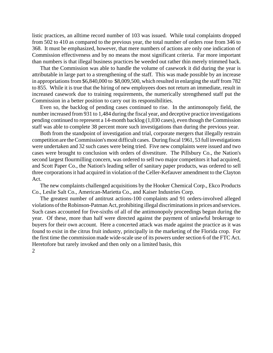listic practices, an alltime record number of 103 was issued. While total complaints dropped from 502 to 410 as compared to the previous year, the total number of orders rose from 346 to 368. It must be emphasized, however, that mere numbers of actions are only one indication of Commission effectiveness and by no means the most significant criteria. Far more important than numbers is that illegal business practices be weeded out rather thin merely trimmed back.

That the Commission was able to handle the volume of casework it did during the year is attributable in large part to a strengthening of the staff. This was made possible by an increase in appropriations from \$6,840,000 to \$8,009,500, which resulted in enlarging the staff from 782 to 855. While it is true that the hiring of new employees does not return an immediate, result in increased casework due to training requirements, the numerically strengthened staff put the Commission in a better position to carry out its responsibilities.

Even so, the backlog of pending cases continued to rise. In the antimonopoly field, the number increased from 931 to 1,484 during the fiscal year, and deceptive practice investigations pending continued to represent a 14-month backlog (1,030 cases), even though the Commission staff was able to complete 38 percent more such investigations than during the previous year.

Both from the standpoint of investigation and trial, corporate mergers that illegally restrain competition are the Commission's most difficult cases. During fiscal 1961, 53 full investigations were undertaken and 32 such cases were being tried. Five new complaints were issued and two cases were brought to conclusion with orders of divestiture. The Pillsbury Co., the Nation's second largest flourmilling concern, was ordered to sell two major competitors it had acquired, and Scott Paper Co., the Nation's leading seller of sanitary paper products, was ordered to sell three corporations it had acquired in violation of the Celler-Kefauver amendment to the Clayton Act.

The new complaints challenged acquisitions by the Hooker Chemical Corp., Ekco Products Co., Leslie Salt Co., American-Marietta Co., and Kaiser Industries Corp.

The greatest number of antitrust actions-100 complaints and 91 orders-involved alleged violations of the Robinson-Patman Act, prohibiting illegal discriminations in prices and services. Such cases accounted for five-sixths of all of the antimonopoly proceedings begun during the year. Of these, more than half were directed against the payment of unlawful brokerage to buyers for their own account. Here a concerted attack was made against the practice as it was found to exist in the citrus fruit industry, principally in the marketing of the Florida crop. For the first time the commission made wide-scale use of its powers under section 6 of the FTC Act. Heretofore but rarely invoked and then only on a limited basis, this

2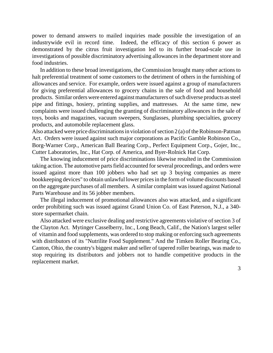power to demand answers to mailed inquiries made possible the investigation of an industrywide evil in record time. Indeed, the efficacy of this section 6 power as demonstrated by the citrus fruit investigation led to its further broad-scale use in investigations of possible discriminatory advertising allowances in the department store and food industries.

In addition to these broad investigations, the Commission brought many other actions to halt preferential treatment of some customers to the detriment of others in the furnishing of allowances and service. For example, orders were issued against a group of manufacturers for giving preferential allowances to grocery chains in the sale of food and household products. Similar orders were entered against manufacturers of such diverse products as steel pipe and fittings, hosiery, printing supplies, and mattresses. At the same time, new complaints were issued challenging the granting of discriminatory allowances in the sale of toys, books and magazines, vacuum sweepers, Sunglasses, plumbing specialties, grocery products, and automobile replacement glass.

Also attacked were price discriminations in violation of section  $2(a)$  of the Robinson-Patman Act. Orders were issued against such major corporations as Pacific Gamble Robinson Co., Borg-Warner Corp., American Ball Bearing Corp., Perfect Equipment Corp., Gojer, Inc., Cutter Laboratories, Inc., Hat Corp. of America, and Byer-Rolnick Hat Corp.

The knowing inducement of price discriminations likewise resulted in the Commission taking action. The automotive parts field accounted for several proceedings, and orders were issued against more than 100 jobbers who had set up 3 buying companies as mere bookkeeping devices" to obtain unlawful lower prices in the form of volume discounts based on the aggregate purchases of all members. A similar complaint was issued against National Parts Warehouse and its 56 jobber members.

The illegal inducement of promotional allowances also was attacked, and a significant order prohibiting such was issued against Grand Union Co. of East Paterson, N.J., a 340 store supermarket chain.

Also attacked were exclusive dealing and restrictive agreements violative of section 3 of the Clayton Act. Mytinger Casselberry, Inc., Long Beach, Calif., the Nation's largest seller of vitamin and food supplements, was ordered to stop making or enforcing such agreements with distributors of its "Nutrilite Food Supplement." And the Timken Roller Bearing Co., Canton, Ohio, the country's biggest maker and seller of tapered roller bearings, was made to stop requiring its distributors and jobbers not to handle competitive products in the replacement market.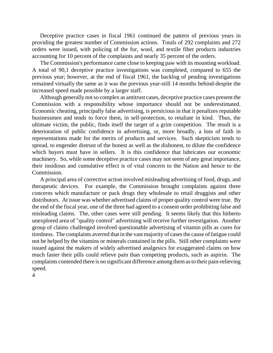Deceptive practice cases in fiscal 1961 continued the pattern of previous years in providing the greatest number of Commission actions. Totals of 292 complaints and 272 orders were issued, with policing of the fur, wool, and textile fiber products industries accounting for 10 percent of the complaints and nearly 35 percent of the orders.

The Commission's performance came close to keeping paw with its mounting workload. A total of 90,1 deceptive practice investigations was completed, compared to 655 the previous year; however, at the end of fiscal 1961, the backlog of pending investigations remained virtually the same as it was the previous year-still 14 months behind-despite the increased speed made possible by a larger staff.

Although generally not so complex as antitrust cases, deceptive practice cases present the Commission with a responsibility whose importance should not be underestimated. Economic cheating, principally false advertising, is pernicious in that it penalizes reputable businessmen and tends to force them, in self-protection, to retaliate in kind. Thus, the ultimate victim, the public, finds itself the target of a grim competition. The result is a deterioration of public confidence in advertising, or, more broadly, a loss of faith in representations made for the merits of products and services. Such skepticism tends to spread, to engender distrust of the honest as well as the dishonest, to dilute the confidence which buyers must have in sellers. It is this confidence that lubricates our economic machinery. So, while some deceptive practice cases may not seem of any great importance, their insidious and cumulative effect is of vital concern to the Nation and hence to the Commission.

A principal area of corrective action involved misleading advertising of food, drugs, and therapeutic devices. For example, the Commission brought complaints against three concerns which manufacture or pack drugs they wholesale to retail druggists and other distributors. At issue was whether advertised claims of proper quality control were true. By the end of the fiscal year, one of the three had agreed to a consent order prohibiting false and misleading claims. The, other cases were still pending. It seems likely that this hitherto unexplored area of "quality control" advertising will receive further investigation. Another group of claims challenged involved questionable advertising of vitamin pills as cures for tiredness. The complaints averred that in the vast majority of cases the cause of fatigue could not be helped by the vitamins or minerals contained in the pills. Still other complaints were issued against the makers of widely advertised analgesics for exaggerated claims on how much faster their pills could relieve pain than competing products, such as aspirin. The complaints contended there is no significant difference among themasto their pain-relieving speed.

4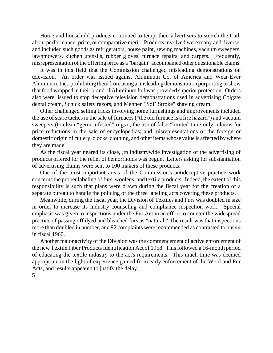Home and household products continued to tempt their advertisers to stretch the truth about performance, price, or comparative merit. Products involved were many and diverse, and included such goods as refrigerators, house paint, sewing machines, vacuum sweepers, lawnmowers, kitchen utensils, rubber gloves, furnace repairs, and carpets. Frequently, misrepresentation of the offering price as a "bargain" accompanied other questionable claims.

It was in this field that the Commission challenged misleading demonstrations on television. An order was issued against Aluminum Co. of America and Wear-Ever Aluminum, Inc., prohibiting them from using a misleading demonstration purporting to show that food wrapped in their brand of Aluminum foil was provided superior protection. Orders also were, issued to stop deceptive television demonstrations used in advertising Colgate dental cream, Schick safety razors, and Mennen "Sof' Stroke" shaving cream.

Other challenged selling tricks involving home furnishings and improvements included the use of scare tactics in the sale of furnaces ("the old furnace is a fire hazard") and vacuum sweepers (to clean "germ-infested" rugs) ; the use of false "limited-time-only" claims for price reductions in the sale of encyclopedias; and misrepresentations of the foreign or domestic origin of cutlery, clocks, clothing, and other items whose value is affected by where they are made.

As the fiscal year neared its close, ,tn industrywide investigation of the advertising of products offered for the relief of hemorrhoids was begun. Letters asking for substantiation of advertising claims were sent to 100 makers of these products.

One of the most important areas of the Commission's antideceptive practice work concernsthe proper labeling of furs, woolens, and textile products. Indeed, the extent of this responsibility is such that plans were drawn during the fiscal year for the creation of a separate bureau to handle the policing of the three labeling acts covering these products.

Meanwhile, during the fiscal year, the Division of Textiles and Furs was doubled in size in order to increase its industry counseling and compliance inspection work. Special emphasis was given to inspections under the Fur Act in an effort to counter the widespread practice of passing off dyed and bleached furs as "natural." The result was that inspections more than doubled in number, and 92 complaints were recommended as contrasted to but 44 in fiscal 1960.

Another major activity of the Division was the commencement of active enforcement of the new Textile Fiber Products Identification Act of 1958. This followed a 16-month period of educating the textile industry to the act's requirements. This much time was deemed appropriate in the light of experience gained from early enforcement of the Wool and Fur Acts, and results appeared to justify the delay.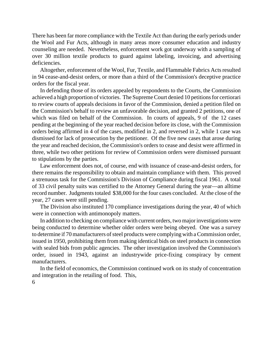There has been far more compliance with the Textile Act than during the early periods under the Wool and Fur Acts, although in many areas more consumer education and industry counseling are needed. Nevertheless, enforcement work got underway with a sampling of over 30 million textile products to guard against labeling, invoicing, and advertising deficiencies.

Altogether, enforcement of the Wool, Fur, Textile, and Flammable Fabrics Actsresulted in 94 cease-and-desist orders, or more than a third of the Commission's deceptive practice orders for the fiscal year.

In defending those of its orders appealed by respondents to the Courts, the Commission achieved a high proportion of victories. The Supreme Court denied 10 petitions for certiorari to review courts of appeals decisions in favor of the Commission, denied a petition filed on the Commission's behalf to review an unfavorable decision, and granted 2 petitions, one of which was filed on behalf of the Commission. In courts of appeals, 9 of the 12 cases pending at the beginning of the year reached decision before its close, with the Commission orders being affirmed in 4 of the cases, modified in 2, and reversed in 2, while 1 case was dismissed for lack of prosecution by the petitioner. Of the five new cases that arose during the year and reached decision, the Commission's orders to cease and desist were affirmed in three, while two other petitions for review of Commission orders were dismissed pursuant to stipulations by the parties.

Law enforcement does not, of course, end with issuance of cease-and-desist orders, for there remains the responsibility to obtain and maintain compliance with them. This proved a strenuous task for the Commission's Division of Compliance during fiscal 1961. A total of 33 civil penalty suits was certified to the Attorney General during the year—an alltime record number. Judgments totaled \$38,000 for the four cases concluded. At the close of the year, 27 cases were still pending.

The Division also instituted 170 compliance investigations during the year, 40 of which were in connection with antimonopoly matters.

In addition to checking on compliance with current orders, two major investigations were being conducted to determine whether older orders were being obeyed. One was a survey to determine if 70 manufacturers of steel products were complying with a Commission order, issued in 1950, prohibiting them from making identical bids on steel products in connection with sealed bids from public agencies. The other investigation involved the Commission's order, issued in 1943, against an industrywide price-fixing conspiracy by cement manufacturers.

In the field of economics, the Commission continued work on its study of concentration and integration in the retailing of food. This,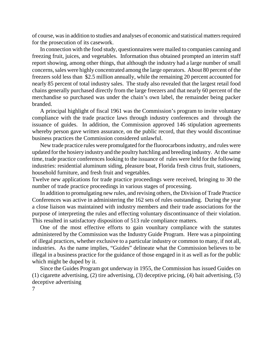of course, wasin addition to studies and analyses of economic and statistical mattersrequired for the prosecution of its casework.

In connection with the food study, questionnaires were mailed to companies canning and freezing fruit, juices, and vegetables. Information thus obtained prompted an interim staff report showing, among other things, that although the industry had a large number of small concerns, sales were highly concentrated among the large operators. About 80 percent of the freezers sold less than \$2.5 million annually, while the remaining 20 percent accounted for nearly 85 percent of total industry sales. The study also revealed that the largest retail food chains generally purchased directly from the large freezers and that nearly 60 percent of the merchandise so purchased was under the chain's own label, the remainder being packer branded.

A principal highlight of fiscal 1961 was the Commission's program to invite voluntary compliance with the trade practice laws through industry conferences and through the issuance of guides. In addition, the Commission approved 146 stipulation agreements whereby person gave written assurance, on the public record, that they would discontinue business practices the Commission considered unlawful.

New trade practice rules were promulgated forthe fluorocarbonsindustry, and rules were updated forthe hosiery industry and the poultry hatchling and breeding industry. At the same time, trade practice conferences looking to the issuance of rules were held for the following industries: residential aluminum siding, pleasure boat, Florida fresh citrus fruit, stationers, household furniture, and fresh fruit and vegetables.

Twelve new applications for trade practice proceedings were received, bringing to 30 the number of trade practice proceedings in various stages of processing.

In addition to promulgating new rules, and revising others, the Division of Trade Practice Conferences was active in administering the 162 sets of rules outstanding. During the year a close liaison was maintained with industry members and their trade associations for the purpose of interpreting the rules and effecting voluntary discontinuance of their violation. This resulted in satisfactory disposition of 513 rule compliance matters.

One of the most effective efforts to gain vounltary compliance with the statutes administered by the Commission was the Industry Guide Program. Here was a pinpointing of illegal practices, whether exclusive to a particular industry or common to many, if not all, industries. As the name implies, "Guides" delineate what the Commission believes to be illegal in a business practice for the guidance of those engaged in it as well as for the public which might be duped by it.

Since the Guides Program got underway in 1955, the Commission has issued Guides on (1) cigarette advertising, (2) tire advertising, (3) deceptive pricing, (4) bait advertising, (5) deceptive advertising

7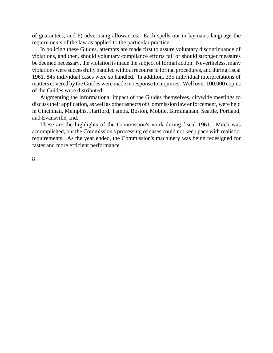of guarantees, and 6) advertising allowances. Each spells out in layman's language the requirements of the law as applied to the particular practice.

In policing these Guides, attempts are made first to assure voluntary discontinuance of violations, and then, should voluntary compliance efforts fail or should stronger measures be deemed necessary, the violation is made the subject of formal action. Nevertheless, many violations were successfully handled without recourse to formal procedures, and during fiscal 1961, 845 individual cases were so handled. In addition, 335 individual interpretations of matters covered by the Guides were made in response to inquiries. Well over 100,000 copies of the Guides were distributed.

Augmenting the informational impact of the Guides themselves, citywide meetings to discusstheir application, as well as other aspects of Commission law enforcement,'were held in Cincinnati, Memphis, Hartford, Tampa, Boston, Mobile, Birmingham, Seattle, Portland, and Evansville, Ind.

These are the highlights of the Commission's work during fiscal 1961. Much was accomplished, but the Commission's processing of cases could not keep pace with realistic, requirements. As the year ended, the Commission's machinery was being redesigned for faster and more efficient performance.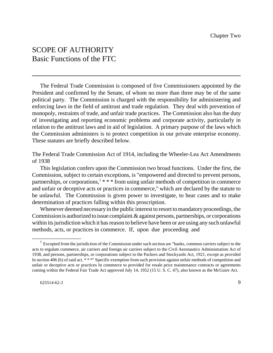## SCOPE OF AUTHORITY Basic Functions of the FTC

The Federal Trade Commission is composed of five Commissioners appointed by the President and confirmed by the Senate, of whom no more than three may be of the same political party. The Commission is charged with the responsibility for administering and enforcing laws in the field of antitrust and trade regulation. They deal with prevention of monopoly, restraints of trade, and unfair trade practices. The Commission also has the duty of investigating and reporting economic problems and corporate activity, particularly in relation to the antitrust laws and in aid of legislation. A primary purpose of the laws which the Commission administers is to protect competition in our private enterprise economy. These statutes are briefly described below.

The Federal Trade Commission Act of 1914, including the Wheeler-Lea Act Amendments of 1938

This legislation confers upon the Commission two broad functions. Under the first, the Commission, subject to certain exceptions, is "empowered and directed to prevent persons, partnerships, or corporations,  $1$  \* \* \* from using unfair methods of competition in commerce and unfair or deceptive acts or practices in commerce," which are declared by the statute to be unlawful. The Commission is given power to investigate, to hear cases and to make determination of practices falling within this proscription.

Whenever deemed necessary in the public interest to resort to mandatory proceedings, the Commission is authorized to issue complaint.& against persons, partnerships, or corporations within its jurisdiction which it has reason to believe have been or are using any such unlawful methods, acts, or practices in commerce. If, upon due proceeding and

625514-62-2 9

\_\_\_\_\_\_\_\_\_\_\_\_\_\_\_\_\_

 $<sup>1</sup>$  Excepted from the jurisdiction of the Commission under such section are "banks, common carriers subject to the</sup> acts to regulate commerce, air carriers and foreign air carriers subject to the Civil Aeronautics Administration Act of 1938, and persons, partnerships, or corporations subject to the Packers and Stockyards Act, 1921, except as provided In section 406 (b) of said act. \* \* \*" Specific exemption from such provision against unfair methods of competition and unfair or deceptive acts or practices In commerce to provided for resale price maintenance contracts or agreements coming within the Federal Fair Trade Act approved July 14, 1952 (15 U. S. C. 47), also known as the McGuire Act.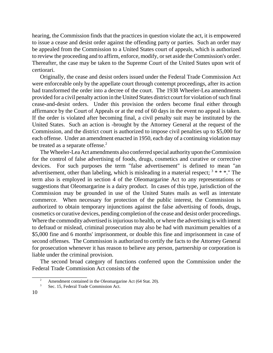hearing, the Commission finds that the practices in question violate the act, it is empowered to issue a cease and desist order against the offending party or parties. Such an order may be appealed from the Commission to a United States court of appeals, which is authorized to review the proceeding and to affirm, enforce, modify, orset aside the Commission's order. Thereafter, the case may be taken to the Supreme Court of the United States upon writ of certiorari.

Originally, the cease and desist orders issued under the Federal Trade Commission Act were enforceable only by the appellate court through contempt proceedings, after its action had transformed the order into a decree of the court. The 1938 Wheeler-Lea amendments provided for a civil penalty action in the United States district court for violation of such final cease-and-desist orders. Under this provision the orders become final either through affirmance by the Court of Appeals or at the end of 60 days in the event no appeal is taken. If the order is violated after becoming final, a civil penalty suit may be instituted by the United States. Such an action is -brought by the Attorney General at the request of the Commission, and the district court is authorized to impose civil penalties up to \$5,000 for each offense. Under an amendment enacted in 1950, each day of a continuing violation may be treated as a separate offense. $2$ 

The Wheeler-Lea Act amendments also conferred special authority upon the Commission for the control of false advertising of foods, drugs, cosmetics and curative or corrective devices. For such purposes the term "false advertisement" is defined to mean "an advertisement, other than labeling, which is misleading in a material respect;  $3$  \* \* \*." The term also is employed in section 4 of the Oleomargarine Act to any representations or suggestions that Oleomargarine is a dairy product. In cases of this type, jurisdiction of the Commission may be grounded in use of the United States mails as well as interstate commerce. When necessary for protection of the public interest, the Commission is authorized to obtain temporary injunctions against the false advertising of foods, drugs, cosmetics or curative devices, pending completion of the cease and desist order proceedings. Where the commodity advertised is injurious to health, or where the advertising is with intent to defraud or mislead, criminal prosecution may also be had with maximum penalties of a \$5,000 fine and 6 months' imprisonment, or double this fine and imprisonment in case of second offenses. The Commission is authorized to certify the facts to the Attorney General for prosecution whenever it has reason to believe any person, partnership or corporation is liable under the criminal provision.

The second broad category of functions conferred upon the Commission under the Federal Trade Commission Act consists of the

\_\_\_\_\_\_\_\_\_\_\_\_\_\_\_\_\_\_\_

Amendment contained in the Oleomargarine Act (64 Stat. 20).

<sup>3</sup> Sec. 15, Federal Trade Commission Act.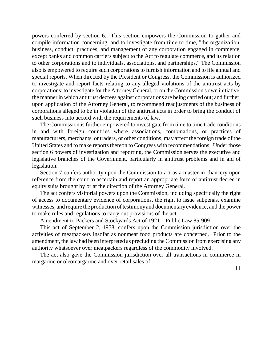powers conferred by section 6. This section empowers the Commission to gather and compile information concerning, and to investigate from time to time, "the organization, business, conduct, practices, and management of any corporation engaged in commerce, except banks and common carriers subject to the Act to regulate commerce, and its relation to other corporations and to individuals, associations, and partnerships." The Commission also is empowered to require such corporations to furnish information and to file annual and special reports. When directed by the President or Congress, the Commission is authorized to investigate and report facts relating to any alleged violations of the antitrust acts by corporations; to investigate for the Attorney General, or on the Commission's own initiative, the manner in which antitrust decrees against corporations are being carried out; and further, upon application of the Attorney General, to recommend readjustments of the business of corporations alleged to be in violation of the antitrust acts in order to bring the conduct of such business into accord with the requirements of law.

The Commission is further empowered to investigate from time to time trade conditions in and with foreign countries where associations, combinations, or practices of manufacturers, merchants, or traders, or other conditions, may affect the foreign trade of the United States and to make reports thereon to Congress with recommendations. Under those section 6 powers of investigation and reporting, the Commission serves the executive and legislative branches of the Government, particularly in antitrust problems and in aid of legislation.

Section 7 confers authority upon the Commission to act as a master in chancery upon reference from the court to ascertain and report an appropriate form of antitrust decree in equity suits brought by or at the direction of the Attorney General.

The act confers visitorial powers upon the Commission, including specifically the right of access to documentary evidence of corporations, the right to issue subpenas, examine witnesses, and require the production of testimony and documentary evidence, and the power to make rules and regulations to carry out provisions of the act.

Amendment to Packers and Stockyards Act of 1921—Public Law 85-909

This act of September 2, 1958, confers upon the Commission jurisdiction over the activities of meatpackers insofar as nonmeat food products are concerned. Prior to the amendment, the law had been interpreted as precluding the Commission from exercising any authority whatsoever over meatpackers regardless of the commodity involved.

The act also gave the Commission jurisdiction over all transactions in commerce in margarine or oleomargarine and over retail sales of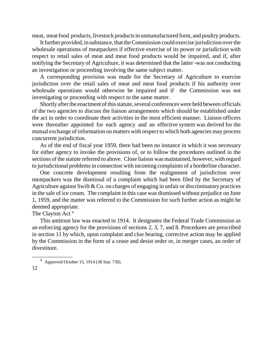meat, meat food products, livestock products in unmanufactured form, and poultry products.

It further provided, in substance, that the Commission could exercise jurisdiction over the wholesale operations of meatpackers if effective exercise of its power or jurisdiction with respect to retail sales of meat and meat food products would be impaired, and if, after notifying the Secretary of Agriculture, it was determined that the latter -was not conducting an investigation or proceeding involving the same subject matter.

A corresponding provision was made for the Secretary of Agriculture to exercise jurisdiction over the retail sales of meat and meat food products if his authority over wholesale operations would otherwise be impaired and if the Commission was not investigating or proceeding with respect to the same matter.

Shortly after the enactment of this statute, several conferences were held beween officials of the two agencies to discuss the liaison arrangements which should be established under the act in order to coordinate their activities in the most efficient manner. Liaison officers were thereafter appointed for each agency and an effective system was derived for the mutual exchange of information on matters with respect to which both agencies may process concurrent jurisdiction.

As of the end of fiscal year 1959, there had been no instance in which it was necessary for either agency to invoke the provisions of, or to follow the procedures outlined in the sections of the statute referred to above. Close liaison was maintained, however, with regard to jurisdictional problems in connection with incoming complaints of a borderline character.

One concrete development resulting from the realignment of jurisdiction over meatpackers was the dismissal of a complaint which had been filed by the Secretary of Agriculture against Swift & Co. on charges of engaging in unfair or discriminatory practices in the sale of ice cream. The complaint in this case was dismissed without prejudice on June 1, 1959, and the matter was referred to the Commission for such further action as might be deemed appropriate.

The Clayton Act<sup>4</sup>

\_\_\_\_\_\_\_\_\_\_\_\_\_\_

This antitrust law was enacted in 1914. It designates the Federal Trade Commission as an enforcing agency for the provisions of sections 2, 3, 7, and 8. Procedures are prescribed in section 11 by which, upon complaint and clue hearing, corrective action may be applied by the Commission in the form of a cease and desist order or, in merger cases, an order of divestiture.

<sup>4</sup> Approved October 15, 1914 (38 Stat. 730).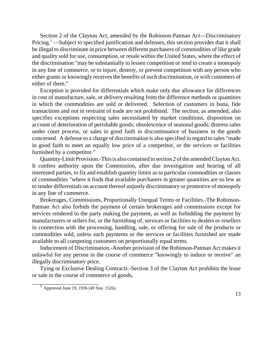Section 2 of the Clayton Act, amended by the Robinson-Patman Act—Discriminatory Pricing.<sup>5</sup> —Subject to specified justification and defenses, this section provides that it shall be illegal to discriminate in price between different purchasers of commodities of like grade and quality sold for use, consumption, or resale within the United States, where the effect of the discrimination "may be substantially to lessen competition or tend to create a monopoly in any line of commerce, or to injure, destroy, or prevent competition with any person who either grants or knowingly receives the benefits of such discrimination, or with customers of either of them."

Exception is provided for differentials which make only due allowance for differences in cost of manufacture, sale, or delivery resulting from the difference methods or quantities in which the commodities are sold or delivered. Selection of customers in bona, fide transactions and not in restraint of trade are not prohibited. The section, as amended, also specifies exceptions respecting sales necessitated by market conditions, disposition on account of deterioration of perishable goods; obsolescence of seasonal goods; distress sales under court process, or sales in good faith in discontinuance of business in the goods concerned. A defense to a charge of discrimination is also specified in regard to sales "made in good faith to meet an equally low price of a competitor, or the services or facilities furnished by a competitor."

Quantity-Limit Provision.-Thisis also contained in section 2 of the amended Clayton Act. It confers authority upon the Commission, after due investigation and hearing of all interested parties, to fix and establish quantity limits as to particular commodities or classes of commodities "where it finds that available purchasers in greater quantities are so few as to render differentials on account thereof unjustly discriminatory or promotive of monopoly in any line of commerce.

Brokerages, Commissions, Proportionally Unequal Terms or Facilities.-The Robinson-Patman Act also forbids the payment of certain brokerages and commissions except for services rendered to the party making the payment, as well as forbidding the payment by manufacturers or sellers for, or the furnishing of, services or facilities to dealers or resellers in connection with the processing, handling, sale, or offering for sale of the products or commodities sold, unless such payments or the services or facilities furnished are made available to all competing customers on proportionally equal terms.

Inducement of Discrimination.-Another provision of the Robinson-Patman Act makesit unlawful for any person in the course of commerce "knowingly to induce or receive" an illegally discriminatory price.

Tying or Exclusive Dealing Contracts.-Section 3 of the Clayton Act prohibits the lease or sale in the course of commerce of goods,

\_\_\_\_\_\_\_\_\_\_\_\_\_\_\_\_\_\_\_\_\_\_\_

 $\frac{5}{6}$  Approved June 19, 1936 (49 Stat. 1526).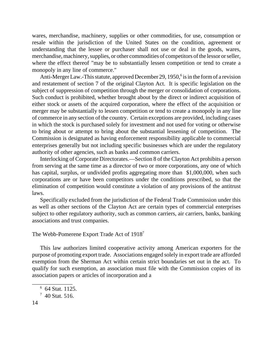wares, merchandise, machinery, supplies or other commodities, for use, consumption or resale within the jurisdiction of the United States on the condition, agreement or understanding that the lessee or purchaser shall not use or deal in the goods, wares, merchandise, machinery, supplies, or other commodities of competitors of the lessor or seller, where the effect thereof "may be to substantially lessen competition or tend to create a monopoly in any line of commerce."

Anti-Merger Law.-This statute, approved December 29, 1950,<sup>6</sup> is in the form of a revision and restatement of section 7 of the original Clayton Act. It is specific legislation on the subject of suppression of competition through the merger or consolidation of corporations. Such conduct is prohibited, whether brought about by the direct or indirect acquisition of either stock or assets of the acquired corporation, where the effect of the acquisition or merger may be substantially to lessen competition or tend to create a monopoly in any line of commerce in any section of the country. Certain exceptions are provided, including cases in which the stock is purchased solely for investment and not used for voting or otherwise to bring about or attempt to bring about the substantial lessening of competition. The Commission is designated as having enforcement responsibility applicable to commercial enterprises generally but not including specific businesses which are under the regulatory authority of other agencies, such as banks and common carriers.

Interlocking of Corporate Directorates.—Section 8 of the Clayton Act prohibits a person from serving at the same time as a director of two or more corporations, any one of which has capital, surplus, or undivided profits aggregating more than \$1,000,000, when such corporations are or have been competitors under the conditions prescribed, so that the elimination of competition would constitute a violation of any provisions of the antitrust laws.

Specifically excluded from the jurisdiction of the Federal Trade Commission under this as well as other sections of the Clayton Act are certain types of commercial enterprises subject to other regulatory authority, such as common carriers, air carriers, banks, banking associations and trust companies.

#### The Webb-Pomerene Export Trade Act of 1918<sup>7</sup>

This law authorizes limited cooperative activity among American exporters for the purpose of promoting export trade. Associations engaged solely in export trade are afforded exemption from the Sherman Act within certain strict boundaries set out in the act. To qualify for such exemption, an association must file with the Commission copies of its association papers or articles of incorporation and a

\_\_\_\_\_\_\_\_\_\_\_\_\_\_

<sup>6</sup> 64 Stat. 1125.

 $7\,$  40 Stat. 516.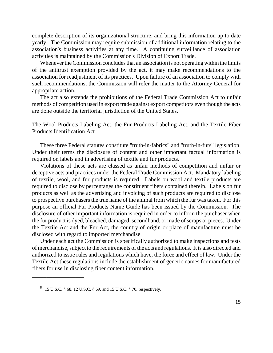complete description of its organizational structure, and bring this information up to date yearly. The Commission may require submission of additional information relating to the association's business activities at any time. A continuing surveillance of association activities is maintained by the Commission's Division of Export Trade.

Whenever the Commission concludes that an association is not operating within the limits of the antitrust exemption provided by the act, it may make recommendations to the association for readjustment of its practices. Upon failure of an association to comply with such recommendations, the Commission will refer the matter to the Attorney General for appropriate action.

The act also extends the prohibitions of the Federal Trade Commission Act to unfair methods of competition used in export trade against export competitors even though the acts are done outside the territorial jurisdiction of the United States.

The Wool Products Labeling Act, the Fur Products Labeling Act, and the Textile Fiber Products Identification Act<sup>8</sup>

These three Federal statutes constitute "truth-in-fabrics" and "truth-in-furs" legislation. Under their terms the disclosure of content and other important factual information is required on labels and in advertising of textile and fur products.

Violations of these acts are classed as unfair methods of competition and unfair or deceptive acts and practices under the Federal Trade Commission Act. Mandatory labeling of textile, wool, and fur products is required. Labels on wool and textile products are required to disclose by percentages the constituent fibers contained therein. Labels on fur products as well as the advertising and invoicing of such products are required to disclose to prospective purchasers the true name of the animal from which the fur was taken. For this purpose an official Fur Products Name Guide has been issued by the Commission. The disclosure of other important information is required in order to inform the purchaser when the fur product is dyed, bleached, damaged, secondhand, or made of scraps or pieces. Under the Textile Act and the Fur Act, the country of origin or place of manufacture must be disclosed with regard to imported merchandise.

Under each act the Commission is specifically authorized to make inspections and tests of merchandise, subject to the requirements of the acts and regulations. It is also directed and authorized to issue rules and regulations which have, the force and effect of law. Under the Textile Act these regulations include the establishment of generic names for manufactured fibers for use in disclosing fiber content information.

\_\_\_\_\_\_\_\_\_\_\_\_\_\_\_\_\_\_

 $8\,$  15 U.S.C. § 68, 12 U.S.C. § 69, and 15 U.S.C. § 70, respectively.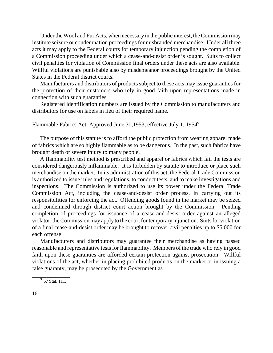Under the Wool and Fur Acts, when necessary in the public interest, the Commission may institute seizure or condemnation proceedings for misbranded merchandise. Under all three acts it may apply to the Federal courts for temporary injunction pending the completion of a Commission proceeding under which a cease-and-desist order is sought. Suits to collect civil penalties for violation of Commission final orders under these acts are also available. Willful violations are punishable also by misdemeanor proceedings brought by the United States in the Federal district courts.

Manufacturers and distributors of products subject to these acts may issue guaranties for the protection of their customers who rely in good faith upon representations made in connection with such guaranties.

Registered identification numbers are issued by the Commission to manufacturers and distributors for use on labels in lieu of their required name.

Flammable Fabrics Act, Approved June 30,1953, effective July 1, 1954<sup>9</sup>

The purpose of this statute is to afford the public protection from wearing apparel made of fabrics which are so highly flammable as to be dangerous. In the past, such fabrics have brought death or severe injury to many people.

A flammability test method is prescribed and apparel or fabrics which fail the tests are considered dangerously inflammable. It is forbidden by statute to introduce or place such merchandise on the market. In its administration of this act, the Federal Trade Commission is authorized to issue rules and regulations, to conduct tests, and to make investigations and inspections. The Commission is authorized to use its power under the Federal Trade Commission Act, including the cease-and-desist order process, in carrying out its responsibilities for enforcing the act. Offending goods found in the market may be seized and condemned through district court action brought by the Commission. Pending completion of proceedings for issuance of a cease-and-desist order against an alleged violator, theCommissionmay apply to the court for temporary injunction. Suits for violation of a final cease-and-desist order may be brought to recover civil penalties up to \$5,000 for each offense.

Manufacturers and distributors may guarantee their merchandise as having passed reasonable and representative tests for flammability. Members of the trade who rely in good faith upon these guaranties are afforded certain protection against prosecution. Willful violations of the act, whether in placing prohibited products on the market or in issuing a false guaranty, may be prosecuted by the Government as

\_\_\_\_\_\_\_\_\_\_\_\_\_

 $9\overline{67}$  Stat. 111.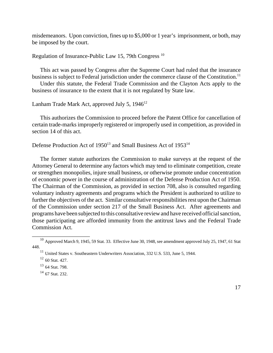misdemeanors. Upon conviction, fines up to \$5,000 or 1 year's imprisonment, or both, may be imposed by the court.

Regulation of Insurance-Public Law 15, 79th Congress <sup>10</sup>

This act was passed by Congress after the Supreme Court had ruled that the insurance business is subject to Federal jurisdiction under the commerce clause of the Constitution.<sup>11</sup>

Under this statute, the Federal Trade Commission and the Clayton Acts apply to the business of insurance to the extent that it is not regulated by State law.

Lanham Trade Mark Act, approved July 5,  $1946^{12}$ 

This authorizes the Commission to proceed before the Patent Office for cancellation of certain trade-marks improperly registered or improperly used in competition, as provided in section 14 of this act.

Defense Production Act of 1950<sup>13</sup> and Small Business Act of 1953<sup>14</sup>

The former statute authorizes the Commission to make surveys at the request of the Attorney General to determine any factors which may tend to eliminate competition, create or strengthen monopolies, injure small business, or otherwise promote undue concentration of economic power in the course of administration of the Defense Production Act of 1950. The Chairman of the Commission, as provided in section 708, also is consulted regarding voluntary industry agreements and programs which the President is authorized to utilize to further the objectives of the act. Similar consultative responsibilities rest upon the Chairman of the Commission under section 217 of the Small Business Act. After agreements and programs have been subjected to this consultative review and have received officialsanction, those participating are afforded immunity from the antitrust laws and the Federal Trade Commission Act.

\_\_\_\_\_\_\_\_\_\_\_\_\_\_\_\_\_\_\_\_

<sup>10</sup> Approved March 9, 1945, 59 Stat. 33. Effective June 30, 1948, see amendment approved July 25, 1947, 61 Stat 448.

<sup>&</sup>lt;sup>11</sup> United States v. Southeastern Underwriters Association, 332 U.S. 533, June 5, 1944.

 $12$  60 Stat. 427.

 $13$  64 Stat. 798.

 $^{14}$  67 Stat. 232.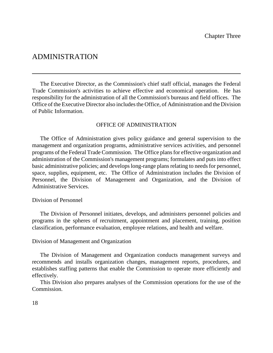## ADMINISTRATION

The Executive Director, as the Commission's chief staff official, manages the Federal Trade Commission's activities to achieve effective and economical operation. He has responsibility for the administration of all the Commission's bureaus and field offices. The Office of the Executive Director also includesthe Office, of Administration and the Division of Public Information.

#### OFFICE OF ADMINISTRATION

The Office of Administration gives policy guidance and general supervision to the management and organization programs, administrative services activities, and personnel programs of the Federal Trade Commission. The Office plans for effective organization and administration of the Commission's management programs; formulates and puts into effect basic administrative policies; and develops long-range plans relating to needs for personnel, space, supplies, equipment, etc. The Office of Administration includes the Division of Personnel, the Division of Management and Organization, and the Division of Administrative Services.

#### Division of Personnel

The Division of Personnel initiates, develops, and administers personnel policies and programs in the spheres of recruitment, appointment and placement, training, position classification, performance evaluation, employee relations, and health and welfare.

#### Division of Management and Organization

The Division of Management and Organization conducts management surveys and recommends and installs organization changes, management reports, procedures, and establishes staffing patterns that enable the Commission to operate more efficiently and effectively.

This Division also prepares analyses of the Commission operations for the use of the Commission.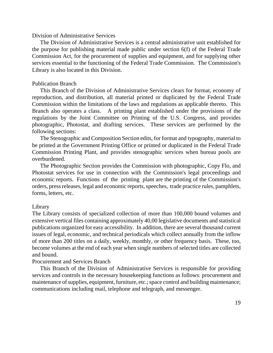#### Division of Administrative Services

The Division of Administrative Services is a central administrative unit established for the purpose for publishing material made public under section 6(f) of the Federal Trade Commission Act, for the procurement of supplies and equipment, and for supplying other services essential to the functioning of the Federal Trade Commission. The Commission's Library is also located in this Division.

#### Publication Branch

This Branch of the Division of Administrative Services clears for format, economy of reproduction, and distribution, all material printed or duplicated by the Federal Trade Commission within the limitations of the laws and regulations as applicable thereto. This Branch also operates a class. A printing plant established under the provisions of the regulations by the Joint Committee on Printing of the U.S. Congress, and provides photographic, Photostat, and drafting services. These services are performed by the following sections:

The Stenographic and Composition Section edits, for format and typography, material to be printed at the Government Printing Office or printed or duplicated in the Federal Trade Commission Printing Plant, and provides stenographic services when bureau pools are overburdened.

The Photographic Section provides the Commission with photographic, Copy Flo, and Photostat services for use in connection with the Commission's legal proceedings and economic reports. Functions of the printing plant are the printing of the Commission's orders, press releases, legal and economic reports, speeches, trade practice rules, pamphlets, forms, letters, etc.

#### Library

The Library consists of specialized collection of more than 100,000 bound volumes and extensive vertical files containing approximately 40,00 legislative documents and statistical publications organized for easy accessibility. In addition, there are several thousand current issues of legal, economic, and technical periodicals which collect annually from the inflow of more than 200 titles on a daily, weekly, monthly, or other frequency basis. These, too, become volumes at the end of each year when single numbers of selected titles are collected and bound.

#### Procurement and Services Branch

This Branch of the Division of Administrative Services is responsible for providing services and controls in the necessary housekeeping functions as follows: procurement and maintenance of supplies, equipment, furniture, etc.; space control and building maintenance; communications including mail, telephone and telegraph, and messenger.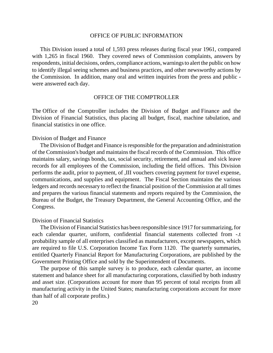#### OFFICE OF PUBLIC INFORMATION

This Division issued a total of 1,593 press releases during fiscal year 1961, compared with 1,265 in fiscal 1960. They covered news of Commission complaints, answers by respondents, initial decisions, orders, compliance actions, warnings to alert the public on how to identify illegal seeing schemes and business practices, and other newsworthy actions by the Commission. In addition, many oral and written inquiries from the press and public were answered each day.

#### OFFICE OF THE COMPTROLLER

The Office of the Comptroller includes the Division of Budget and Finance and the Division of Financial Statistics, thus placing all budget, fiscal, machine tabulation, and financial statistics in one office.

#### Division of Budget and Finance

The Division of Budget and Finance is responsible for the preparation and administration of the Commission's budget and maintains the fiscal records of the Commission. This office maintains salary, savings bonds, tax, social security, retirement, and annual and sick leave records for all employees of the Commission, including the field offices. This Division performs the audit, prior to payment, of ,III vouchers covering payment for travel expense, communications, and supplies and equipment. The Fiscal Section maintains the various ledgers and records necessary to reflect the financial position of the Commission at all times and prepares the various financial statements and reports required by the Commission, the Bureau of the Budget, the Treasury Department, the General Accounting Office, and the Congress.

#### Division of Financial Statistics

The Division of Financial Statistics has been responsible since 1917 for summarizing, for each calendar quarter, uniform, confidential financial statements collected from -.t probability sample of all enterprises classified as manufacturers, except newspapers, which are required to file U.S. Corporation Income Tax Form 1120. The quarterly summaries, entitled Quarterly Financial Report for Manufacturing Corporations, are published by the Government Printing Office and sold by the Superintendent of Documents.

The purpose of this sample survey is to produce, each calendar quarter, an income statement and balance sheet for all manufacturing corporations, classified by both industry and asset size. (Corporations account for more than 95 percent of total receipts from all manufacturing activity in the United States; manufacturing corporations account for more than half of all corporate profits.)

20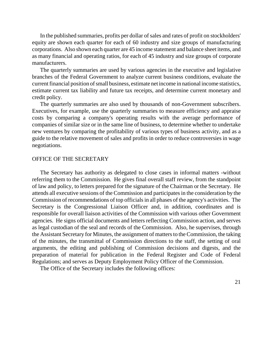In the published summaries, profits per dollar of sales and rates of profit on stockholders' equity are shown each quarter for each of 60 industry and size groups of manufacturing corporations. Also shown each quarter are 45 income statement and balance sheet items, and as many financial and operating ratios, for each of 45 industry and size groups of corporate manufacturers.

The quarterly summaries are used by various agencies in the executive and legislative branches of the Federal Government to analyze current business conditions, evaluate the current financial position of small business, estimate net income in national income statistics, estimate current tax liability and future tax receipts, and determine current monetary and credit policy.

The quarterly summaries are also used by thousands of non-Government subscribers. Executives, for example, use the quarterly summaries to measure efficiency and appraise costs by comparing a company's operating results with the average performance of companies of similar size or in the same line of business, to determine whether to undertake new ventures by comparing the profitability of various types of business activity, and as a guide to the relative movement of sales and profits in order to reduce controversies in wage negotiations.

#### OFFICE OF THE SECRETARY

The Secretary has authority as delegated to close cases in informal matters -without referring them to the Commission. He gives final overall staff review, from the standpoint of law and policy, to letters prepared for the signature of the Chairman or the Secretary. He attends all executive sessions of the Commission and participatesin the consideration by the Commission of recommendations of top officialsin all phases of the agency's activities. The Secretary is the Congressional Liaison Officer and, in addition, coordinates and is responsible for overall liaison activities of the Commission with various other Government agencies. He signs official documents and letters reflecting Commission action, and serves as legal custodian of the seal and records of the Commission. Also, he supervises, through the Assistant Secretary for Minutes, the assignment of matters to the Commission, the taking of the minutes, the transmittal of Commission directions to the staff, the setting of oral arguments, the editing and publishing of Commission decisions and digests, and the preparation of material for publication in the Federal Register and Code of Federal Regulations; and serves as Deputy Employment Policy Officer of the Commission.

The Office of the Secretary includes the following offices: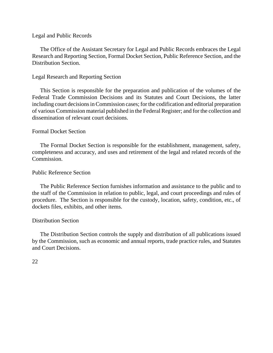#### Legal and Public Records

The Office of the Assistant Secretary for Legal and Public Records embraces the Legal Research and Reporting Section, Formal Docket Section, Public Reference Section, and the Distribution Section.

#### Legal Research and Reporting Section

This Section is responsible for the preparation and publication of the volumes of the Federal Trade Commission Decisions and its Statutes and Court Decisions, the latter including court decisions in Commission cases; for the codification and editorial preparation of various Commission material published in the Federal Register; and for the collection and dissemination of relevant court decisions.

#### Formal Docket Section

The Formal Docket Section is responsible for the establishment, management, safety, completeness and accuracy, and uses and retirement of the legal and related records of the Commission.

#### Public Reference Section

The Public Reference Section furnishes information and assistance to the public and to the staff of the Commission in relation to public, legal, and court proceedings and rules of procedure. The Section is responsible for the custody, location, safety, condition, etc., of dockets files, exhibits, and other items.

#### Distribution Section

The Distribution Section controls the supply and distribution of all publications issued by the Commission, such as economic and annual reports, trade practice rules, and Statutes and Court Decisions.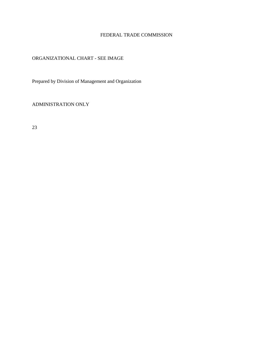#### FEDERAL TRADE COMMISSION

ORGANIZATIONAL CHART - SEE IMAGE

Prepared by Division of Management and Organization

ADMINISTRATION ONLY

23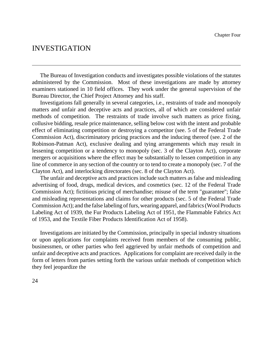## INVESTIGATION

The Bureau of Investigation conducts and investigates possible violations of the statutes administered by the Commission. Most of these investigations are made by attorney examiners stationed in 10 field offices. They work under the general supervision of the Bureau Director, the Chief Project Attorney and his staff.

Investigations fall generally in several categories, i.e., restraints of trade and monopoly matters and unfair and deceptive acts and practices, all of which are considered unfair methods of competition. The restraints of trade involve such matters as price fixing, collusive bidding, resale price maintenance, selling below cost with the intent and probable effect of eliminating competition or destroying a competitor (see. 5 of the Federal Trade Commission Act), discriminatory pricing practices and the inducing thereof (see. 2 of the Robinson-Patman Act), exclusive dealing and tying arrangements which may result in lessening competition or a tendency to monopoly (sec. 3 of the Clayton Act), corporate mergers or acquisitions where the effect may be substantially to lessen competition in any line of commerce in any section of the country or to tend to create a monopoly (sec. 7 of the Clayton Act), and interlocking directorates (sec. 8 of the Clayton Act).

The unfair and deceptive acts and practices include such matters as false and misleading advertising of food, drugs, medical devices, and cosmetics (sec. 12 of the Federal Trade Commission Act); fictitious pricing of merchandise; misuse of the term "guarantee''; false and misleading representations and claims for other products (sec. 5 of the Federal Trade Commission Act); and the false labeling of furs, wearing apparel, and fabrics (Wool Products Labeling Act of 1939, the Fur Products Labeling Act of 1951, the Flammable Fabrics Act of 1953, and the Textile Fiber Products Identification Act of 1958).

Investigations are initiated by the Commission, principally in special industry situations or upon applications for complaints received from members of the consuming public, businessmen, or other parties who feel aggrieved by unfair methods of competition and unfair and deceptive acts and practices. Applications for complaint are received daily in the form of letters from parties setting forth the various unfair methods of competition which they feel jeopardize the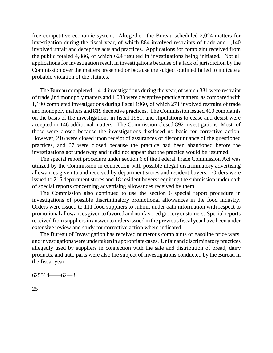free competitive economic system. Altogether, the Bureau scheduled 2,024 matters for investigation during the fiscal year, of which 884 involved restraints of trade and 1,140 involved unfair and deceptive acts and practices. Applications for complaint received from the public totaled 4,886, of which 624 resulted in investigations being initiated. Not all applications for investigation result in investigations because of a lack of jurisdiction by the Commission over the matters presented or because the subject outlined failed to indicate a probable violation of the statutes.

The Bureau completed 1,414 investigations during the year, of which 331 were restraint of trade ,ind monopoly matters and 1,083 were deceptive practice matters, as compared with 1,190 completed investigations during fiscal 1960, of which 271 involved restraint of trade and monopolymatters and 819 deceptive practices. The Commission issued 410 complaints on the basis of the investigations in fiscal 1961, and stipulations to cease and desist were accepted in 146 additional matters. The Commission closed 892 investigations. Most of those were closed because the investigations disclosed no basis for corrective action. However, 216 were closed upon receipt of assurances of discontinuance of the questioned practices, and 67 were closed because the practice had been abandoned before the investigations got underway and it did not appear that the practice would be resumed.

The special report procedure under section 6 of the Federal Trade Commission Act was utilized by the Commission in connection with possible illegal discriminatory advertising allowances given to and received by department stores and resident buyers. Orders were issued to 216 department stores and 18 resident buyers requiring the submission under oath of special reports concerning advertising allowances received by them.

The Commission also continued to use the section 6 special report procedure in investigations of possible discriminatory promotional allowances in the food industry. Orders were issued to 111 food suppliers to submit under oath information with respect to promotional allowances given to favored and nonfavored grocery customers. Special reports received from suppliers in answer to orders issued in the previous fiscal year have been under extensive review and study for corrective action where indicated.

The Bureau of Investigation has received numerous complaints of gasoline price wars, and investigations were undertaken in appropriate cases. Unfair and discriminatory practices allegedly used by suppliers in connection with the sale and distribution of bread, dairy products, and auto parts were also the subject of investigations conducted by the Bureau in the fiscal year.

625514——62—3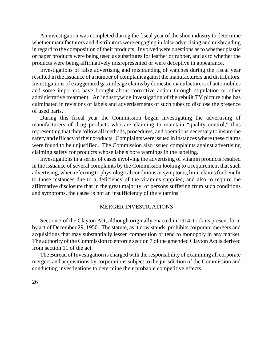An investigation was completed during the fiscal year of the shoe industry to determine whether manufacturers and distributors were engaging in false advertising and misbranding in regard to the composition of their products. Involved were questions as to whether plastic or paper products were being used as substitutes for leather or rubber, and as to whether the products were being affirmatively misrepresented or were deceptive in appearance.

Investigations of false advertising and misbranding of watches during the fiscal year resulted in the issuance of a number of complaint against the manufacturers and distributors. Investigations of exaggerated gas mileage claims by domestic manufacturers of automobiles and some importers have brought about corrective action through stipulation or other administrative treatment. An industrywide investigation of the rebuilt TV picture tube has culminated in revisions of labels and advertisements of such tubes to disclose the presence of used parts.

During this fiscal year the Commission began investigating the advertising of manufacturers of drug products who are claiming to maintain "quality control," thus representing that they follow all methods, procedures, and operations necessary to insure the safety and efficacyoftheir products. Complaints were issued in instances where these claims were found to be unjustified. The Commission also issued complaints against advertising claiming safety for products whose labels bore warnings in the labeling.

Investigations in a series of cases involving the advertising of vitamin products resulted in the issuance of several complaints by the Commission looking to a requirement that such advertising, when referring to physiological conditions or symptoms, limit claims for benefit to those instances due to a deficiency of the vitamins supplied, and also to require the affirmative disclosure that in the great majority, of persons suffering from such conditions and symptoms, the cause is not an insufficiency of the vitamins.

#### MERGER INVESTIGATIONS

Section 7 of the Clayton Act, although originally enacted in 1914, took its present form by act of December 29, 1950. The statute, as it now stands, prohibits corporate mergers and acquisitions that may substantially lessen competition or tend to monopoly in any market. The authority of the Commission to enforce section 7 of the amended Clayton Act is derived from section 11 of the act.

The Bureau of Investigation is charged with the responsibility of examining all corporate mergers and acquisitions by corporations subject to the jurisdiction of the Commission and conducting investigations to determine their probable competitive effects.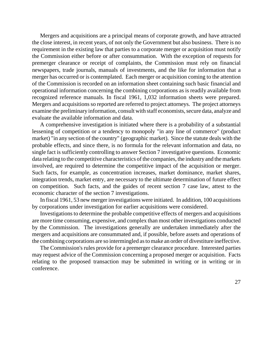Mergers and acquisitions are a principal means of corporate growth, and have attracted the close interest, in recent years, of not only the Government but also business. There is no requirement in the existing law that parties to a corporate merger or acquisition must notify the Commission either before or after consummation. With the exception of requests for premerger clearance or receipt of complaints, the Commission must rely on financial newspapers, trade journals, manuals of investments, and the like for information that a merger has occurred or is contemplated. Each merger or acquisition coming to the attention of the Commission is recorded on an information sheet containing such basic financial and operational information concerning the combining corporations as is readily available from recognized reference manuals. In fiscal 1961, 1,032 information sheets were prepared. Mergers and acquisitions so reported are referred to project attorneys. The project attorneys examine the preliminary information, consult with staff economists, secure data, analyze and evaluate the available information and data.

A comprehensive investigation is initiated where there is a probability of a substantial lessening of competition or a tendency to monopoly "in any line of commerce" (product market) "in any section of the country" (geographic market). Since the statute deals with the probable effects, and since there, is no formula for the relevant information and data, no single fact is sufficiently controlling to answer Section 7 investigative questions. Economic data relating to the competitive characteristics of the companies, the industry and the markets involved, are required to determine the competitive impact of the acquisition or merger. Such facts, for example, as concentration increases, market dominance, market shares, integration trends, market entry, are necessary to the ultimate determination of future effect on competition. Such facts, and the guides of recent section 7 case law, attest to the economic character of the section 7 investigations.

In fiscal 1961, 53 new merger investigations were initiated. In addition, 100 acquisitions by corporations under investigation for earlier acquisitions were considered.

Investigations to determine the probable competitive effects of mergers and acquisitions are more time consuming, expensive, and complex than most other investigations conducted by the Commission. The investigations generally are undertaken immediately after the mergers and acquisitions are consummated and, if possible, before assets and operations of the combining corporations are so intermingled astomake an order of divestiture ineffective.

The Commission's rules provide for a premerger clearance procedure. Interested parties may request advice of the Commission concerning a proposed merger or acquisition. Facts relating to the proposed transaction may be submitted in writing or in writing or in conference.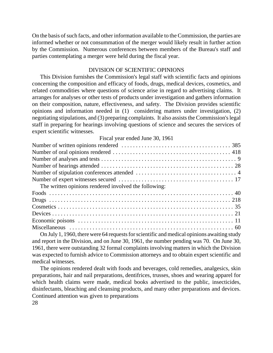On the basis of such facts, and other information available to the Commission, the parties are informed whether or not consummation of the merger would likely result in further action by the Commission. Numerous conferences between members of the Bureau's staff and parties contemplating a merger were held during the fiscal year.

#### DIVISION OF SCIENTIFIC OPINIONS

This Division furnishes the Commission's legal staff with scientific facts and opinions concerning the composition and efficacy of foods, drugs, medical devices, cosmetics, and related commodities where questions of science arise in regard to advertising claims. It arranges for analyses or other tests of products under investigation and gathers information on their composition, nature, effectiveness, and safety. The Division provides scientific opinions and information needed in (1) considering matters under investigation, (2) negotiating stipulations, and (3) preparing complaints. It also assists the Commission's legal staff in preparing for hearings involving questions of science and secures the services of expert scientific witnesses.

Fiscal year ended June 30, 1961

was expected to furnish advice to Commission attorneys and to obtain expert scientific and medical witnesses.

The opinions rendered dealt with foods and beverages, cold remedies, analgesics, skin preparations, hair and nail preparations, dentifrices, trusses, shoes and wearing apparel for which health claims were made, medical books advertised to the public, insecticides, disinfectants, bleaching and cleansing products, and many other preparations and devices. Continued attention was given to preparations 28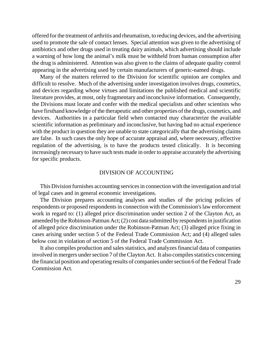offered forthe treatment of arthritis and rheumatism, to reducing devices, and the advertising used to promote the sale of contact lenses. Special attention was given to the advertising of antibiotics and other drugs used in treating dairy animals, which advertising should include a warning of how long the animal's milk must be withheld from human consumption after the drug is administered. Attention was also given to the claims of adequate quality control appearing in the advertising used by certain manufacturers of generic-named drugs.

Many of the matters referred to the Division for scientific opinion are complex and difficult to resolve. Much of the advertising under investigation involves drugs, cosmetics, and devices regarding whose virtues and limitations the published medical and scientific literature provides, at most, only fragmentary and inconclusive information. Consequently, the Divisions must locate and confer with the medical specialists and other scientists who have firsthand knowledge of the therapeutic and other properties of the drugs, cosmetics, and devices. Authorities in a particular field when contacted may characterize the available scientific information as preliminary and inconclusive, but having had no actual experience with the product in question they are unable to state categorically that the advertising claims are false. In such cases the only hope of accurate appraisal and, where necessary, effective regulation of the advertising, is to have the products tested clinically. It is becoming increasingly necessary to have such tests made in order to appraise accurately the advertising for specific products.

#### DIVISION OF ACCOUNTING

This Division furnishes accounting services in connection with the investigation and trial of legal cases and in general economic investigations.

The Division prepares accounting analyses and studies of the pricing policies of respondents or proposed respondents in connection with the Commission's law enforcement work in regard to: (1) alleged price discrimination under section 2 of the Clayton Act, as amended by the Robinson-Patman Act;  $(2)$  cost data submitted by respondents in justification of alleged price discrimination under the Robinson-Patman Act; (3) alleged price fixing in cases arising under section 5 of the Federal Trade Commission Act; and (4) alleged sales below cost in violation of section 5 of the Federal Trade Commission Act.

It also compiles production and sales statistics, and analyzesfinancial data of companies involved in mergers under section 7 of the Clayton Act. It also compiles statistics concerning the financial position and operating results of companies under section 6 of the Federal Trade Commission Act.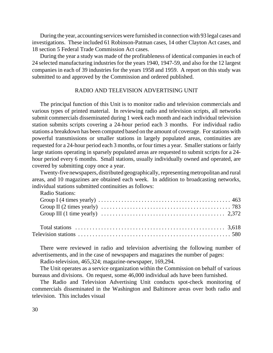During the year, accounting services were furnished in connection with 93 legal cases and investigations. These included 61 Robinson-Patman cases, 14 other Clayton Act cases, and 18 section 5 Federal Trade Commission Act cases.

During the year a study was made of the profitableness of identical companies in each of 24 selected manufacturing industries for the years 1940, 1947-59, and also for the 12 largest companies in each of 39 industries for the years 1958 and 1959. A report on this study was submitted to and approved by the Commission and ordered published.

#### RADIO AND TELEVISION ADVERTISING UNIT

The principal function of this Unit is to monitor radio and television commercials and various types of printed material. In reviewing radio and television scripts, all networks submit commercials disseminated during 1 week each month and each individual television station submits scripts covering a 24-hour period each 3 months. For individual radio stations a breakdown has been computed based on the amount of coverage. For stations with powerful transmissions or smaller stations in largely populated areas, continuities are requested for a 24-hour period each 3 months, or four times a year. Smaller stations or fairly large stations operating in sparsely populated areas are requested to submit scripts for a 24 hour period every 6 months. Small stations, usually individually owned and operated, are covered by submitting copy once a year.

Twenty-five newspapers, distributed geographically, representing metropolitan and rural areas, and 10 magazines are obtained each week. In addition to broadcasting networks, individual stations submitted continuities as follows:

| <b>Radio Stations:</b> |  |
|------------------------|--|
|                        |  |
|                        |  |
|                        |  |
|                        |  |
|                        |  |

There were reviewed in radio and television advertising the following number of advertisements, and in the case of newspapers and magazines the number of pages:

Radio-television, 465,324; magazine-newspaper, 169,294.

The Unit operates as a service organization within the Commission on behalf of various bureaus and divisions. On request, some 46,000 individual ads have been furnished.

The Radio and Television Advertising Unit conducts spot-check monitoring of commercials disseminated in the Washington and Baltimore areas over both radio and television. This includes visual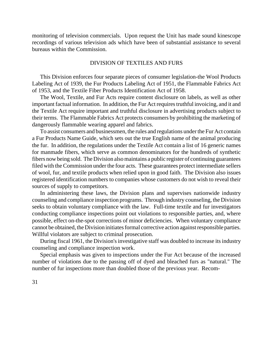monitoring of television commercials. Upon request the Unit has made sound kinescope recordings of various television ads which have been of substantial assistance to several bureaus within the Commission.

#### DIVISION OF TEXTILES AND FURS

This Division enforces four separate pieces of consumer legislation-the Wool Products Labeling Act of 1939, the Fur Products Labeling Act of 1951, the Flammable Fabrics Act of 1953, and the Textile Fiber Products Identification Act of 1958.

The Wool, Textile, and Fur Acts require content disclosure on labels, as well as other important factual information. In addition, the Fur Act requires truthful invoicing, and it and the Textile Act require important and truthful disclosure in advertising products subject to their terms. The Flammable Fabrics Act protects consumers by prohibiting the marketing of dangerously flammable wearing apparel and fabrics.

To assist consumers and businessmen, the rules and regulations underthe Fur Act contain a Fur Products Name Guide, which sets out the true English name of the animal producing the fur. In addition, the regulations under the Textile Act contain a list of 16 generic names for manmade fibers, which serve as common denominators for the hundreds of synthetic fibers now being sold. The Division also maintains a public register of continuing guarantees filed with the Commission under the four acts. These guarantees protect intermediate sellers of wool, fur, and textile products when relied upon in good faith. The Division also issues registered identification numbers to companies whose customers do not wish to reveal their sources of supply to competitors.

In administering these laws, the Division plans and supervises nationwide industry counseling and compliance inspection programs. Through industry counseling, the Division seeks to obtain voluntary compliance with the law. Full-time textile and fur investigators conducting compliance inspections point out violations to responsible parties, and, where possible, effect on-the-spot corrections of minor deficiencies. When voluntary compliance cannot be obtained, the Division initiates formal corrective action against responsible parties. Willful violators are subject to criminal prosecution.

During fiscal 1961, the Division's investigative staff was doubled to increase its industry counseling and compliance inspection work.

Special emphasis was given to inspections under the Fur Act because of the increased number of violations due to the passing off of dyed and bleached furs as "natural." The number of fur inspections more than doubled those of the previous year. Recom-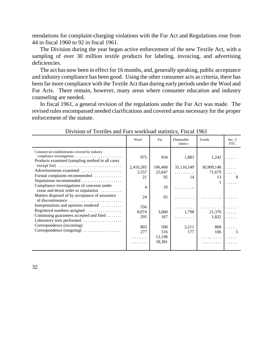mendations for complaint-charging violations with the Fur Act and Regulations rose from 44 in fiscal 1960 to 92 in fiscal 1961.

The Division during the year began active enforcement of the new Textile Act, with a sampling of over 30 million textile products for labeling, invoicing, and advertising deficiencies.

The act has now been in effect for 16 months, and, generally speaking, public acceptance and industry compliance has been good. Using the other consumer acts as criteria, there has been far more compliance with the Textile Act than during early periods under the Wool and Fur Acts. There remain, however, many areas where consumer education and industry counseling are needed.

In fiscal 1961, a general revision of the regulations under the Fur Act was made. The revised rules encompassed needed clarifications and covered areas necessary for the proper enforcement of the statute.

|                                                                                                                               | Wool      | Fur     | Flammable<br>fabrics | Textile    | Sec. 5<br><b>FTC</b> |
|-------------------------------------------------------------------------------------------------------------------------------|-----------|---------|----------------------|------------|----------------------|
| Commercial establishments covered by industry<br>compliance investigations<br>Products examined (sampling method in all cases | 975       | 934     | 1,883                | 1,242      | 1.1.1.1              |
| Advertisements examined                                                                                                       | 2,410,285 | 106,468 | 31,116,149           | 30,909,148 | 1.1.1.1              |
| Formal complaints recommended                                                                                                 | 3,557     | 25,647  | .                    | 71,679     | .                    |
| Stipulations recommended                                                                                                      | 21        | 92      | 14                   | 13         | 8                    |
| Compliance investigations of concerns under<br>cease and desist order or stipulation                                          | 4         | 10      |                      |            | $\cdot$              |
| Matters disposed of by acceptance of assurance<br>of discontinuance $\ldots, \ldots, \ldots, \ldots, \ldots, \ldots$          | 24        | 65      | .                    |            |                      |
| Interpretations and opinions rendered                                                                                         | 556       |         | .                    | . 1        | $\ldots$             |
| Registered numbers assigned                                                                                                   | 8,074     | 3,060   | 1,798                | 21,370     | $\cdot$              |
| Continuing guarantees accepted and filed<br>Laboratory tests performed                                                        | 295       | 167     | .                    | 1,822      | $\cdots$ .           |
| Correspondence (incoming)                                                                                                     | 803       | 500     | 2,211                | 868        | $\cdot$              |
| Correspondence (outgoing)                                                                                                     | 277       | 516     | 177                  | 106        | 5                    |
|                                                                                                                               |           | 12,198  |                      |            | $\ldots$             |
|                                                                                                                               |           | 18,381  |                      |            |                      |
|                                                                                                                               |           |         |                      |            |                      |

Division of Textiles and Furs workload statistics, Fiscal 1961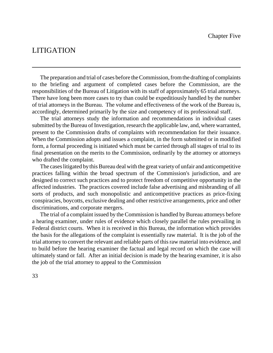# LITIGATION

The preparation and trial of cases before the Commission, from the drafting of complaints to the briefing and argument of completed cases before the Commission, are the responsibilities of the Bureau of Litigation with its staff of approximately 65 trial attorneys. There have long been more cases to try than could be expeditiously handled by the number of trial attorneys in the Bureau. The volume and effectiveness of the work of the Bureau is, accordingly, determined primarily by the size and competency of its professional staff.

The trial attorneys study the information and recommendations in individual cases submitted by the Bureau of Investigation, research the applicable law, and, where warranted, present to the Commission drafts of complaints with recommendation for their issuance. When the Commission adopts and issues a complaint, in the form submitted or in modified form, a formal proceeding is initiated which must be carried through all stages of trial to its final presentation on the merits to the Commission, ordinarily by the attorney or attorneys who drafted the complaint.

The cases litigated by this Bureau deal with the great variety of unfair and anticompetitive practices falling within the broad spectrum of the Commission's jurisdiction, and are designed to correct such practices and to protect freedom of competitive opportunity in the affected industries. The practices covered include false advertising and misbranding of all sorts of products, and such monopolistic and anticompetitive practices as price-fixing conspiracies, boycotts, exclusive dealing and other restrictive arrangements, price and other discriminations, and corporate mergers.

The trial of a complaint issued by the Commission is handled by Bureau attorneys before a hearing examiner, under rules of evidence which closely parallel the rules prevailing in Federal district courts. When it is received in this Bureau, the information which provides the basis for the allegations of the complaint is essentially raw material. It is the job of the trial attorney to convert the relevant and reliable parts of thisraw material into evidence, and to build before the hearing examiner the factual and legal record on which the case will ultimately stand or fall. After an initial decision is made by the hearing examiner, it is also the job of the trial attorney to appeal to the Commission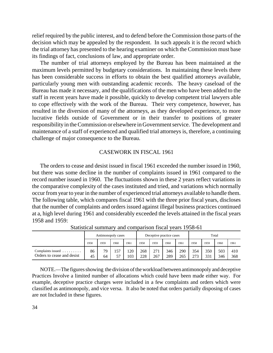relief required by the public interest, and to defend before the Commission those parts of the decision which may be appealed by the respondent. In such appeals it is the record which the trial attorney has presented to the hearing examiner on which the Commission must base its findings of fact, conclusions of law, and appropriate order.

The number of trial attorneys employed by the Bureau has been maintained at the maximum levels permitted by budgetary considerations. In maintaining these levels there has been considerable success in efforts to obtain the best qualified attorneys available, particularly young men with outstanding academic records. The heavy caseload of the Bureau has made it necessary, and the qualifications of the men who have been added to the staff in recent years have made it possible, quickly to develop competent trial lawyers able to cope effectively with the work of the Bureau. Their very competence, however, has resulted in the diversion of many of the attorneys, as they developed experience, to more lucrative fields outside of Government or in their transfer to positions of greater responsibility in theCommission or elsewhere in Governmentservice. The development and maintenance of a staff of experienced and qualified trial attorneys is, therefore, a continuing challenge of major consequence to the Bureau.

# CASEWORK IN FISCAL 1961

The orders to cease and desist issued in fiscal 1961 exceeded the number issued in 1960, but there was some decline in the number of complaints issued in 1961 compared to the record number issued in 1960. The fluctuations shown in these 2 years reflect variations in the comparative complexity of the cases instituted and tried, and variations which normally occur from year to year in the number of experienced trial attorneys available to handle them. The following table, which compares fiscal 1961 with the three prior fiscal years, discloses that the number of complaints and orders issued against illegal business practices continued at a, high level during 1961 and considerably exceeded the levels attained in the fiscal years 1958 and 1959:

|                                                               | Antimonopoly cases |          | Deceptive practice cases |            |            | Total      |            |            |            |            |            |            |
|---------------------------------------------------------------|--------------------|----------|--------------------------|------------|------------|------------|------------|------------|------------|------------|------------|------------|
|                                                               | 1958               | 1959     | 1960                     | 1961       | 1958       | 1959       | 1960       | 1961       | 1958       | 1959       | 1960       | 1961       |
| Complaints issued $\dots \dots$<br>Orders to cease and desist | 86<br>45           | 79<br>64 | 57ء<br>57                | 120<br>103 | 268<br>228 | 271<br>267 | 346<br>289 | 290<br>265 | 354<br>273 | 350<br>331 | 503<br>346 | 410<br>368 |

Statistical summary and comparison fiscal years 1958-61

NOTE.—The figures showing the division of the workload between antimonopoly and deceptive Practices Involve a limited number of allocations which could have been made either way. For example, deceptive practice charges were included in a few complaints and orders which were classified as antimonopoly, and vice versa. It also be noted that orders partially disposing of cases are not Included in these figures.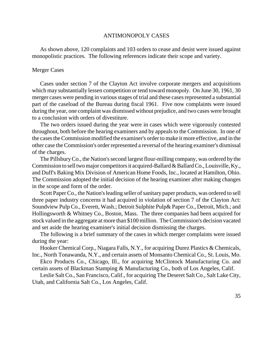### ANTIMONOPOLY CASES

As shown above, 120 complaints and 103 orders to cease and desist were issued against monopolistic practices. The following references indicate their scope and variety.

### Merger Cases

Cases under section 7 of the Clayton Act involve corporate mergers and acquisitions which may substantially lessen competition or tend toward monopoly. On June 30, 1961, 30 merger cases were pending in various stages of trial and these cases represented a substantial part of the caseload of the Bureau during fiscal 1961. Five now complaints were issued during the year, one complaint was dismissed without prejudice, and two cases were brought to a conclusion with orders of divestiture.

The two orders issued during the year were in cases which were vigorously contested throughout, both before the hearing examiners and by appeals to the Commission. In one of the casestheCommission modified the examiner's order to make it more effective, and in the other case the Commission's order represented a reversal of the hearing examiner's dismissal of the charges.

The Pillsbury Co., the Nation's second largest flour-milling company, was ordered by the Commission to sell twomajor competitorsit acquired-Ballard & Ballard Co., Louisville, Ky., and Duff's Baking Mix Division of American Home Foods, Inc., located at Hamilton, Ohio. The Commission adopted the initial decision of the hearing examiner after making changes in the scope and form of the order.

Scott Paper Co., the Nation's leading seller of sanitary paper products, was ordered to sell three paper industry concerns it had acquired in violation of section 7 of the Clayton Act: Soundview Pulp Co., Everett, Wash.; Detroit Sulphite Pulp& Paper Co., Detroit, Mich.; and Hollingsworth & Whitney Co., Boston, Mass. The three companies had been acquired for stock valued in the aggregate at more than \$100 million. The Commission's decision vacated and set aside the hearing examiner's initial decision dismissing the charges.

The following is a brief summary of the cases in which merger complaints were issued during the year:

Hooker Chemical Corp., Niagara Falls, N.Y., for acquiring Durez Plastics & Chemicals, Inc., North Tonawanda, N.Y., and certain assets of Monsanto Chemical Co., St. Louis, Mo.

Ekco Products Co., Chicago, Ill., for acquiring McClintock Manufacturing Co. and certain assets of Blackman Stamping & Manufacturing Co., both of Los Angeles, Calif.

Leslie Salt Co., San Francisco, Calif., for acquiring The Deseret Salt Co., Salt Lake City, Utah, and California Salt Co., Los Angeles, Calif.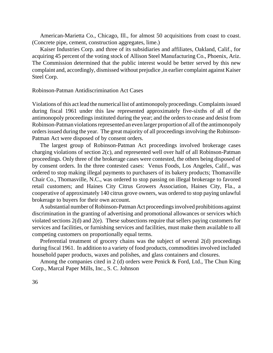American-Marietta Co., Chicago, Ill., for almost 50 acquisitions from coast to coast. (Concrete pipe, cement, construction aggregates, lime.)

Kaiser Industries Corp. and three of its subsidiaries and affiliates, Oakland, Calif., for acquiring 45 percent of the voting stock of Allison Steel Manufacturing Co., Phoenix, Ariz. The Commission determined that the public interest would be better served by this new complaint and, accordingly, dismissed without prejudice ,in earlier complaint against Kaiser Steel Corp.

Robinson-Patman Antidiscrimination Act Cases

Violations of this act lead the numerical list of antimonopoly proceedings.Complaintsissued during fiscal 1961 under this law represented approximately five-sixths of all of the antimonopoly proceedings instituted during the year; and the orders to cease and desist from Robinson-Patman violations represented an even larger proportion of all of the antimonopoly ordersissued during the year. The great majority of all proceedings involving the Robinson-Patman Act were disposed of by consent orders.

The largest group of Robinson-Patman Act proceedings involved brokerage cases charging violations of section 2(c), and represented well over half of all Robinson-Patman proceedings. Only three of the brokerage cases were contested, the others being disposed of by consent orders. In the three contested cases: Venus Foods, Los Angeles, Calif., was ordered to stop making illegal payments to purchasers of its bakery products; Thomasville Chair Co., Thomasville, N.C., was ordered to stop passing on illegal brokerage to favored retail customers; and Haines City Citrus Growers Association, Haines City, Fla., a cooperative of approximately 140 citrus grove owners, was ordered to stop paying unlawful brokerage to buyers for their own account.

A substantial number of Robinson-Patman Act proceedings involved prohibitions against discrimination in the granting of advertising and promotional allowances or services which violated sections 2(d) and 2(e). These subsections require that sellers paying customers for services and facilities, or furnishing services and facilities, must make them available to all competing customers on proportionally equal terms.

Preferential treatment of grocery chains was the subject of several 2(d) proceedings during fiscal 1961. In addition to a variety of food products, commodities involved included household paper products, waxes and polishes, and glass containers and closures.

Among the companies cited in 2 (d) orders were Penick & Ford, Ltd., The Chun King Corp., Marcal Paper Mills, Inc., S. C. Johnson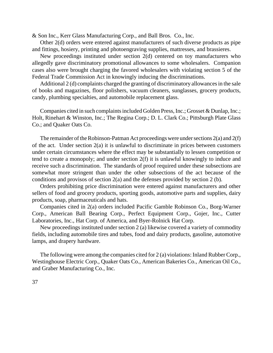& Son Inc., Kerr Glass Manufacturing Corp., and Ball Bros. Co., Inc.

Other 2(d) orders were entered against manufacturers of such diverse products as pipe and fittings, hosiery, printing and photoengraving supplies, mattresses, and brassieres.

New proceedings instituted under section 2(d) centered on toy manufacturers who allegedly gave discriminatory promotional allowances to some wholesalers. Companion cases also were brought charging the favored wholesalers with violating section 5 of the Federal Trade Commission Act in knowingly inducing the discriminations.

Additional 2 (d) complaints charged the granting of discriminatory allowances in the sale of books and magazines, floor polishers, vacuum cleaners, sunglasses, grocery products, candy, plumbing specialties, and automobile replacement glass.

Companies cited in such complaints included Golden Press, Inc.; Grosset & Dunlap, Inc.; Holt, Rinehart & Winston, Inc.; The Regina Corp.; D. L. Clark Co.; Pittsburgh Plate Glass Co.; and Quaker Oats Co.

The remainder of the Robinson-Patman Act proceedings were under sections  $2(a)$  and  $2(f)$ of the act. Under section 2(a) it is unlawful to discriminate in prices between customers under certain circumstances where the effect may be substantially to lessen competition or tend to create a monopoly; and under section 2(f) it is unlawful knowingly to induce and receive such a discrimination. The standards of proof required under these subsections are somewhat more stringent than under the other subsections of the act because of the conditions and provisos of section 2(a) and the defenses provided by section 2 (b).

Orders prohibiting price discrimination were entered against manufacturers and other sellers of food and grocery products, sporting goods, automotive parts and supplies, dairy products, soap, pharmaceuticals and hats.

Companies cited in 2(a) orders included Pacific Gamble Robinson Co., Borg-Warner Corp., American Ball Bearing Corp., Perfect Equipment Corp., Gojer, Inc., Cutter Laboratories, Inc., Hat Corp. of America, and Byer-Rolnick Hat Corp.

New proceedings instituted under section 2 (a) likewise covered a variety of commodity fields, including automobile tires and tubes, food and dairy products, gasoline, automotive lamps, and drapery hardware.

The following were among the companies cited for 2 (a) violations: Inland RubberCorp., Westinghouse Electric Corp., Quaker Oats Co., American Bakeries Co., American Oil Co., and Graber Manufacturing Co., Inc.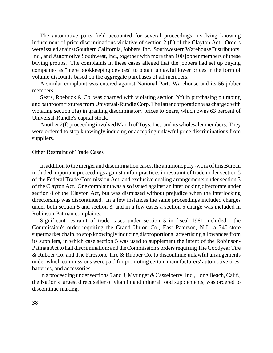The automotive parts field accounted for several proceedings involving knowing inducement of price discriminations violative of section 2 (f ) of the Clayton Act. Orders were issued against Southern California, Jobbers, Inc., Southwestern Warehouse Distributors, Inc., and Automotive Southwest, Inc., together with more than 100 jobber members of these buying groups. The complaints in these cases alleged that the jobbers had set up buying companies as "mere bookkeeping devices" to obtain unlawful lower prices in the form of volume discounts based on the aggregate purchases of all members.

A similar complaint was entered against National Parts Warehouse and its 56 jobber members.

Sears, Roebuck & Co. was charged with violating section 2(f) in purchasing plumbing and bathroom fixtures from Universal-Rundle Corp. The latter corporation was charged with violating section 2(a) in granting discriminatory prices to Sears, which owns 63 percent of Universal-Rundle's capital stock.

Another 2(f) proceeding involved March of Toys, Inc., and its wholesaler members. They were ordered to stop knowingly inducing or accepting unlawful price discriminations from suppliers.

# Other Restraint of Trade Cases

In addition to the merger and discrimination cases, the antimonopoly-work of this Bureau included important proceedings against unfair practices in restraint of trade under section 5 of the Federal Trade Commission Act, and exclusive dealing arrangements under section 3 of the Clayton Act. One complaint was also issued against an interlocking directorate under section 8 of the Clayton Act, but was dismissed without prejudice when the interlocking directorship was discontinued. In a few instances the same proceedings included charges under both section 5 and section 3, and in a few cases a section 5 charge was included in Robinson-Patman complaints.

Significant restraint of trade cases under section 5 in fiscal 1961 included: the Commission's order requiring the Grand Union Co., East Paterson, N.J., a 340-store supermarket chain, to stop knowingly inducing disproportional advertising allowances from its suppliers, in which case section 5 was used to supplement the intent of the Robinson-Patman Act to halt discrimination; and the Commission's orders requiring The Goodyear Tire & Rubber Co. and The Firestone Tire & Rubber Co. to discontinue unlawful arrangements under which commissions were paid for promoting certain manufacturers' automotive tires, batteries, and accessories.

In a proceeding under sections 5 and 3, Mytinger & Casselberry, Inc., Long Beach, Calif., the Nation's largest direct seller of vitamin and mineral food supplements, was ordered to discontinue making,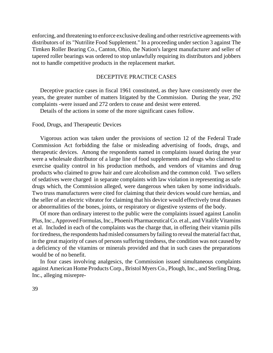enforcing, and threatening to enforce exclusive dealing and otherrestrictive agreements with distributors of its "Nutrilite Food Supplement." In a proceeding under section 3 against The Timken Roller Bearing Co., Canton, Ohio, the Nation's largest manufacturer and seller of tapered roller bearings was ordered to stop unlawfully requiring its distributors and jobbers not to handle competitive products in the replacement market.

# DECEPTIVE PRACTICE CASES

Deceptive practice cases in fiscal 1961 constituted, as they have consistently over the years, the greater number of matters litigated by the Commission. During the year, 292 complaints -were issued and 272 orders to cease and desist were entered.

Details of the actions in some of the more significant cases follow.

# Food, Drugs, and Therapeutic Devices

Vigorous action was taken under the provisions of section 12 of the Federal Trade Commission Act forbidding the false or misleading advertising of foods, drugs, and therapeutic devices. Among the respondents named in complaints issued during the year were a wholesale distributor of a large line of food supplements and drugs who claimed to exercise quality control in his production methods, and vendors of vitamins and drug products who claimed to grow hair and cure alcoholism and the common cold. Two sellers of sedatives were charged in separate complaints with law violation in representing as safe drugs which, the Commission alleged, were dangerous when taken by some individuals. Two truss manufacturers were cited for claiming that their devices would cure hernias, and the seller of an electric vibrator for claiming that his device would effectively treat diseases or abnormalities of the bones, joints, or respiratory or digestive systems of the body.

Of more than ordinary interest to the public were the complaints issued against Lanolin Plus,Inc., Approved Formulas, Inc., Phoenix Pharmaceutical Co. et al., and Vitalife Vitamins et al. Included in each of the complaints was the charge that, in offering their vitamin pills for tiredness, the respondents had misled consumers by failing to reveal the material fact that, in the great majority of cases of persons suffering tiredness, the condition was not caused by a deficiency of the vitamins or minerals provided and that in such cases the preparations would be of no benefit.

In four cases involving analgesics, the Commission issued simultaneous complaints against American Home Products Corp., Bristol Myers Co., Plough, Inc., and Sterling Drug, Inc., alleging misrepre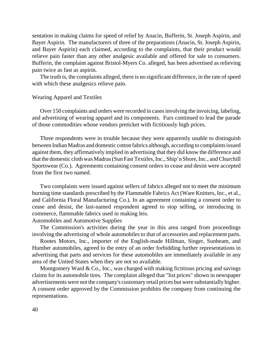sentation in making claims for speed of relief by Anacin, Bufferin, St. Joseph Aspirin, and Bayer Aspirin. The manufacturers of three of the preparations (Anacin, St. Joseph Aspirin, and Bayer Aspirin) each claimed, according to the complaints, that their product would relieve pain faster than any other analgesic available and offered for sale to consumers. Bufferin, the complaint against Bristol-Myers Co. alleged, has been advertised as relieving pain twice as fast as aspirin.

The truth is, the complaints alleged, there is no significant difference, in the rate of speed with which these analgesics relieve pain.

#### Wearing Apparel and Textiles

Over 150 complaints and orders were recorded in cases involving the invoicing, labeling, and advertising of wearing apparel and its components. Furs continued to lead the parade of those commodities whose vendors preticket with fictitiously high prices.

Three respondents were in trouble because they were apparently unable to distinguish between Indian Madras and domestic cotton fabrics although, according to complaints issued against them, they affirmatively implied in advertising that they did know the difference and that the domestic cloth was Madras (Sun Fast Textiles, Inc., Ship'n Shore, Inc., and Churchill Sportswear (Co.). Agreements containing consent orders to cease and desist were accepted from the first two named.

Two complaints were issued against sellers of fabrics alleged not to meet the minimum burning time standards prescribed by the Flammable Fabrics Act (Ware Knitters, Inc., et al., and California Floral Manufacturing Co.). In an agreement containing a consent order to cease and desist, the last-named respondent agreed to stop selling, or introducing in commerce, flammable fabrics used in making leis.

# Automobiles and Automotive Supplies

The Commission's activities during the year in this area ranged from proceedings involving the advertising of whole automobiles to that of accessories and replacement parts.

Rootes Motors, Inc., importer of the English-made Hillman, Singer, Sunbeam, and Humber automobiles, agreed to the entry of an order forbidding further representations in advertising that parts and services for these automobiles are immediately available in any area of the United States when they are not so available.

Montgomery Ward  $& Co., Inc., was charged with making fictitious pricing and savings$ claims for its automobile tires. The complaint alleged that "list prices" shown in newspaper advertisements were not the company's customary retail prices but were substantially higher. A consent order approved by the Commission prohibits the company from continuing the representations.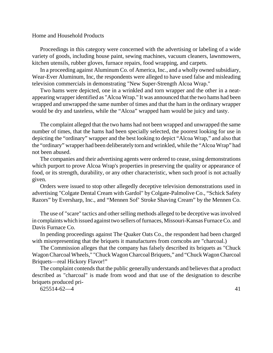### Home and Household Products

Proceedings in this category were concerned with the advertising or labeling of a wide variety of goods, including house paint, sewing machines, vacuum cleaners, lawnmowers, kitchen utensils, rubber gloves, furnace repairs, food wrapping, and carpets.

In a proceeding against Aluminum Co. of America, Inc., and a wholly owned subsidiary, Wear-Ever Aluminum, Inc, the respondents were alleged to have used false and misleading television commercials in demonstrating "New Super-Strength Alcoa Wrap."

Two hams were depicted, one in a wrinkled and torn wrapper and the other in a neatappearing wrapper identified as "Alcoa Wrap." It was announced that the two hams had been wrapped and unwrapped the same number of times and that the ham in the ordinary wrapper would be dry and tasteless, while the "Alcoa" wrapped ham would be juicy and tasty.

The complaint alleged that the two hams had not been wrapped and unwrapped the same number of times, that the hams had been specially selected, the poorest looking for use in depicting the "ordinary" wrapper and the best looking to depict "Alcoa Wrap," and also that the "ordinary" wrapper had been deliberately torn and wrinkled, while the "Alcoa Wrap" had not been abused.

The companies and their advertising agents were ordered to cease, using demonstrations which purport to prove Alcoa Wrap's properties in preserving the quality or appearance of food, or its strength, durability, or any other characteristic, when such proof is not actually given.

Orders were issued to stop other allegedly deceptive television demonstrations used in advertising "Colgate Dental Cream with Gardol" byColgate-Palmolive Co., "Schick Safety Razors" by Eversharp, Inc., and "Mennen Sof' Stroke Shaving Cream" by the Mennen Co.

The use of "scare" tactics and other selling methods alleged to be deceptive was involved in complaints which issued against two sellers of furnaces, Missouri-Kansas Furnace Co. and Davis Furnace Co.

In pending proceedings against The Quaker Oats Co., the respondent had been charged with misrepresenting that the briquets it manufactures from corncobs are "charcoal.)

The Commission alleges that the company has falsely described its briquets as "Chuck Wagon Charcoal Wheels," "Chuck Wagon Charcoal Briquets," and "Chuck Wagon Charcoal Briquets—real Hickory Flavor!"

The complaint contends that the public generally understands and believes that a product described as "charcoal" is made from wood and that use of the designation to describe briquets produced pri-

625514-62—4 41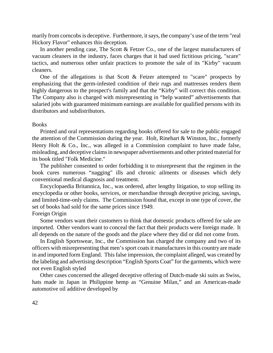marily from corncobs is deceptive. Furthermore, it says, the company's use of the term "real Hickory Flavor" enhances this deception.

In another pending case, The Scott & Fetzer Co., one of the largest manufacturers of vacuum cleaners in the industry, faces charges that it had used fictitious pricing, "scare" tactics, and numerous other unfair practices to promote the sale of its "Kirby" vacuum cleaners.

One of the allegations is that Scott  $\&$  Fetzer attempted to "scare" prospects by emphasizing that the germ-infested condition of their rugs and mattresses renders them highly dangerous to the prospect's family and that the "Kirby" will correct this condition. The Company also is charged with misrepresenting in "help wanted" advertisements that salaried jobs with guaranteed minimum earnings are available for qualified persons with its distributors and subdistributors.

### Books

Printed and oral representations regarding books offered for sale to the public engaged the attention of the Commission during the year. Holt, Rinehart & Winston, Inc., formerly Henry Holt & Co., Inc., was alleged in a Commission complaint to have made false, misleading, and deceptive claims in newspaper advertisements and other printed material for its book titled "Folk Medicine."

The publisher consented to order forbidding it to misrepresent that the regimen in the book cures numerous "nagging" ills and chronic ailments or diseases which defy conventional medical diagnosis and treatment.

Encyclopaedia Britannica, Inc., was ordered, after lengthy litigation, to stop selling its encyclopedia or other books, services, or merchandise through deceptive pricing, savings, and limited-time-only claims. The Commission found that, except in one type of cover, the set of books had sold for the same prices since 1949. Foreign Origin

Some vendors want their customers to think that domestic products offered for sale are imported. Other vendors want to conceal the fact that their products were foreign made. It all depends on the nature of the goods and the place where they did or did not come from.

In English Sportswear, Inc., the Commission has charged the company and two of its officers with misrepresenting that men's sport coats it manufactures in this country are made in and imported form England. This false impression, the complaint alleged, was created by the labeling and advertising description "English Sports Coat" for the garments, which were not even English styled

Other cases concerned the alleged deceptive offering of Dutch-made ski suits as Swiss, hats made in Japan in Philippine hemp as "Genuine Milan," and an American-made automotive oil additive developed by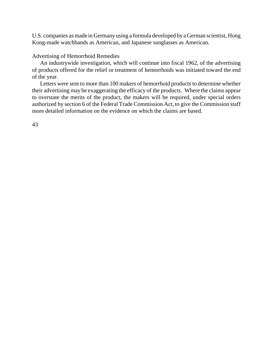U.S. companies as made in Germany using a formula developed by a German scientist, Hong Kong-made watchbands as American, and Japanese sunglasses as American.

Advertising of Hemorrhoid Remedies

An industrywide investigation, which will continue into fiscal 1962, of the advertising of products offered for the relief or treatment of hemorrhoids was initiated toward the end of the year.

Letters were sent to more than 100 makers of hemorrhoid products to determine whether their advertising may be exaggerating the efficacy of the products. Where the claims appear to overstate the merits of the product, the makers will be required, under special orders authorized by section 6 of the Federal Trade Commission Act, to give the Commission staff more detailed information on the evidence on which the claims are based.

43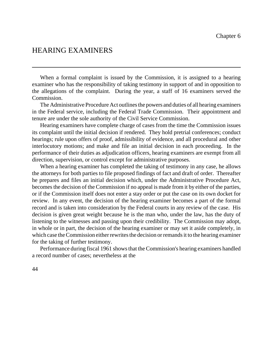# HEARING EXAMINERS

When a formal complaint is issued by the Commission, it is assigned to a hearing examiner who has the responsibility of taking testimony in support of and in opposition to the allegations of the complaint. During the year, a staff of 16 examiners served the Commission.

The Administrative Procedure Act outlines the powers and duties of all hearing examiners in the Federal service, including the Federal Trade Commission. Their appointment and tenure are under the sole authority of the Civil Service Commission.

Hearing examiners have complete charge of cases from the time the Commission issues its complaint until the initial decision if rendered. They hold pretrial conferences; conduct hearings; rule upon offers of proof, admissibility of evidence, and all procedural and other interlocutory motions; and make and file an initial decision in each proceeding. In the performance of their duties as adjudication officers, hearing examiners are exempt from all direction, supervision, or control except for administrative purposes.

When a hearing examiner has completed the taking of testimony in any case, he allows the attorneys for both parties to file proposed findings of fact and draft of order. Thereafter he prepares and files an initial decision which, under the Administrative Procedure Act, becomes the decision of the Commission if no appeal is made from it by either of the parties, or if the Commission itself does not enter a stay order or put the case on its own docket for review. In any event, the decision of the hearing examiner becomes a part of the formal record and is taken into consideration by the Federal courts in any review of the case. His decision is given great weight because he is the man who, under the law, has the duty of listening to the witnesses and passing upon their credibility. The Commission may adopt, in whole or in part, the decision of the hearing examiner or may set it aside completely, in which case the Commission either rewrites the decision or remands it to the hearing examiner for the taking of further testimony.

Performance during fiscal 1961 shows that the Commission's hearing examiners handled a record number of cases; nevertheless at the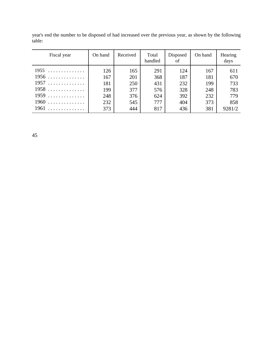| Fiscal year                                              | On hand                                | Received                               | Total<br>handled                       | Disposed<br>of                         | On hand                                | Hearing<br>days                        |
|----------------------------------------------------------|----------------------------------------|----------------------------------------|----------------------------------------|----------------------------------------|----------------------------------------|----------------------------------------|
| $1955$<br>$1956$<br>$1957$<br>$1958$<br>$1959$<br>$1960$ | 126<br>167<br>181<br>199<br>248<br>232 | 165<br>201<br>250<br>377<br>376<br>545 | 291<br>368<br>431<br>576<br>624<br>777 | 124<br>187<br>232<br>328<br>392<br>404 | 167<br>181<br>199<br>248<br>232<br>373 | 611<br>670<br>733<br>783<br>779<br>858 |
| $1961$                                                   | 373                                    | 444                                    | 817                                    | 436                                    | 381                                    | 9281/2                                 |

year's end the number to be disposed of had increased over the previous year, as shown by the following table: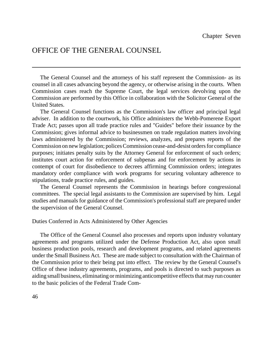# OFFICE OF THE GENERAL COUNSEL

The General Counsel and the attorneys of his staff represent the Commission- as its counsel in all cases advancing beyond the agency, or otherwise arising in the courts. When Commission cases reach the Supreme Court, the legal services devolving upon the Commission are performed by this Office in collaboration with the Solicitor General of the United States.

The General Counsel functions as the Commission's law officer and principal legal adviser. In addition to the courtwork, his Office administers the Webb-Pomerene Export Trade Act; passes upon all trade practice rules and "Guides" before their issuance by the Commission; gives informal advice to businessmen on trade regulation matters involving laws administered by the Commission; reviews, analyzes, and prepares reports of the Commission on new legislation; polices Commission cease-and-desist orders for compliance purposes; initiates penalty suits by the Attorney General for enforcement of such orders; institutes court action for enforcement of subpenas and for enforcement by actions in contempt of court for disobedience to decrees affirming Commission orders; integrates mandatory order compliance with work programs for securing voluntary adherence to stipulations, trade practice rules, and guides.

The General Counsel represents the Commission in hearings before congressional committees. The special legal assistants to the Commission are supervised by him. Legal studies and manuals for guidance of the Commission's professional staff are prepared under the supervision of the General Counsel.

# Duties Conferred in Acts Administered by Other Agencies

The Office of the General Counsel also processes and reports upon industry voluntary agreements and programs utilized under the Defense Production Act, also upon small business production pools, research and development programs, and related agreements under the Small Business Act. These are made subject to consultation with the Chairman of the Commission prior to their being put into effect. The review by the General Counsel's Office of these industry agreements, programs, and pools is directed to such purposes as aiding small business, eliminating or minimizing anticompetitive effects that may run counter to the basic policies of the Federal Trade Com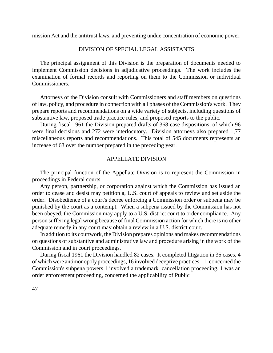mission Act and the antitrust laws, and preventing undue concentration of economic power.

# DIVISION OF SPECIAL LEGAL ASSISTANTS

The principal assignment of this Division is the preparation of documents needed to implement Commission decisions in adjudicative proceedings. The work includes the examination of formal records and reporting on them to the Commission or individual Commissioners.

Attorneys of the Division consult with Commissioners and staff members on questions of law, policy, and procedure in connection with all phases of the Commission's work. They prepare reports and recommendations on a wide variety of subjects, including questions of substantive law, proposed trade practice rules, and proposed reports to the public.

During fiscal 1961 the Division prepared drafts of 368 case dispositions, of which 96 were final decisions and 272 were interlocutory. Division attorneys also prepared 1,77 miscellaneous reports and recommendations. This total of 545 documents represents an increase of 63 over the number prepared in the preceding year.

# APPELLATE DIVISION

The principal function of the Appellate Division is to represent the Commission in proceedings in Federal courts.

Any person, partnership, or corporation against which the Commission has issued an order to cease and desist may petition a, U.S. court of appeals to review and set aside the order. Disobedience of a court's decree enforcing a Commission order or subpena may be punished by the court as a contempt. When a subpena issued by the Commission has not been obeyed, the Commission may apply to a U.S. district court to order compliance. Any person suffering legal wrong because of final Commission action for which there is no other adequate remedy in any court may obtain a review in a U.S. district court.

In addition to its courtwork, the Division prepares opinions and makes recommendations on questions of substantive and administrative law and procedure arising in the work of the Commission and in court proceedings.

During fiscal 1961 the Division handled 82 cases. It completed litigation in 35 cases, 4 of which were antimonopoly proceedings, 16 involved deceptive practices, 11 concerned the Commission's subpena powers 1 involved a trademark cancellation proceeding, 1 was an order enforcement proceeding, concerned the applicability of Public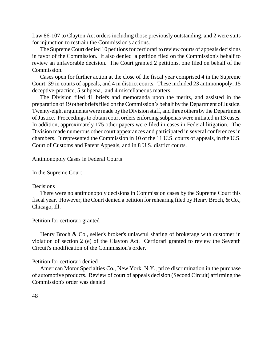Law 86-107 to Clayton Act orders including those previously outstanding, and 2 were suits for injunction to restrain the Commission's actions.

The Supreme Court denied 10 petitions for certiorari to review courts of appeals decisions in favor of the Commission. It also denied a petition filed on the Commission's behalf to review an unfavorable decision. The Court granted 2 petitions, one filed on behalf of the Commission.

Cases open for further action at the close of the fiscal year comprised 4 in the Supreme Court, 39 in courts of appeals, and 4 in district courts. These included 23 antimonopoly, 15 deceptive-practice, 5 subpena, and 4 miscellaneous matters.

The Division filed 41 briefs and memoranda upon the merits, and assisted in the preparation of 19 other briefs filed on the Commission's behalf by the Department of Justice. Twenty-eight arguments were made by the Division staff, and three others by the Department of Justice. Proceedings to obtain court orders enforcing subpenas were initiated in 13 cases. In addition, approximately 175 other papers were filed in cases in Federal litigation. The Division made numerous other court appearances and participated in several conferences in chambers. It represented the Commission in 10 of the 11 U.S. courts of appeals, in the U.S. Court of Customs and Patent Appeals, and in 8 U.S. district courts.

Antimonopoly Cases in Federal Courts

In the Supreme Court

# Decisions

There were no antimonopoly decisions in Commission cases by the Supreme Court this fiscal year. However, the Court denied a petition for rehearing filed by Henry Broch, & Co., Chicago, Ill.

Petition for certiorari granted

Henry Broch & Co., seller's broker's unlawful sharing of brokerage with customer in violation of section 2 (e) of the Clayton Act. Certiorari granted to review the Seventh Circuit's modification of the Commission's order.

# Petition for certiorari denied

American Motor Specialties Co., New York, N.Y., price discrimination in the purchase of automotive products. Review of court of appeals decision (Second Circuit) affirming the Commission's order was denied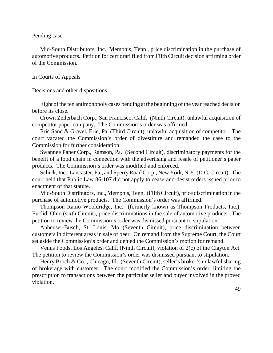### Pending case

Mid-South Distributors, Inc., Memphis, Tenn., price discrimination in the purchase of automotive products. Petition for certiorari filed from Fifth Circuit decision affirming order of the Commission.

# In Courts of Appeals

Decisions and other dispositions

Eight of the ten antimonopoly cases pending at the beginning of the yearreached decision before its close.

Crown Zellerbach Corp., San Francisco, Calif. (Ninth Circuit), unlawful acquisition of competitor paper company. The Commission's order was affirmed.

Eric Sand & Gravel, Erie, Pa. (Third Circuit), unlawful acquisition of competitor. The court vacated the Commission's order of divestiture and remanded the case to the Commission for further consideration.

Swannee Paper Corp., Ramson, Pa. (Second Circuit), discriminatory payments for the benefit of a food chain in connection with the advertising and resale of petitioner's paper products. The Commission's order was modified and enforced.

Schick, Inc., Lancaster, Pa., and SperryRoad Corp., New York, N.Y. (D.C. Circuit). The court held that Public Law 86-107 did not apply to cease-and-desist orders issued prior to enactment of that statute.

Mid-South Distributors, Inc., Memphis, Tenn. (Fifth Circuit), price discrimination in the purchase of automotive products. The Commission's order was affirmed.

Thompson Ramo Wooldridge, Inc. (formerly known as Thompson Products, Inc.), Euclid, Ohio (sixth Circuit), price discriminations in the sale of automotive products. The petition to review the Commission's order was dismissed pursuant to stipulation.

Anheuser-Busch, St. Louis, Mo (Seventh Circuit), price discrimination between customers in different areas in sale of beer. On remand from the Supreme Court, the Court set aside the Commission's order and denied the Commission's motion for remand.

Venus Foods, Los Angeles, Calif. (Ninth Circuit), violation of 2(c) of the Clayton Act. The petition to review the Commission's order was dismissed pursuant to stipulation.

Henry Broch & Co.., Chicago, Ill. (Seventh Circuit), seller's broker's unlawful sharing of brokerage with customer. The court modified the Commission's order, limiting the prescription to transactions between the particular seller and buyer involved in the proved violation.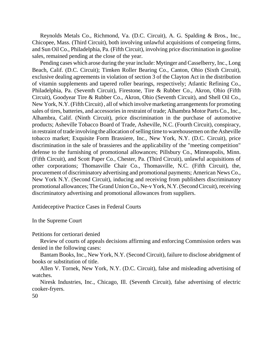Reynolds Metals Co., Richmond, Va. (D.C. Circuit), A. G. Spalding & Bros., Inc., Chicopee, Mass. (Third Circuit), both involving unlawful acquisitions of competing firms, and Sun Oil Co., Philadelphia, Pa. (Fifth Circuit), involving price discrimination in gasoline sales, remained pending at the close of the year.

Pending cases which arose during the yearinclude: Mytinger and Casselberry, Inc., Long Beach, Calif. (D.C. Circuit); Timken Roller Bearing Co., Canton, Ohio (Sixth Circuit), exclusive dealing agreements in violation of section 3 of the Clayton Act in the distribution of vitamin supplements and tapered roller bearings, respectively; Atlantic Refining Co., Philadelphia, Pa. (Seventh Circuit), Firestone, Tire & Rubber Co., Akron, Ohio (Fifth Circuit), Goodyear Tire & Rubber Co., Akron, Ohio (Seventh Circuit), and Shell Oil Co., New York, N.Y. (Fifth Circuit), all of which involve marketing arrangements for promoting sales of tires, batteries, and accessories in restraint of trade; Alhambra Motor Parts Co., Inc., Alhambra, Calif. (Ninth Circuit), price discrimination in the purchase of automotive products; Asheville Tobacco Board of Trade, Asheville, N.C. (Fourth Circuit), conspiracy, in restraint of trade involving the allocation of selling time to warehousemen on the Asheville tobacco market; Exquisite Form Brassiere, Inc., New York, N.Y. (D.C. Circuit), price discrimination in the sale of brassieres and the applicability of the "meeting competition" defense to the furnishing of promotional allowances; Pillsbury Co., Minneapolis, Minn. (Fifth Circuit), and Scott Paper Co., Chester, Pa. (Third Circuit), unlawful acquisitions of other corporations; Thomasville Chair Co., Thomasville, N.C. (Fifth Circuit), the, procurement of discriminatory advertising and promotional payments; American News Co., New York N.Y. (Second Circuit), inducing and receiving from publishers discriminatory promotional allowances; The Grand Union Co., Ne-v York, N.Y. (Second Circuit), receiving discriminatory advertising and promotional allowances from suppliers.

Antideceptive Practice Cases in Federal Courts

In the Supreme Court

Petitions for certiorari denied

Review of courts of appeals decisions affirming and enforcing Commission orders was denied in the following cases:

Bantam Books, Inc., New York, N.Y. (Second Circuit), failure to disclose abridgment of books or substitution of title.

Allen V. Tornek, New York, N.Y. (D.C. Circuit), false and misleading advertising of watches.

Niresk Industries, Inc., Chicago, Ill. (Seventh Circuit), false advertising of electric cooker-fryers.

50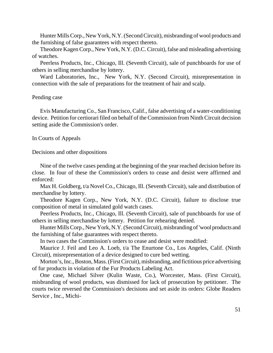Hunter Mills Corp., New York, N.Y. (Second Circuit), misbranding of wool products and the furnishing of false guarantees with respect thereto.

Theodore Kagen Corp., New York, N.Y. (D.C. Circuit), false and misleading advertising of watches.

Peerless Products, Inc., Chicago, Ill. (Seventh Circuit), sale of punchboards for use of others in selling merchandise by lottery.

Ward Laboratories, Inc., New York, N.Y. (Second Circuit), misrepresentation in connection with the sale of preparations for the treatment of hair and scalp.

### Pending case

Evis Manufacturing Co., San Francisco, Calif., false advertising of a water-conditioning device. Petition for certiorari filed on behalf of the Commission from Ninth Circuit decision setting aside the Commission's order.

### In Courts of Appeals

Decisions and other dispositions

Nine of the twelve cases pending at the beginning of the year reached decision before its close. In four of these the Commission's orders to cease and desist were affirmed and enforced:

Max H. Goldberg, t/a Novel Co., Chicago, Ill. (Seventh Circuit), sale and distribution of merchandise by lottery.

Theodore Kagen Corp., New York, N.Y. (D.C. Circuit), failure to disclose true composition of metal in simulated gold watch cases.

Peerless Products, Inc., Chicago, Ill. (Seventh Circuit), sale of punchboards for use of others in selling merchandise by lottery. Petition for rehearing denied.

Hunter Mills Corp., New York, N.Y. (Second Circuit), misbranding of 'wool products and the furnishing of false guarantees with respect thereto.

In two cases the Commission's orders to cease and desist were modified:

Maurice J. Feil and Leo A. Loeb, t/a The Enurtone Co., Los Angeles, Calif. (Ninth Circuit), misrepresentation of a device designed to cure bed wetting.

Morton's, Inc., Boston, Mass. (First Circuit), misbranding, and fictitious price advertising of fur products in violation of the Fur Products Labeling Act.

One case, Michael Silver (Kulin Waste, Co.), Worcester, Mass. (First Circuit), misbranding of wool products, was dismissed for lack of prosecution by petitioner. The courts twice reversed the Commission's decisions and set aside its orders: Globe Readers Service , Inc., Michi-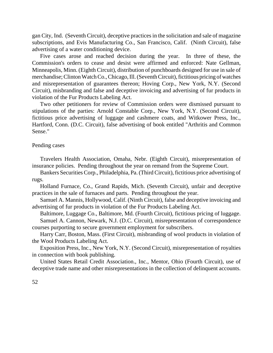gan City, Ind. (Seventh Circuit), deceptive practices in the solicitation and sale of magazine subscriptions, and Evis Manufacturing Co., San Francisco, Calif. (Ninth Circuit), false advertising of a water conditioning device.

Five cases arose and reached decision during the year. In three of these, the Commission's orders to cease and desist were affirmed and enforced: Nate Gellman, Minneapolis, Minn. (Eighth Circuit), distribution of punchboards designed for use in sale of merchandise; Clinton Watch Co., Chicago, Ill. (Seventh Circuit), fictitious pricing of watches and misrepresentation of guarantees thereon; Hoving Corp., New York, N.Y. (Second Circuit), misbranding and false and deceptive invoicing and advertising of fur products in violation of the Fur Products Labeling Act.

Two other petitioners for review of Commission orders were dismissed pursuant to stipulations of the parties: Arnold Constable Corp., New York, N.Y. (Second Circuit), fictitious price advertising of luggage and cashmere coats, and Witkower Press, Inc., Hartford, Conn. (D.C. Circuit), false advertising of book entitled "Arthritis and Common Sense."

# Pending cases

Travelers Health Association, Omaha, Nebr. (Eighth Circuit), misrepresentation of insurance policies. Pending throughout the year on remand from the Supreme Court.

Bankers Securities Corp., Philadelphia, Pa. (Third Circuit), fictitious price advertising of rugs.

Holland Furnace, Co., Grand Rapids, Mich. (Seventh Circuit), unfair and deceptive practices in the sale of furnaces and parts. Pending throughout the year.

Samuel A. Mannis, Hollywood, Calif. (Ninth Circuit), false and deceptive invoicing and advertising of fur products in violation of the Fur Products Labeling Act.

Baltimore, Luggage Co., Baltimore, Md. (Fourth Circuit), fictitious pricing of luggage. Samuel A. Cannon, Newark, N.J. (D.C. Circuit), misrepresentation of correspondence courses purporting to secure government employment for subscribers.

Harry Carr, Boston, Mass. (First Circuit), misbranding of wool products in violation of the Wool Products Labeling Act.

Exposition Press, Inc., New York, N.Y. (Second Circuit), misrepresentation of royalties in connection with book publishing.

United States Retail Credit Association., Inc., Mentor, Ohio (Fourth Circuit), use of deceptive trade name and other misrepresentations in the collection of delinquent accounts.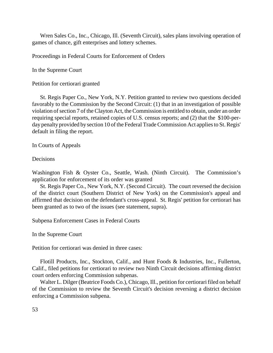Wren Sales Co., Inc., Chicago, Ill. (Seventh Circuit), sales plans involving operation of games of chance, gift enterprises and lottery schemes.

Proceedings in Federal Courts for Enforcement of Orders

In the Supreme Court

Petition for certiorari granted

St. Regis Paper Co., New York, N.Y. Petition granted to review two questions decided favorably to the Commission by the Second Circuit: (1) that in an investigation of possible violation of section 7 of the Clayton Act, the Commission is entitled to obtain, under an order requiring special reports, retained copies of U.S. census reports; and (2) that the \$100-perday penalty provided by section 10 of the Federal Trade Commission Act applies to St. Regis' default in filing the report.

In Courts of Appeals

Decisions

Washington Fish & Oyster Co., Seattle, Wash. (Ninth Circuit). The Commission's application for enforcement of its order was granted

St. Regis Paper Co., New York, N.Y. (Second Circuit). The court reversed the decision of the district court (Southern District of New York) on the Commission's appeal and affirmed that decision on the defendant's cross-appeal. St. Regis' petition for certiorari has been granted as to two of the issues (see statement, supra).

Subpena Enforcement Cases in Federal Courts

In the Supreme Court

Petition for certiorari was denied in three cases:

Flotill Products, Inc., Stockton, Calif., and Hunt Foods & Industries, Inc., Fullerton, Calif., filed petitions for certiorari to review two Ninth Circuit decisions affirming district court orders enforcing Commission subpenas.

Walter L. Dilger (Beatrice Foods Co.), Chicago, Ill., petition for certiorari filed on behalf of the Commission to review the Seventh Circuit's decision reversing a district decision enforcing a Commission subpena.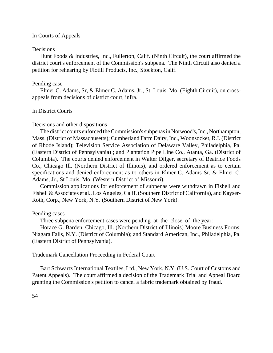# In Courts of Appeals

# **Decisions**

Hunt Foods & Industries, Inc., Fullerton, Calif. (Ninth Circuit), the court affirmed the district court's enforcement of the Commission's subpena. The Ninth Circuit also denied a petition for rehearing by Flotill Products, Inc., Stockton, Calif.

# Pending case

Elmer C. Adams, Sr, & Elmer C. Adams, Jr., St. Louis, Mo. (Eighth Circuit), on crossappeals from decisions of district court, infra.

# In District Courts

# Decisions and other dispositions

The district courts enforced the Commission's subpenas in Norwood's, Inc., Northampton, Mass. (District of Massachusetts); Cumberland Farm Dairy, Inc., Woonsocket, R.I. (District of Rhode Island); Television Service Association of Delaware Valley, Philadelphia, Pa. (Eastern District of Pennsylvania) ; and Plantation Pipe Line Co., Atanta, Ga. (District of Columbia). The courts denied enforcement in Walter Dilger, secretary of Beatrice Foods Co., Chicago Ill. (Northern District of Illinois), and ordered enforcement as to certain specifications and denied enforcement as to others in Elmer C. Adams Sr. & Elmer C. Adams, Jr., St Louis, Mo. (Western District of Missouri).

Commission applications for enforcement of subpenas were withdrawn in Fishell and Fishell & Associates et al., Los Angeles, Calif. (Southern District of California), and Kayser-Roth, Corp., New York, N.Y. (Southern District of New York).

# Pending cases

Three subpena enforcement cases were pending at the close of the year:

Horace G. Barden, Chicago, Ill. (Northern District of Illinois) Moore Business Forms, Niagara Falls, N.Y. (District of Columbia); and Standard American, Inc., Philadelphia, Pa. (Eastern District of Pennsylvania).

Trademark Cancellation Proceeding in Federal Court

Bart Schwartz International Textiles, Ltd., New York, N.Y. (U.S. Court of Customs and Patent Appeals). The court affirmed a decision of the Trademark Trial and Appeal Board granting the Commission's petition to cancel a fabric trademark obtained by fraud.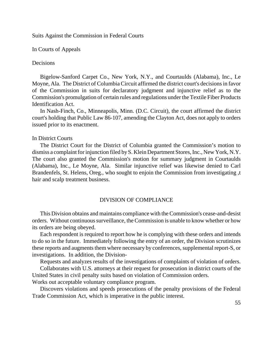Suits Against the Commission in Federal Courts

In Courts of Appeals

# Decisions

Bigelow-Sanford Carpet Co., New York, N.Y., and Courtaulds (Alabama), Inc., Le Moyne, Ala. The District of Columbia Circuit affirmed the district court's decisions in favor of the Commission in suits for declaratory judgment and injunctive relief as to the Commission's promulgation of certain rules and regulations under the Textile Fiber Products Identification Act.

In Nash-Finch, Co., Minneapolis, Minn. (D.C. Circuit), the court affirmed the district court's holding that Public Law 86-107, amending the Clayton Act, does not apply to orders issued prior to its enactment.

### In District Courts

The District Court for the District of Columbia granted the Commission's motion to dismiss a complaint for injunction filed by S. Klein Department Stores, Inc., New York, N.Y. The court also granted the Commission's motion for summary judgment in Courtaulds (Alabama), Inc., Le Moyne, Ala. Similar injunctive relief was likewise denied to Carl Brandenfels, St. Helens, Oreg., who sought to enjoin the Commission from investigating ,t hair and scalp treatment business.

# DIVISION OF COMPLIANCE

This Division obtains and maintains compliance with theCommission's cease-and-desist orders. Without continuous surveillance, the Commission is unable to know whether or how its orders are being obeyed.

Each respondent is required to report how he is complying with these orders and intends to do so in the future. Immediately following the entry of an order, the Division scrutinizes these reports and augments them where necessary by conferences, supplemental report-S, or investigations. In addition, the Division-

Requests and analyzes results of the investigations of complaints of violation of orders.

Collaborates with U.S. attorneys at their request for prosecution in district courts of the United States in civil penalty suits based on violation of Commission orders. Works out acceptable voluntary compliance program.

Discovers violations and speeds prosecutions of the penalty provisions of the Federal Trade Commission Act, which is imperative in the public interest.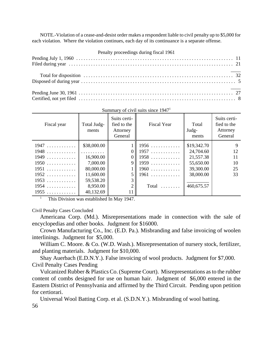NOTE.-Violation of a cease-and-desist order makes a respondent liable to civil penalty up to \$5,000 for each violation. Where the violation continues, each day of its continuance is a separate offense.

### Penalty proceedings during fiscal 1961 Pending July 1, 1960 ................................................................ 11 Filed during year ................................................................... 21  $\overline{\phantom{a}}$ Total for disposition ............................................................. 32 Disposed of during year ............................................................... 5  $\overline{\phantom{a}}$ Pending June 30, 1961 ............................................................... 27 Certified, not yet filed ................................................................ 8

| Fiscal year                                                                    | Total Judg-<br>ments                                                                                      | Suits certi-<br>fied to the<br>Attorney<br>General | <b>Fiscal Year</b>                                              | Total<br>Judg-<br>ments                                                                    | Suits certi-<br>fied to the<br>Attorney<br>General |
|--------------------------------------------------------------------------------|-----------------------------------------------------------------------------------------------------------|----------------------------------------------------|-----------------------------------------------------------------|--------------------------------------------------------------------------------------------|----------------------------------------------------|
| 1947<br>1948<br>1949<br>$1950$<br>$1951$<br>$1952$<br>$1953$<br>$1954$<br>1955 | \$38,000.00<br>.<br>16,900.00<br>7,000.00<br>80,000.00<br>11,600.00<br>59,538.20<br>8,950.00<br>40,132.69 | $\Omega$<br>9<br>3<br>2<br>11                      | 1956<br>1957<br>$1958$<br>$1959$<br>$1960$<br>$1961$<br>$Total$ | \$19,342.70<br>24,704.60<br>21,557.38<br>55,650.00<br>39,300.00<br>38,000.00<br>460,675.57 | 9<br>12<br>11<br>10<br>25<br>33                    |

### Summary of civil suits since 1947<sup>1</sup>

<sup>1</sup> This Division was established In May 1947.

## Civil Penalty Cases Concluded

Americana Corp. (Md.). Misrepresentations made in connection with the sale of encyclopedias and other books. Judgment for \$16000.

Crown Manufacturing Co., Inc. (E.D. Pa.). Misbranding and false invoicing of woolen interlinings. Judgment for \$5,000.

William C. Moore. & Co. (W.D. Wash.). Misrepresentation of nursery stock, fertilizer, and planting materials. Judgment for \$10,000.

Shay Auerbach (E.D.N.Y.). False invoicing of wool products. Judgment for \$7,000. Civil Penalty Cases Pending

Vulcanized Rubber & Plastics Co. (Supreme Court). Misrepresentations as to the rubber content of combs designed for use on human hair. Judgment of \$6,000 entered in the Eastern District of Pennsylvania and affirmed by the Third Circuit. Pending upon petition for certiorari.

Universal Wool Batting Corp. et al. (S.D.N.Y.). Misbranding of wool batting. 56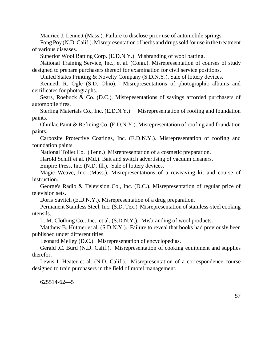Maurice J. Lennett (Mass.). Failure to disclose prior use of automobile springs.

Fong Poy (N.D. Calif.). Misrepresentation of herbs and drugs sold for use in the treatment of various diseases.

Superior Wool Batting Corp. (E.D.N.Y.). Misbranding of wool batting.

National Training Service, Inc., et al. (Conn.). Misrepresentation of courses of study designed to prepare purchasers thereof for examination for civil service positions.

United States Printing & Novelty Company (S.D.N.Y.). Sale of lottery devices.

Kenneth R. Ogle (S.D. Ohio). Misrepresentations of photographic albums and certificates for photographs.

Sears, Roebuck & Co. (D.C.). Misrepesentations of savings afforded purchasers of automobile tires.

Sterling Materials Co., Inc. (E.D.N.Y.) Misrepresentation of roofing and foundation paints.

Ohmlac Paint & Refining Co. (E.D.N.Y.). Misrepresentation of roofing and foundation paints.

Carbozite Protective Coatings, Inc. (E.D.N.Y.). Misrepresentation of roofing and foundation paints.

National Toilet Co. (Tenn.) Misrepresentation of a cosmetic preparation.

Harold Schiff et al. (Md.). Bait and switch advertising of vacuum cleaners.

Empire Press, Inc. (N.D. Ill.). Sale of lottery devices.

Magic Weave, Inc. (Mass.). Misrepresentations of a reweaving kit and course of instruction.

George's Radio & Television Co., Inc. (D.C.). Misrepresentation of regular price of television sets.

Doris Savitch (E.D.N.Y.). Misrepresentation of a drug preparation.

Permanent Stainless Steel, Inc. (S.D. Tex.) Misrepresentation of stainless-steel cooking utensils.

L. M. Clothing Co., Inc., et al. (S.D.N.Y.). Misbranding of wool products.

Matthew B. Huttner et al. (S.D.N.Y.). Failure to reveal that books had previously been published under different titles.

Leonard Melley (D.C.). Misrepresentation of encyclopedias.

Gerald .C. Burd (N.D. Calif.). Misrepresentation of cooking equipment and supplies therefor.

Lewis I. Heater et al. (N.D. Calif.). Misrepresentation of a correspondence course designed to train purchasers in the field of motel management.

625514-62—5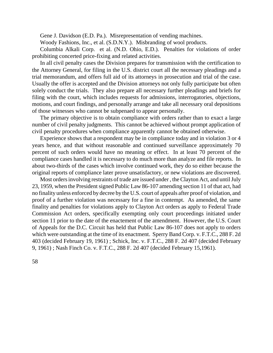Gene J. Davidson (E.D. Pa.). Misrepresentation of vending machines.

Woody Fashions, Inc., et al. (S.D.N.Y.). Misbranding of wool products.

Columbia Alkali Corp. et al. (N.D. Ohio, E.D.). Penalties for violations of order prohibiting concerted price-fixing and related activities.

In all civil penalty cases the Division prepares for transmission with the certification to the Attorney General, for filing in the U.S. district court all the necessary pleadings and a trial memorandum, and offers full aid of its attorneys in prosecution and trial of the case. Usually the offer is accepted and the Division attorneys not only fully participate but often solely conduct the trials. They also prepare all necessary further pleadings and briefs for filing with the court, which includes requests for admissions, interrogatories, objections, motions, and court findings, and personally arrange and take all necessary oral depositions of those witnesses who cannot be subpenaed to appear personally.

The primary objective is to obtain compliance with orders rather than to exact a large number of civil penalty judgments. This cannot be achieved without prompt application of civil penalty procedures when compliance apparently cannot be obtained otherwise.

Experience shows that a respondent may be in compliance today and in violation 3 or 4 years hence, and that without reasonable and continued surveillance approximately 70 percent of such orders would have no meaning or effect. In at least 70 percent of the compliance cases handled it is necessary to do much more than analyze and file reports. In about two-thirds of the cases which involve continued work, they do so either because the original reports of compliance later prove unsatisfactory, or new violations are discovered.

Most orders involving restraints of trade are issued under, the Clayton Act, and until July 23, 1959, when the President signed Public Law 86-107 amending section 11 of that act, had no finality unless enforced by decree by the U.S. court of appeals after proof of violation, and proof of a further violation was necessary for a fine in contempt. As amended, the same finality and penalties for violations apply to Clayton Act orders as apply to Federal Trade Commission Act orders, specifically exempting only court proceedings initiated under section 11 prior to the date of the enactement of the amendment. However, the U.S. Court of Appeals for the D.C. Circuit has held that Public Law 86-107 does not apply to orders which were outstanding at the time of its enactment. Sperry Band Corp. v. F.T.C., 288 F. 2d 403 (decided February 19, 1961) ; Schick, Inc. v. F.T.C., 288 F. 2d 407 (decided February 9, 1961) ; Nash Finch Co. v. F.T.C., 288 F. 2d 407 (decided February 15,1961).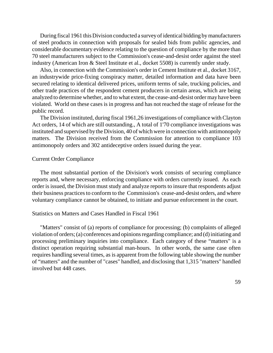During fiscal 1961 this Division conducted a surveyofidentical bidding by manufacturers of steel products in connection with proposals for sealed bids from public agencies, and considerable documentary evidence relating to the question of compliance by the more than 70 steel manufacturers subject to the Commission's cease-and-desist order against the steel industry (American Iron & Steel Institute et al., docket 5508) is currently under study.

Also, in connection with the Commission's order in Cement Institute et al., docket 3167, an industrywide price-fixing conspiracy matter, detailed information and data have been secured relating to identical delivered prices, uniform terms of sale, trucking policies, and other trade practices of the respondent cement producers in certain areas, which are being analyzed to determine whether, and to what extent, the cease-and-desist order may have been violated. World on these cases is in progress and has not reached the stage of release for the public record.

The Division instituted, during fiscal 1961,26 investigations of compliance with Clayton Act orders, 14 of which are still outstanding., A total of 1'70 compliance investigations was instituted and supervised by the Division, 40 of which were in connection with antimonopoly matters. The Division received from the Commission for attention to compliance 103 antimonopoly orders and 302 antideceptive orders issued during the year.

### Current Order Compliance

The most substantial portion of the Division's work consists of securing compliance reports and, where necessary, enforcing compliance with orders currently issued. As each order is issued, the Division must study and analyze reports to insure that respondents adjust their business practices to conform to the Commission's cease-and-desist orders, and where voluntary compliance cannot be obtained, to initiate and pursue enforcement in the court.

### Statistics on Matters and Cases Handled in Fiscal 1961

"Matters" consist of (a) reports of compliance for processing; (b) complaints of alleged violation of orders; (a) conferences and opinions regarding compliance; and (d) initiating and processing preliminary inquiries into compliance. Each category of these "matters" is a distinct operation requiring substantial man-hours. In other words, the same case often requires handling several times, as is apparent from the following table showing the number of "matters" and the number of "cases" handled, and disclosing that 1,315 "matters" handled involved but 448 cases.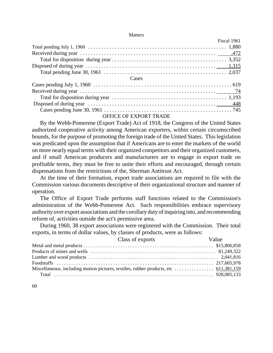|                          | Fiscal 1961 |
|--------------------------|-------------|
|                          |             |
|                          |             |
|                          |             |
|                          |             |
|                          |             |
| Cases                    |             |
|                          |             |
|                          |             |
|                          |             |
|                          |             |
|                          |             |
| AEEICE AF EVDADT TD A DE |             |

Matters

### OFFICE OF EXPORT TRADE

By the Webb-Pomerene (Export Trade) Act of 1918, the Congress of the United States authorized cooperative activity among American exporters, within certain circumscribed bounds, for the purpose of promoting the foreign trade of the United States. This legislation was predicated upon the assumption that if Americans are to enter the markets of the world on more nearly equal terms with their organized competitors and their organized customers, and if small American producers and manufacturers are to engage in export trade on profitable terms, they must be free to unite their efforts and encouraged, through certain dispensations from the restrictions of the, Sherman Antitrust Act.

At the time of their formation, export trade associations are required to file with the Commission various documents descriptive of their organizational structure and manner of operation.

The Office of Export Trade performs staff functions related to the Commission's administration of the Webb-Pomerene Act. Such responsibilities embrace supervisory authorityover export associations and the corollary duty of inquiring into, and recommending reform of, activities outside the act's permissive area.

During 1960, 38 export associations were registered with the Commission. Their total exports, in terms of dollar values, by classes of products, were as follows:

| Class of exports | <b>Solution</b> Value |
|------------------|-----------------------|
|                  |                       |
|                  |                       |
|                  |                       |
|                  |                       |
|                  |                       |
|                  |                       |

60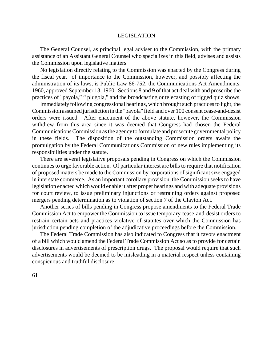### LEGISLATION

The General Counsel, as principal legal adviser to the Commission, with the primary assistance of an Assistant General Counsel who specializes in this field, advises and assists the Commission upon legislative matters.

No legislation directly relating to the Commission was enacted by the Congress during the fiscal year. of importance to the Commission, however, and possibly affecting the administration of its laws, is Public Law 86-752, the Communications Act Amendments, 1960, approved September 13, 1960. Sections 8 and 9 of that act deal with and proscribe the practices of "payola," " plugola," and the broadcasting or telecasting of rigged quiz shows.

Immediately following congressional hearings, which brought such practices to light, the Commission assumed jurisdiction in the "payola" field and over 100 consent cease-and-desist orders were issued. After enactment of the above statute, however, the Commission withdrew from this area since it was deemed that Congress had chosen the Federal CommunicationsCommission asthe agencyto formulate and prosecute governmental policy in these fields. The disposition of the outstanding Commission orders awaits the promulgation by the Federal Communications Commission of new rules implementing its responsibilities under the statute.

There are several legislative proposals pending in Congress on which the Commission continues to urge favorable action. Of particular interest are bills to require that notification of proposed matters be made to the Commission by corporations of significant size engaged in interstate commerce. As an important corollary provision, the Commission seeks to have legislation enacted which would enable it after proper hearings and with adequate provisions for court review, to issue preliminary injunctions or restraining orders against proposed mergers pending determination as to violation of section 7 of the Clayton Act.

Another series of bills pending in Congress propose amendments to the Federal Trade Commission Act to empower the Commission to issue temporary cease-and-desist orders to restrain certain acts and practices violative of statutes over which the Commission has jurisdiction pending completion of the adjudicative proceedings before the Commission.

The Federal Trade Commission has also indicated to Congress that it favors enactment of a bill which would amend the Federal Trade Commission Act so as to provide for certain disclosures in advertisements of prescription drugs. The proposal would require that such advertisements would be deemed to be misleading in a material respect unless containing conspicuous and truthful disclosure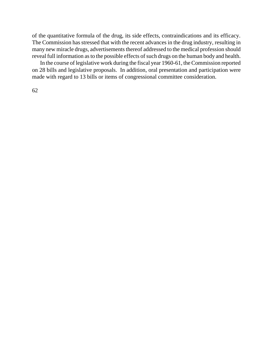of the quantitative formula of the drug, its side effects, contraindications and its efficacy. The Commission has stressed that with the recent advances in the drug industry, resulting in many new miracle drugs, advertisements thereof addressed to the medical profession should reveal full information as to the possible effects of such drugs on the human body and health.

In the course of legislative work during the fiscal year 1960-61, the Commission reported on 28 bills and legislative proposals. In addition, oral presentation and participation were made with regard to 13 bills or items of congressional committee consideration.

62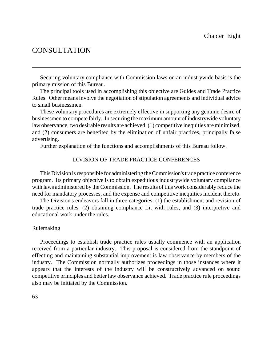# CONSULTATION

Securing voluntary compliance with Commission laws on an industrywide basis is the primary mission of this Bureau.

The principal tools used in accomplishing this objective are Guides and Trade Practice Rules. Other means involve the negotiation of stipulation agreements and individual advice to small businessmen.

These voluntary procedures are extremely effective in supporting any genuine desire of businessmen to compete fairly. In securing the maximum amount of industrywide voluntary law observance, two desirable results are achieved:(1) competitive inequities areminimized, and (2) consumers are benefited by the elimination of unfair practices, principally false advertising.

Further explanation of the functions and accomplishments of this Bureau follow.

# DIVISION OF TRADE PRACTICE CONFERENCES

This Division isresponsible for administering the Commission's trade practice conference program. Its primary objective is to obtain expeditious industrywide voluntary compliance with laws administered by the Commission. The results of this work considerably reduce the need for mandatory processes, and the expense and competitive inequities incident thereto.

The Division's endeavors fall in three categories: (1) the establishment and revision of trade practice rules, (2) obtaining compliance Lit with rules, and (3) interpretive and educational work under the rules.

# Rulemaking

Proceedings to establish trade practice rules usually commence with an application received from a particular industry. This proposal is considered from the standpoint of effecting and maintaining substantial improvement is law observance by members of the industry. The Commission normally authorizes proceedings in those instances where it appears that the interests of the industry will be constructively advanced on sound competitive principles and better law observance achieved. Trade practice rule proceedings also may be initiated by the Commission.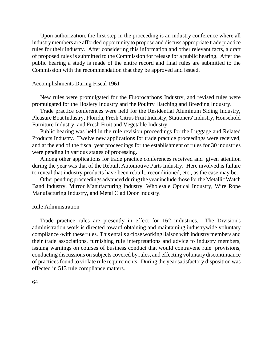Upon authorization, the first step in the proceeding is an industry conference where all industrymembers are afforded opportunity to propose and discuss appropriate trade practice rules for their industry. After considering this information and other relevant facts, a draft of proposed rules is submitted to the Commission for release for a public hearing. After the public hearing a study is made of the entire record and final rules are submitted to the Commission with the recommendation that they be approved and issued.

### Accomplishments During Fiscal 1961

New rules were promulgated for the Fluorocarbons Industry, and revised rules were promulgated for the Hosiery Industry and the Poultry Hatching and Breeding Industry.

Trade practice conferences were held for the Residential Aluminum Siding Industry, Pleasure Boat Industry, Florida, Fresh Citrus Fruit Industry, Stationers' Industry, Household Furniture Industry, and Fresh Fruit and Vegetable Industry.

Public hearing was held in the rule revision proceedings for the Luggage and Related Products Industry. Twelve new applications for trade practice proceedings were received, and at the end of the fiscal year proceedings for the establishment of rules for 30 industries were pending in various stages of processing.

Among other applications for trade practice conferences received and given attention during the year was that of the Rebuilt Automotive Parts Industry. Here involved is failure to reveal that industry products have been rebuilt, reconditioned, etc., as the case may be.

Other pending proceedings advanced during the yearinclude those forthe Metallic Watch Band Industry, Mirror Manufacturing Industry, Wholesale Optical Industry, Wire Rope Manufacturing Industry, and Metal Clad Door Industry.

### Rule Administration

Trade practice rules are presently in effect for 162 industries. The Division's administration work is directed toward obtaining and maintaining industrywide voluntary compliance -with these rules. This entails a close working liaison with industry members and their trade associations, furnishing rule interpretations and advice to industry members, issuing warnings on courses of business conduct that would contravene rule provisions, conducting discussions on subjects covered by rules, and effecting voluntary discontinuance of practices found to violate rule requirements. During the year satisfactory disposition was effected in 513 rule compliance matters.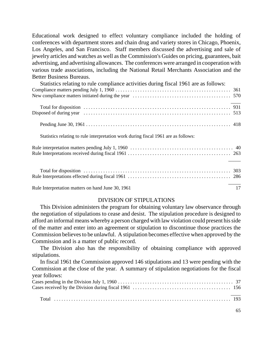Educational work designed to effect voluntary compliance included the holding of conferences with department stores and chain drug and variety stores in Chicago, Phoenix, Los Angeles, and San Francisco. Staff members discussed the advertising and sale of jewelry articles and watches as well asthe Commission's Guides on pricing, guarantees, bait advertising, and advertising allowances. The conferences were arranged in cooperation with various trade associations, including the National Retail Merchants Association and the Better Business Bureaus.

| Statistics relating to rule compliance activities during fiscal 1961 are as follows: |    |
|--------------------------------------------------------------------------------------|----|
|                                                                                      |    |
|                                                                                      |    |
|                                                                                      |    |
|                                                                                      |    |
|                                                                                      |    |
|                                                                                      |    |
|                                                                                      |    |
| Statistics relating to rule interpretation work during fiscal 1961 are as follows:   |    |
|                                                                                      |    |
|                                                                                      |    |
|                                                                                      |    |
|                                                                                      |    |
|                                                                                      |    |
|                                                                                      |    |
|                                                                                      |    |
| Rule Interpretation matters on hand June 30, 1961                                    | 17 |

# DIVISION OF STIPULATIONS

This Division administers the program for obtaining voluntary law observance through the negotiation of stipulations to cease and desist. The stipulation procedure is designed to afford an informal means whereby a person charged with law violation could present hisside of the matter and enter into an agreement or stipulation to discontinue those practices the Commission believes to be unlawful. A stipulation becomes effective when approved by the Commission and is a matter of public record.

The Division also has the responsibility of obtaining compliance with approved stipulations.

In fiscal 1961 the Commission approved 146 stipulations and 13 were pending with the Commission at the close of the year. A summary of stipulation negotiations for the fiscal year follows: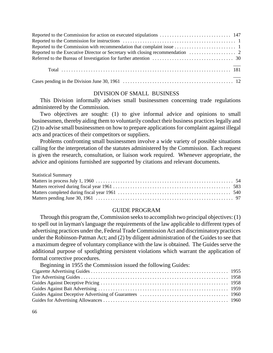# DIVISION OF SMALL BUSINESS

This Division informally advises small businessmen concerning trade regulations administered by the Commission.

Two objectives are sought: (1) to give informal advice and opinions to small businessmen, thereby aiding them to voluntarily conduct their business practices legally and (2) to advise small businessmen on how to prepare applications for complaint against illegal acts and practices of their competitors or suppliers.

Problems confronting small businessmen involve a wide variety of possible situations calling for the interpretation of the statutes administered by the Commission. Each request is given the research, consultation, or liaison work required. Whenever appropriate, the advice and opinions furnished are supported by citations and relevant documents.

| <b>Statistical Summary</b> |  |
|----------------------------|--|
|                            |  |
|                            |  |
|                            |  |
|                            |  |

### GUIDE PROGRAM

Through this program the, Commission seeks to accomplish two principal objectives:  $(1)$ to spell out in layman's language the requirements of the law applicable to different types of advertising practices under the, Federal Trade Commission Act and discriminatory practices under the Robinson-Patman Act; and (2) by diligent administration of the Guides to see that a maximum degree of voluntary compliance with the law is obtained. The Guides serve the additional purpose of spotlighting persistent violations which warrant the application of formal corrective procedures.

Beginning in 1955 the Commission issued the following Guides: Cigarette Advertising Guides ........................................................ 1955 Tire Advertising Guides ............................................................ 1958 Guides Against Deceptive Pricing .................................................... 1958 Guides Against Bait Advertising ..................................................... 1959 Guides Against Deceptive Advertising of Guarantees .................................... 1960 Guides for Advertising Allowances ................................................... 1960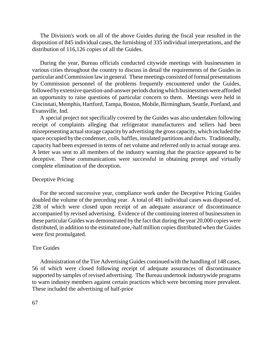The Division's work on all of the above Guides during the fiscal year resulted in the disposition of 845 individual cases, the furnishing of 335 individual interpretations, and the distribution of 116,126 copies of all the Guides.

During the year, Bureau officials conducted citywide meetings with businessmen in various cities throughout the country to discuss in detail the requirements of the Guides in particular andCommission law in general. These meetings consisted of formal presentations by Commission personnel of the problems frequently encountered under the Guides, followed byextensive question-and-answer periods during which businessmen were afforded an opportunity to raise questions of particular concern to them. Meetings were held in Cincinnati, Memphis, Hartford, Tampa, Boston, Mobile, Birmingham, Seattle, Portland, and Evansville, Ind.

A special project not specifically covered by the Guides was also undertaken following receipt of complaints alleging that refrigerator manufacturers and sellers had been misrepresenting actual storage capacity by advertising the gross capacity, which included the space occupied by the condenser, coils, baffles, insulated partitions and ducts. Traditionally, capacity had been expressed in terms of net volume and referred only to actual storage area. A letter was sent to all members of the industry warning that the practice appeared to be deceptive. These communications were successful in obtaining prompt and virtually complete elimination of the deception.

#### Deceptive Pricing

For the second successive year, compliance work under the Deceptive Pricing Guides doubled the volume of the preceding year. A total of 481 individual cases was disposed of, 238 of which were closed upon receipt of an adequate assurance of discontinuance accompanied by revised advertising. Evidence of the continuing interest of businessmen in these particular Guides was demonstrated by the fact that during the year 20,000 copies were distributed, in addition to the estimated one,-half million copies distributed when the Guides were first promulgated.

# Tire Guides

Administration of the Tire Advertising Guides continued with the handling of 148 cases, 56 of which were closed following receipt of adequate assurances of discontinuance supported by samples of revised advertising. The Bureau undertook industrywide programs to warn industry members against certain practices which were becoming more prevalent. These included the advertising of half-price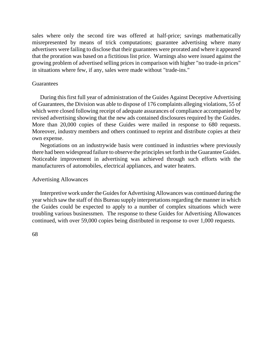sales where only the second tire was offered at half-price; savings mathematically misrepresented by means of trick computations; guarantee advertising where many advertisers were failing to disclose that their guarantees were prorated and where it appeared that the proration was based on a fictitious list price. Warnings also were issued against the growing problem of advertised selling prices in comparison with higher "no trade-in prices" in situations where few, if any, sales were made without "trade-ins."

## **Guarantees**

During this first full year of administration of the Guides Against Deceptive Advertising of Guarantees, the Division was able to dispose of 176 complaints alleging violations, 55 of which were closed following receipt of adequate assurances of compliance accompanied by revised advertising showing that the new ads contained disclosures required by the Guides. More than 20,000 copies of these Guides were mailed in response to 680 requests. Moreover, industry members and others continued to reprint and distribute copies at their own expense.

Negotiations on an industrywide basis were continued in industries where previously there had been widespread failure to observe the principles set forth in the Guarantee Guides. Noticeable improvement in advertising was achieved through such efforts with the manufacturers of automobiles, electrical appliances, and water heaters.

## Advertising Allowances

Interpretive work under the Guides for Advertising Allowances was continued during the year which saw the staff of this Bureau supply interpretationsregarding the manner in which the Guides could be expected to apply to a number of complex situations which were troubling various businessmen. The response to these Guides for Advertising Allowances continued, with over 59,000 copies being distributed in response to over 1,000 requests.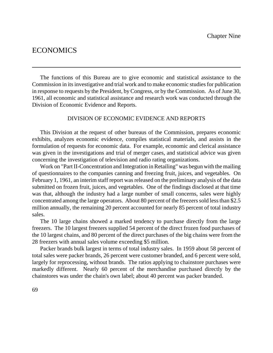# ECONOMICS

The functions of this Bureau are to give economic and statistical assistance to the Commission in its investigative and trial work and to make economic studies for publication in response to requests by the President, byCongress, or by the Commission. As of June 30, 1961, all economic and statistical assistance and research work was conducted through the Division of Economic Evidence and Reports.

## DIVISION OF ECONOMIC EVIDENCE AND REPORTS

This Division at the request of other bureaus of the Commission, prepares economic exhibits, analyzes economic evidence, compiles statistical materials, and assists in the formulation of requests for economic data. For example, economic and clerical assistance was given in the investigations and trial of merger cases, and statistical advice was given concerning the investigation of television and radio rating organizations.

Work on "Part II-Concentration and Integration in Retailing" was begun with the mailing of questionnaires to the companies canning and freezing fruit, juices, and vegetables. On February 1, 1961, an interim staff report was released on the preliminary analysis of the data submitted on frozen fruit, juices, and vegetables. One of the findings disclosed at that time was that, although the industry had a large number of small concerns, sales were highly concentrated among the large operators. About 80 percent of the freezers sold less than \$2.5 million annually, the remaining 20 percent accounted for nearly 85 percent of total industry sales.

The 10 large chains showed a marked tendency to purchase directly from the large freezers. The 10 largest freezers supplied 54 percent of the direct frozen food purchases of the 10 largest chains, and 80 percent of the direct purchases of the big chains were from the 28 freezers with annual sales volume exceeding \$5 million.

Packer brands bulk largest in terms of total industry sales. In 1959 about 58 percent of total sales were packer brands, 26 percent were customer branded, and 6 percent were sold, largely for reprocessing, without brands. The ratios applying to chainstore purchases were markedly different. Nearly 60 percent of the merchandise purchased directly by the chainstores was under the chain's own label; about 40 percent was packer branded.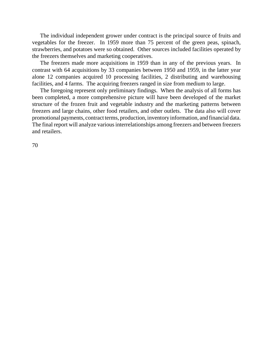The individual independent grower under contract is the principal source of fruits and vegetables for the freezer. In 1959 more than 75 percent of the green peas, spinach, strawberries, and potatoes were so obtained. Other sources included facilities operated by the freezers themselves and marketing cooperatives.

The freezers made more acquisitions in 1959 than in any of the previous years. In contrast with 64 acquisitions by 33 companies between 1950 and 1959, in the latter year alone 12 companies acquired 10 processing facilities, 2 distributing and warehousing facilities, and 4 farms. The acquiring freezers ranged in size from medium to large.

The foregoing represent only preliminary findings. When the analysis of all forms has been completed, a more comprehensive picture will have been developed of the market structure of the frozen fruit and vegetable industry and the marketing patterns between freezers and large chains, other food retailers, and other outlets. The data also will cover promotional payments, contract terms, production, inventoryinformation, and financial data. The final report will analyze various interrelationships among freezers and between freezers and retailers.

70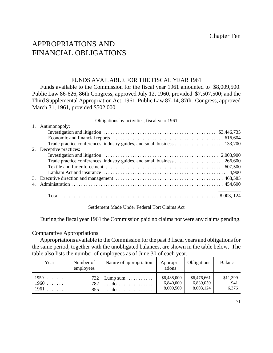# APPROPRIATIONS AND FINANCIAL OBLIGATIONS

## FUNDS AVAILABLE FOR THE FISCAL YEAR 1961

Funds available to the Commission for the fiscal year 1961 amounted to \$8,009,500. Public Law 86-626, 86th Congress, approved July 12, 1960, provided \$7,507,500; and the Third Supplemental Appropriation Act, 1961, Public Law 87-14, 87th. Congress, approved March 31, 1961, provided \$502,000.

#### Obligations by activities, fiscal year 1961

|    | 1. Antimonopoly:        |
|----|-------------------------|
|    |                         |
|    |                         |
|    |                         |
|    | 2. Deceptive practices: |
|    |                         |
|    |                         |
|    |                         |
|    |                         |
| 3. |                         |
|    |                         |
|    |                         |
|    |                         |

Settlement Made Under Federal Tort Claims Act

During the fiscal year 1961 theCommission paid no claims nor were any claims pending.

## Comparative Appropriations

Appropriations available to the Commission for the past 3 fiscal years and obligations for the same period, together with the unobligated balances, are shown in the table below. The table also lists the number of employees as of June 30 of each year.

| Year          | Number of<br>employees | Nature of appropriation | Appropri-<br>ations | Obligations | Balanc   |
|---------------|------------------------|-------------------------|---------------------|-------------|----------|
| $1959 \ldots$ | 855                    | $732$ Lump sum          | \$6,488,000         | \$6,476,661 | \$11,399 |
| 1960          |                        | $782$ do                | 6,840,000           | 6,839,059   | 941      |
| $1961$        |                        | . do                    | 8,009,500           | 8,003,124   | 6,376    |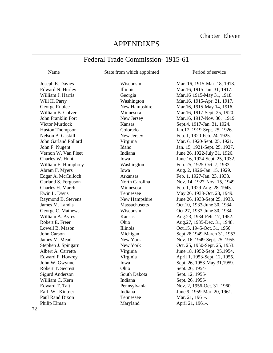# APPENDIXES

# Federal Trade Commission- 1915-61

Name State from which appointed Period of service

Robert T. Secrest Chio Chio Sept. 26, 1954-. Sigurd Anderson South Dakota Sept. 12, 1955-. William C. Kern **Indiana** Sept. 26, 1955-. Paul Rand Dixon Tennessee Mar. 21, 1961-. Philip Elman Maryland April 21, 1961.

Joseph E. Davies Wisconsin Mar. 16, 1915-Mar. 18, 1918. Edward N. Hurley **Illinois** Mar.16, 1915-Jan. 31, 1917. William J. Harris Georgia Mar.16 1915-May 31, 1918. Will H. Parry Washington Mar.16, 1915-Apr. 21, 1917. George Rublee New Hampshire Mar.16, 1915-May 14, 1916. William B. Colver Minnesota Mar.16, 1917-Sept. 25, 1920. John Franklin Fort New Jersey Mar.16, 1917-Nov. 30, 1919. Victor Murdock Kansas Sept.4, 1917-Jan. 31, 1924. Huston Thompson Colorado Jan.17, 1919-Sept. 25, 1926. Nelson B. Gaskill New Jersey Feb. 1, 1920-Feb. 24, 1925. John Garland Pollard **Virginia** Virginia Mar. 6, 1920-Sept. 25, 1921. John F. Nugent Idaho Jan. 15, 1921-Sept. 25, 1927. Vernon W. Van Fleet Indiana June 26, 1922-July 31, 1926. Charles W. Hunt Iowa Iowa June 16, 1924-Sept. 25, 1932. William E. Humphrey Washington Feb. 25, 1925-Oct. 7, 1933. Abram F. Myers Iowa Iowa Aug. 2, 1926-Jan. 15, 1929. Edgar A. McCulloch Arkansas Feb. 1, 1927-Jan. 23, 1933. Garland S. Ferguson North Carolina Nov. 14, 1927-Nov. 15, 1949. Charles H. March Minnesota Feb. 1, 1929-Aug. 28, 1945. Ewin L. Davis **Tennessee** May 26, 1933-Oct. 23, 1949. Raymond B. Stevens New Hampshire June 26, 1933-Sept 25, 1933. James M. Landis Massachusetts Oct.10, 1933-June 30, 1934. George C. Mathews Wisconsin Cot.27, 1933-June 30, 1934. William A. Ayres **Kansas** Kansas Aug. 23, 1934-Feb. 17, 1952. Robert E. Freer Ohio Aug.27, 1935-Dec. 31, 1948. Lowell B. Mason Illinois Oct.15, 1945-Oct. 31, 1956. John Carson Michigan Sept.28,1949-March 31, 1953 James M. Mead New York Nov. 16, 1949-Sept. 25, 1955. Stephen J. Spingarn New York Oct. 25, 1950-Sept. 25, 1953. Albert A. Carretta **Virginia** Virginia June 18, 1952-Sept. 25, 1954. Edward F. Howrey Virginia Press, 2008, 1953-Sept. 12, 1955. John W. Gwynne Iowa Sept. 26, 1953-May 31,1959. Edward T. Tait **Pennsylvania** Nov. 2, 1956-Oct. 31, 1960. Earl W. Kintner Indiana Indiana June 9, 1959-Mar. 20, 1961.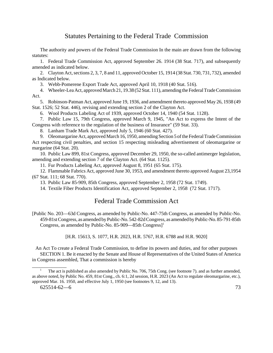# Statutes Pertaining to the Federal Trade Commission

The authority and powers of the Federal Trade Commission In the main are drawn from the following statutes:

1. Federal Trade Commission Act, approved September 26. 1914 (38 Stat. 717), and subsequently amended as indicated below.

2. Clayton Act, sections 2, 3, 7, 8 and 11, approved October 15, 1914 (38 Stat. 730, 731, 732), amended as Indicated below.

3. Webb-Pomerene Export Trade Act, approved April 10, 1918 (40 Stat. 516).

4. Wheeler-LeaAct, approvedMarch 21, 19.38 (52 Stat. 111), amending the Federal Trade Commission Act.

5. Robinson-Patman Act, approved June 19, 1936, and amendment thereto approved May 26, 1938 (49 Stat. 1526; 52 Stat. 446), revising and extending section 2 of the Clayton Act.

6. Wool Products Labeling Act of 1939, approved October 14, 1940 (54 Stat. 1128).

7. Public Law 15, 79th Congress, approved March 9, 1945, "An Act to express the Intent of the Congress with reference to the regulation of the business of Insurance" (59 Stat. 33).

8. Lanham Trade Mark Act, approved July 5, 1946 (60 Stat. 427).

9. Oleomargarine Act, approved March 16, 1950, amending Section 5 of the Federal Trade Commission Act respecting civil penalties, and section 15 respecting misleading advertisement of oleomargarine or margarine (64 Stat. 20).

10. Public Law 899, 81st Congress, approved December 29, 1950, the so-called antimerger legislation, amending and extending section 7 of the Clayton Act. (64 Stat. 1125).

11. Fur Products Labeling Act, approved August 8, 1951 (65 Stat. 175).

12. Flammable Fabrics Act, approved June 30, 1953, and amendment thereto approved August 23,1954 (67 Stat. 111; 68 Stat. 770).

13. Public Law 85-909, 85th Congress, approved September 2, 1958 (72 Stat. 1749).

14. Textile Fiber Products Identification Act, approved September 2, 1958 (72 Stat. 1717).

## Federal Trade Commission Act

[Public No. 203—63d Congress, as amended by Public-No. 447-75th Congress, as amended by Public-No. 459-81stCongress, as amended byPublic-No. 542-82dCongress, as amended byPublic-No. 85-791-85th Congress, as amended by Public-No. 85-909—85th Congress $]$ <sup>1</sup>

[H.R. 15613, S. 1077, H.R. 2023, H.R. 5767, H.R. 6788 and H.R. 9020]

An Act To create a Federal Trade Commission, to define its powers and duties, and for other purposes SECTION 1. Be it enacted by the Senate and House of Representatives of the United States of America in Congress assembled, That a commission is hereby

625514-62—6 73

<sup>1</sup> The act is published as also amended by Public No. 706, 75th Cong. (see footnote 7). and as further amended, as above noted, by Public No. 459, 81st Cong., ch. 6:1, 2d session, H.R. 2023 (An Act to regulate oleomargarine, etc.), approved Mar. 16. 1950, and effective July 1, 1950 (see footnotes 9, 12, and 13).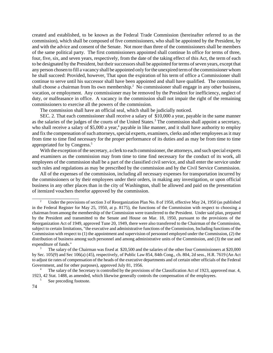created and established, to be known as the Federal Trade Commission (hereinafter referred to as the commission), which shall be composed of five commissioners, who shall be appointed by the President, by and with the advice and consent of the Senate. Not more than three of the commissioners shall be members of the same political party. The first commissioners appointed shall continue In office for terms of three, four, five, six, and seven years, respectively, from the date of the taking effect of this Act, the term of each to be designated by the President, but their successors shall be appointed for terms of seven years, except that any person chosen to fill a vacancy shall be appointed only forthe unexpired termofthe commissioner whom he shall succeed: Provided, however, That upon the expiration of his term of office a Commissioner shall continue to serve until his successor shall have been appointed and shall have qualified. The commission shall choose a chairman from Its own membership.<sup>2</sup> No commissioner shall engage in any other business, vocation, or employment. Any commissioner may be removed by the President for inefficiency, neglect of duty, or malfeasance in office. A vacancy in the commission shall not impair the right of the remaining commissioners to exercise all the powers of the commission.

The commission shall have an official seal, which shall be judicially noticed.

SEC. 2. That each commissioner shall receive a salary of \$10,000 a year, payable in the same manner as the salaries of the judges of the courts of the United States.<sup>3</sup> The commission shall appoint a secretary, who shall receive a salary of \$5,000 a year,<sup>4</sup> payable in like manner, and it shall have authority to employ and fix the compensation of such attorneys, special experts, examiners, clerks and other employees as it may from time to time find necessary for the proper performance of its duties and as may be from time to time appropriated for by Congress.<sup>5</sup>

With the exception of the secretary, a clerk to each commissioner, the attorneys, and such special experts and examiners as the commission may from time to time find necessary for the conduct of its work, all employees of the commission shall be a part of the classified civil service, and shall enter the service under such rules and regulations as may be prescribed by the commission and by the Civil Service Commission.

All of the expenses of the commission, including all necessary expenses for transportation incurred by the commissioners or by their employees under their orders, in making any investigation, or upon official business in any other places than in the city of Washington, shall be allowed and paid on the presentation of itemized vouchers therefor approved by the commission.

<sup>2</sup> Under the provisions of section 3 of Reorganization Plan No. 8 of 1950, effective May 24, 1950 (as published in the Federal Register for May 25, 1950, at p. 8175), the functions of the Commission with respect to choosing a chairman from among the membership of the Commission were transferred to the President. Under said plan, prepared by the President and transmitted to the Senate and House on Mar. 18, 1950, pursuant to the provisions of the Reorganization Act of 1949, approved Tune 20, 1949, there were also transferred to the Chairman of the Commission, subject to certain limitations, "the executive and administrative functions of the Commission, Including functions of the Commission with respect to (1) the appointment and supervision of personnel employed under the Commission, (2) the distribution of business among such personnel and among administrative units of the Commission, and (3) the use and expenditure of funds."

<sup>3</sup> The salary of the Chairman was fixed at \$20,500 and the salaries of the other four Commissioners at \$20,000 by Sec. 105(9) and Sec 106(a) (45), respectively, of Public Law 854, 84th Cong., ch. 804, 2d sess., H.R. 7619 (An Act to adjust tie rates of compensation of the heads of the executive departments and of certain other officials of the Federal Government, and for other purposes), approved July 81, 1956.

<sup>4</sup> The salary of the Secretary is controlled by the provisions of the Classification Act of 1923, approved mar. 4, 1923, 42 Stat. 1488, as amended, which likewise generally controls the compensation of the employees.

See preceding footnote.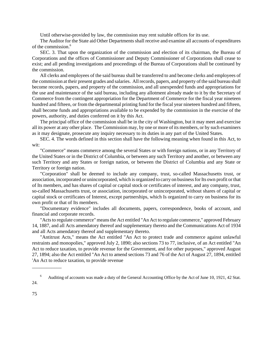Until otherwise-provided by law, the commission may rent suitable offices for its use.

The Auditor for the State aid Other Departments shall receive and examine all accounts of expenditures of the commission.<sup>6</sup>

SEC. 3. That upon the organization of the commission and election of its chairman, the Bureau of Corporations and the offices of Commissioner and Deputy Commissioner of Corporations shall cease to exist; and all pending investigations and proceedings of the Bureau of Corporations shall be continued by the commission.

All clerks and employees of the said bureau shall be transferred to and become clerks and employees of the commission at their present grades and salaries. All records, papers, and property of the said bureau shall become records, papers, and property of the commission, and all unexpended funds and appropriations for the use and maintenance of the said bureau, including any allotment already made to it by the Secretary of Commerce from the contingent appropriation for the Department of Commerce for the fiscal year nineteen hundred and fifteen, or from the departmental printing fund for the fiscal year nineteen hundred and fifteen, shall become funds and appropriations available to be expended by the commission in the exercise of the powers, authority, and duties conferred on it by this Act.

The principal office of the commission shall be in the city of Washington, but it may meet and exercise all its power at any other place. The Commission may, by one or more of its members, or by such examiners as it may designate, prosecute any inquiry necessary to its duties in any part of the United States.

SEC. 4. The words defined in this section shall have the following meaning when found in this Act, to wit:

"Commerce" means commerce among the several States or with foreign nations, or in any Territory of the United States or in the District of Columbia, or between any such Territory and another, or between any such Territory and any States or foreign nation, or between the District of Columbia and any State or Territory or foreign nation.

"Corporation" shall be deemed to include any company, trust, so-called Massachusetts trust, or association, incorporated or unincorporated, which is organized to carry on businessforIts own profit or that of Its members, and has shares of capital or capital stock or certificates of interest, and any company, trust, so-called Massachusetts trust, or association, incorporated or unincorporated, without shares of capital or capital stock or certificates of Interest, except partnerships, which Is organized to carry on business for its own profit or that of Its members.

"Documentary evidence" includes all documents, papers, correspondence, books of account, and financial and corporate records.

"Acts to regulate commerce" means the Act entitled "An Act to regulate commerce," approved February 14, 1887, and all Acts amendatory thereof and supplementary thereto and the Communications Act of 1934 and all Acts amendatory thereof and supplementary thereto.

"Antitrust Acts," means the Act entitled "An Act to protect trade and commerce against unlawful restraints and monopolies," approved July 2, 1890; also sections 73 to 77, inclusive, of an Act entitled "An Act to reduce taxation, to provide revenue for the Government, and for other purposes," approved August 27, 1894; also the Act entitled "An Act to amend sections 73 and 76 of the Act of August 27, 1894, entitled 'An Act to reduce taxation, to provide revenue

\_\_\_\_\_\_\_\_\_\_\_\_

<sup>6</sup> Auditing of accounts was made a duty of the General Accounting Office by the Act of June 10, 1921, 42 Stat. 24.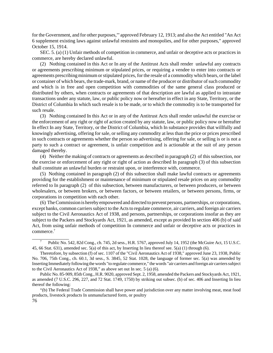for the Government, and for other purposes,"' approved February 12, 1913; and also the Act entitled "An Act 6 supplement existing laws against unlawful restraints and monopolies, and for other purposes," approved October 15, 1914.

SEC. 5. (a) (1) Unfair methods of competition in commerce, and unfair or deceptive acts or practices in commerce, are hereby declared unlawful.

(2) Nothing contained in this Act or In any of the Antitrust Acts shall render unlawful any contracts or agreements prescribing minimum or stipulated prices, or requiring a vendee to enter into contracts or agreements prescribing minimum or stipulated prices, for the resale of a commodity which bears, or the label or container of which bears, the trade-mark, brand, or name of the producer or distributor of such commodity and which is in free and open competition with commodities of the same general class produced or distributed by others, when contracts or agreements of that description are lawful as applied to intrastate transactions under any statute, law, or public policy now or hereafter in effect in any State, Territory, or the District of Columbia In which such resale is to be made, or to which the commodity is to be transported for such resale.

(3) Nothing contained In this Act or in any of the Antitrust Acts shall render unlawful the exercise or the enforcement of any right or right of action created by any statute, law, or public policy now or hereafter In effect In any State, Territory, or the District of Columbia, which In substance provides that willfully and knowingly advertising, offering for sale, or selling any commodity at less than the price or prices prescribed in such contracts or agreements whether the person so advertising, offering for sale, or selling is or is not a party to such a contract or agreement, is unfair competition and is actionable at the suit of any person damaged thereby.

(4) Neither the making of contracts or agreements as described in paragraph (2) of this subsection, nor the exercise or enforcement of any right or right of action as described In paragraph (3) of this subsection shall constitute an unlawful burden or restraint upon, or interference with, commerce.

(5) Nothing contained in paragraph (2) of this subsection shall make lawful contracts or agreements providing for the establishment or maintenance of minimum or stipulated resale prices on any commodity referred to In paragraph (2) of this subsection, between manufacturers, or between producers, or between wholesalers, or between brokers, or between factors, or between retailers, or between persons, firms, or corporations in competition with each other.

(6) The Commission is hereby empowered and directed to prevent persons, partnerships, or corporations, except banks, common carriers subject to the Acts to regulate commerce, air carriers, and foreign air carriers subject to the Civil Aeronautics Act of 1938, and persons, partnerships, or corporations insofar as they are subject to the Packers and Stockyards Act, 1921, as amended, except as provided In section 406 (b) of said Act, from using unfair methods of competition In commerce and unfair or deceptive acts or practices in commerce.<sup>7</sup>

<sup>7</sup> Public No. 542, 82d Cong., ch. 745, 2d sess., H.R. 5767, approved July 14, 1952 (the McGuire Act, 15 U.S.C. 45, 66 Stat. 631), amended sec. 5(a) of this act, by Inserting In lieu thereof see. 5(a) (1) through (6).

Theretofore, by subsection (f) of sec. 1107 of the "Civil Aeronautics Act of 1938," approved June 23, 1938, Public No. 706, 75th Cong., ch. 60.1, 3d sess., S. 3845, 52 Stat. 1028, the language of former sec. 5(a) was amended by Inserting Immediately following the words "to regulate commerce," the words "air carriers and foreign air carriers subject to the Civil Aeronautics Act of 1938," as above set out In sec. 5 (a) (6).

Public No. 85-909, 85th Cong., H.R. 9020, approved Sept. 2, 1958, amended the Packers and Stockyards Act, 1921, as amended (7 U.S.C. 296, 227, and 72 Stat. 1749, 1750) by striking out subsec. (b) of sec. 406 and Inserting In lieu thereof the following:

<sup>&</sup>quot;(b) The Federal Trade Commission shall have power and jurisdiction over any matter involving meat, meat food products, livestock products In unmanufactured form, or poultry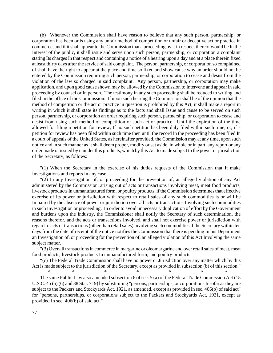(b) Whenever the Commission shall have reason to believe that any such person, partnership, or corporation has been or is using any unfair method of competition or unfair or deceptive act or practice in commerce, and if itshall appear to the Commission that a proceeding by it in respect thereof would be In the Interest of the public, it shall issue and serve upon such person, partnership, or corporation a complaint stating Its charges In that respect and containing a notice of a hearing upon a day and at a place therein fixed at least thirty days after the service ofsaid complaint. The person, partnership, or corporation so complained of shall have the right to appear at the place and time so fixed and show cause why an order should not be entered by the Commission requiring such person, partnership, or corporation to cease and desist from the violation of the law so charged in said complaint. Any person, partnership, or corporation may make application, and upon good cause shown may be allowed by the Commission to Intervene and appear in said proceeding by counsel or In person. The testimony in any such proceeding shall be reduced to writing and filed In the office of the Commission. If upon such hearing the Commission shall be of the opinion that the method of competition or the act or practice in question is prohibited by this Act, it shall make a report in writing in which it shall state its findings as to the facts and shall Issue and cause to be served on such person, partnership, or corporation an order requiring such person, partnership, or corporation to cease and desist from using such method of competition or such act or practice. Until the expiration of the time allowed for filing a petition for review, If no such petition has been duly filed within such time, or, if a petition for review has been filed within such time then until the record In the proceeding has been filed In a court of appeals of the United States, as hereinafter provided, the Commission may at any time, upon such notice and in such manner as It shall deem proper, modify or set aside, in whole or in part, any report or any order made or issued by it under this products, which by this Act to made subject to the power or jurisdiction of the Secretary, as follows:

"(1) When the Secretary in the exercise of his duties requests of the Commission that It make Investigations and reports In any case.

"(2) In any Investigation of, or proceeding for the prevention of, an alleged violation of any Act administered by the Commission, arising out of acts or transactions involving meat, meat food products, livestock products In unmanufactured form, or poultry products, if the Commission determines that effective exercise of Its power or jurisdiction with respect to retail sales of any such commodities is or will be Impaired by the absence of power or jurisdiction over all acts or transactions Involving such commodities in such Investigation or proceeding. In order to avoid unnecessary duplication of effort by the Government and burdens upon the Industry, the Commissioner shall notify the Secretary of such determination, the reasons therefor, and the acts or transactions Involved, and shall not exercise power or jurisdiction with regard to acts or transactions (other than retail sales) involving such commoditiesif the Secretary within ten days from the date of receipt of the notice notifies the Commission that there is pending In his Department an Investigation of, or proceeding for the prevention of, an alleged violation of this Act Involving the same subject matter.

"(3) Over all transactions In commerce In margarine or oleomargarine and over retail sales of meat, meat food products, livestock products In unmanufactured form, and poultry products.

"(c) The Federal Trade Commission shall have no power or Jurisdiction over any matter which by this Act is made subject to the jurisdiction of the Secretary, except as provided in subsection (b) of this section." \* \* \* \* \* \* \*

The same Public Law also amended subsection 6 of sec. 5 (a) of the Federal Trade Commission Act (15 U.S.C. 45 (a) (6) and 38 Stat. 719) by substituting "persons, partnerships, or corporations Insofar asthey are subject to the Packers and Stockyards Act, 1921, as amended, except as provided In sec. 406(b) of said act" for "persons, partnerships, or corporations subject to the Packers and Stockyards Act, 1921, except as provided In see. 406(b) of said act."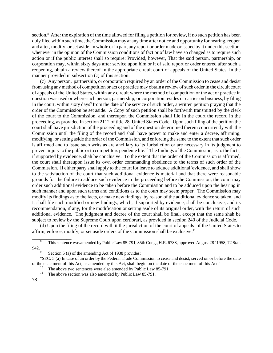section.<sup>8</sup> After the expiration of the time allowed for filing a petition for review, if no such petition has been duly filed within such time, the Commission may at any time after notice and opportunity for hearing, reopen and alter, modify, or set aside, in whole or in part, any report or order made or issued by it under this section, whenever in the opinion of the Commission conditions of fact or of law have so changed as to require such action or if the public interest shall so require: Provided, however, That the said person, partnership, or corporation may, within sixty days after service upon him or it of said report or order entered after such a reopening, obtain a review thereof In the appropriate circuit court of appeals of the United States, In the manner provided in subsection (c) of this section.

(c) Any person, partnership, or corporation required by an order of the Commission to cease and desist fromusing anymethod of competition or act or practice may obtain a review ofsuch order in the circuit court of appeals of the United States, within any circuit where the method of competition or the act or practice in question was used or where such person, partnership, or corporation resides or carries on business, by filing In the court, within sixty days<sup>9</sup> from the date of the service of such order, a written petition praying that the order of the Commission be set aside. A Copy of such petition shall be forthwith transmitted by the clerk of the court to the Commission, and thereupon the Commission shall file In the court the record in the proceeding, as provided In section 2112 of title 28, United States Code. Upon such filing of the petition the court shall have jurisdiction of the proceeding and of the question determined therein concurrently with the Commission until the filing of the record and shall have power to make and enter a decree, affirming, modifying, or setting aside the order of the Commission, and enforcing the same to the extent that such order is affirmed and to issue such writs as are ancillary to its Jurisdiction or are necessary in its judgment to prevent injury to the public or to competitors pendente lite.<sup>10</sup> The findings of the Commission, as to the facts, if supported by evidence, shah be conclusive. To the extent that the order of the Commission is affirmed, the court shall thereupon issue its own order commanding obedience to the terms of such order of the Commission. If either party shall apply to the court for leave to adduce additional 'evidence, and shall show to the satisfaction of the court that such additional evidence is material and that there were reasonable grounds for the failure to adduce such evidence in the proceeding before the Commission, the court may order such additional evidence to be taken before the Commission and to be adduced upon the hearing in such manner and upon such terms and conditions as to the court may seem proper. The Commission may modify its findings as to the facts, or make new findings, by reason of the additional evidence so taken, and It shall file such modified or new findings, which, if supported by evidence, shall be conclusive, and its recommendation, if any, for the modification or setting aside of its original order, with the return of such additional evidence. The judgment and decree of the court shall be final, except that the same shah be subject to review by the Supreme Court upon certiorari, as provided in section 240 of the Judicial Code.

(d) Upon the filing of the record with it the jurisdiction of the court of appeals of the United States to affirm, enforce, modify, or set aside orders of the Commission shall be exclusive.<sup>11</sup>

This sentence was amended by Public Law 85-791, 85th Cong., H.R. 6788, approved August 28 ' 1958, 72 Stat. 942. 9

Section 5 (a) of the amending Act of 1938 provides:

<sup>&</sup>quot;SEC. 5 (a) In case of an order by the Federal Trade Commission to cease and desist, served on or before the date of the enactment of this Act, as amended by this Act, shall begin on the date of the enactment of this Act."

<sup>&</sup>lt;sup>10</sup> The above two sentences were also amended by Public Law 85-791.<br><sup>11</sup> The above section was also amended by Public Law 85, 791.

The above section was also amended by Public Law 85-791.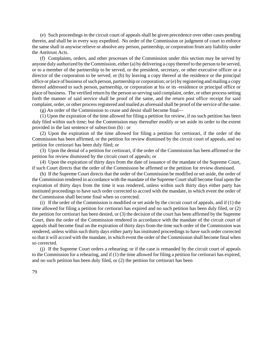(e) Such proceedings in the circuit court of appeals shall be given precedence over other cases pending therein, and shall be in every way expedited. No order of the Commission or judgment of court to enforce the same shall in anywise relieve or absolve any person, partnership, or corporation from any liability under the Antitrust Acts.

(f) Complaints, orders, and other processes of the Commission under this section may be served by anyone duly authorized by the Commission, either (a) by delivering a copy thereof to the person to be served, or to a member of the partnership to be served, or the president, secretary, or other executive officer or a director of the corporation to be served; or (b) by leaving a copy thereof at the residence or the principal office or place of business of such person, partnership or corporation; or  $(e)$  by registering and mailing a copy thereof addressed to such person, partnership, or corporation at his or its -residence or principal office or place of business. The verified return by the person so serving said complaint, order, or other process setting forth the manner of said service shall be proof of the same, and the return post office receipt for said complaint, order, or other process registered and mailed as aforesaid shall be proof of the service of the same.

(g) An order of the Commission to cease and desist shall become final—

(1) Upon the expiration of the time allowed for filing a petition for review, if no such petition has been duly filed within such time; but the Commission may thereafter modify or set aside its order to the extent provided in the last sentence of subsection (b) : or

(2) Upon the expiration of the time allowed for filing a petition for certiorari, if the order of the Commission has been affirmed, or the petition for review dismissed by the circuit court of appeals, and no petition for certiorari has been duly filed; or

(3) Upon the denial of a petition for certiorari, if the order of the Commission has been affirmed or the petition for review dismissed by the circuit court of appeals; or

(4) Upon the expiration of thirty days from the date of issuance of the mandate of the Supreme Court, if such Court directs that the order of the Commission be affirmed or the petition for review dismissed.

(h) If the Supreme Court directs that the order of the Commission be modified or set aside, the order of the Commission rendered in accordance with the mandate of the Supreme Courtshall become final upon the expiration of thirty days from the time it was rendered, unless within such thirty days either party has instituted proceedings to have such order corrected to accord with the mandate, in which event the order of the Commission shall become final when so corrected.

(i) If the order of the Commission is modified or set aside by the circuit court of appeals, and if (1) the time allowed for filing a petition for certiorari has expired and no such petition has been duly filed, or (2) the petition for certiorari has been denied, or (3) the decision of the court has been affirmed by the Supreme Court, then the order of the Commission rendered in accordance with the mandate of the circuit court of appeals shall become final on the expiration of thirty days from the time such order of the Commission was rendered, unless within such thirty days either party has instituted proceedings to have such order corrected so that it will accord with the mandate, in which event the order of the Commission shall become final when so corrected.

(j) If the Supreme Court orders a rehearing; or if the case is remanded by the circuit court of appeals to the Commission for a rehearing, and if (1) the time allowed for filing a petition for certiorari has expired, and no such petition has been duly filed, or (2) the petition for certiorari has been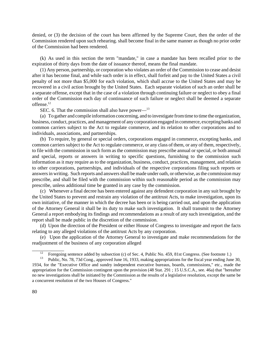denied, or (3) the decision of the court has been affirmed by the Supreme Court, then the order of the Commission rendered upon such rehearing. shall become final in the same manner as though no prior order of the Commission had been rendered.

(k) As used in this section the term "mandate," in case a mandate has been recalled prior to the expiration of thirty days from the date of issuance thereof, means the final mandate.

(1) Any person, partnership, or corporation who violates an order of the Commission to cease and desist after it has become final, and while such order is in effect, shall forfeit and pay to the United States a civil penalty of not more than \$5,000 for each violation, which shall accrue to the United States and may be recovered in a civil action brought by the United States. Each separate violation of such an order shall be a separate offense, except that in the case of a violation through continuing failure or neglect to obey a final order of the Commission each day of continuance of such failure or neglect shall be deemed a separate offense.<sup>12</sup>

SEC. 6. That the commission shall also have power—<sup>13</sup>

(a) To gather and compile information concerning, and to investigate fromtime to time the organization, business, conduct, practices, and management of any corporation engaged in commerce, excepting banks and common carriers subject to the Act to regulate commerce, and its relation to other corporations and to individuals, associations, and partnerships.

(b) To require, by general or special orders, corporations engaged in commerce, excepting banks, and common carriers subject to the Act to regulate commerce, or any class of them, or any of them, respectively, to file with the commission in such form as the commission may prescribe annual or special, or both annual and special, reports or answers in writing to specific questions, furnishing to the commission such information as it may require as to the organization, business, conduct, practices, management, and relation to other corporations, partnerships, and individuals of the respective corporations filing such reports or answersin writing. Such reports and answers shall be made under oath, or otherwise, as the commission may prescribe, and shall be filed with the commission within such reasonable period as the commission may prescribe, unless additional time be granted in any case by the commission.

(c) Whenever a final decree has been entered against any defendent corporation in any suit brought by the United States to prevent and restrain any violation of the antitrust Acts, to make investigation, upon its own initiative, of the manner in which the decree has been or is being carried out, and upon the application of the Attorney General it shall be its duty to make such investigation. It shall transmit to the Attorney General a report embodying its findings and recommendations as a result of any such investigation, and the report shall be made public in the discretion of the commission.

(d) Upon the direction of the President or either House of Congress to investigate and report the facts relating to any alleged violations of the antitrust Acts by any corporation.

(e) Upon the application of the Attorney General to investigate and make recommendations for the readjustment of the business of any corporation alleged

\_\_\_\_\_\_\_\_\_\_\_\_\_

<sup>&</sup>lt;sup>12</sup> Foregoing sentence added by subsection (c) of Sec. 4, Public No. 459, 81st Congress. (See footnote 1.)<br><sup>13</sup> Public No. 78, 73d Cong, approved June 16, 1933, making appropriations for the fiscal was anding June

<sup>13</sup> Public, No. 78, 73d Cong., approved June 16, 1933, making appropriations for the fiscal year ending June 30, 1934, for the "Executive Office and sundry independent executive bureaus, boards, commissions," etc., made the appropriation for the Commission contingent upon the provision (48 Stat. 291 ; 15 U.S.C.A., see. 46a) that "hereafter no new investigations shall be initiated by the Commission as the results of a legislative resolution, except the same be a concurrent resolution of the two Houses of Congress."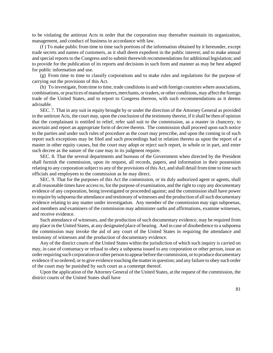to be violating the antitrust Acts in order that the corporation may thereafter maintain its organization, management, and conduct of business in accordance with law.

(f ) To make public from time to time such portions of the information obtained by it hereunder, except trade secrets and names of customers, as it shall deem expedient in the public interest; and to make annual and special reports to the Congress and to submit therewith recommendations for additional legislation; and to provide for the publication of its reports and decisions in such form and manner as may be best adapted for public information and use.

(g) From time to time to classify corporations and to make rules and regulations for the purpose of carrying out the provisions of this Act.

(h) To investigate, from time to time, trade conditionsin and with foreign countries where associations, combinations, or practices of manufacturers, merchants, or traders, or other conditions, may affect the foreign trade of the United States, and to report to Congress thereon, with such recommendations as it deems advisable.

SEC. 7. That in any suit in equity brought by or under the direction of the Attorney General as provided in the antitrust Acts, the court may, upon the conclusion of the testimony therein, if it shall be then of opinion that the complainant is entitled to relief, refer said suit to the commission, as a master in chancery, to ascertain and report an appropriate form of decree therein. The commission shall proceed upon such notice to the parties and under such rules of procedure as the court may prescribe, and upon the coming in of such report such exceptions may be filed and such proceedings had in relation thereto as upon the report of a master in other equity causes, but the court may adopt or reject such report, in whole or in part, and enter such decree as the nature of the case may in its judgment require.

SEC. 8. That the several departments and bureaus of the Government when directed by the President shall furnish the commission, upon its request, all records, papers, and information in their possession relating to any corporation subject to any of the provisions of this Act, and shall detail fromtime to time such officials and employees to the commission as he may direct.

SEC. 9. That for the purposes of this Act the commission, or its duly authorized agent or agents, shall at all reasonable times have accessto, for the purpose of examination, and the right to copy any documentary evidence of any corporation, being investigated or proceeded against; and the commission shall have power to require by subpoena the attendance and testimony of witnesses and the production of all such documentary evidence relating to any matter under investigation. Any member of the commission may sign subpoenas, and members and examiners of the commission may administer oaths and affirmations, examine witnesses, and receive evidence.

Such attendance of witnesses, and the production of such documentary evidence, may be required from any place in the United States, at any designated place of hearing. And in case of disobedience to a subpoena the commission may invoke the aid of any court of the United States in requiring the attendance and testimony of witnesses and the production of documentary evidence.

Any of the district courts of the United States within the jurisdiction of which such inquiry is carried on may, in case of contumacy or refusal to obey a subpoena issued to any corporation or other person, issue an order requiring such corporation or other person to appear before the commission, or to produce documentary evidence ifso ordered, or to give evidence touching the matterin question; and any failure to obey such order of the court may be punished by such court as a contempt thereof.

Upon the application of the Attorney General of the United States, at the request of the commission, the district courts of the United States shall have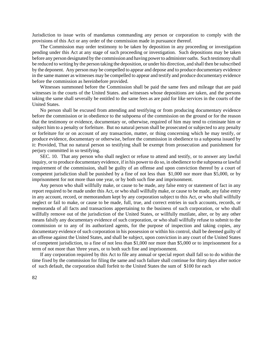Jurisdiction to issue writs of mandamus commanding any person or corporation to comply with the provisions of this Act or any order of the commission made in pursuance thereof.

The Commission may order testimony to be taken by deposition in any proceeding or investigation pending under this Act at any stage of such proceeding or investigation. Such depositions may be taken before any person designated by the commission and having powerto administer oaths. Such testimony shall be reduced to writing by the person taking the deposition, or under his direction, and shall then be subscribed by the deponent. Any person may be compelled to appear and depose and to produce documentary evidence in the same manner as witnesses may be compelled to appear and testify and produce documentary evidence before the commission as hereinbefore provided.

Witnesses summoned before the Commission shall be paid the same fees and mileage that are paid witnesses in the courts of the United States. and witnesses whose depositions are taken, and the persons taking the same shall severally be entitled to the same fees as are paid for like services in the courts of the United States.

No person shall be excused from attending and testifying or from producing documentary evidence before the commission or in obedience to the subpoena of the commission on the ground or for the reason that the testimony or evidence, documentary or, otherwise, required of him may tend to criminate him or subject him to a penalty or forfeiture. But no natural person shall be prosecuted or subjected to any penalty or forfeiture for or on account of any transaction, matter, or thing concerning which he may testify, or produce evidence, documentary or otherwise, before the commission in obedience to a subpoena issued by it: Provided, That no natural person so testifying shall be exempt from prosecution and punishment for perjury committed in so testifying.

SEC. 10. That any person who shall neglect or refuse to attend and testify, or to answer any lawful inquiry, or to produce documentary evidence, if in his power to do so, in obedience to the subpoena or lawful requirement of the commission, shall be guilty of an offense and upon conviction thereof by a court of competent jurisdiction shall be punished by a fine of not less than \$1,000 nor more than \$5,000, or by imprisonment for not more than one year, or by both such fine and imprisonment.

Any person who shall willfully make, or cause to be made, any false entry or statement of fact in any report required to be made under this Act, or who shall willfully make, or cause to be made, any false entry in any account, record, or memorandum kept by any corporation subject to this Act, or who shall willfully neglect or fail to make, or cause to be made, full, true, and correct entries in such accounts, records, or memoranda of all facts and transactions appertaining to the business of such corporation, or who shall willfully remove out of the jurisdiction of the United States, or willfully mutilate, alter, or by any other means falsify any documentary evidence of such corporation, or who shall willfully refuse to submit to the commission or to any of its authorized agents, for the purpose of inspection and taking copies, any documentary evidence of such corporation in his possession or within his control, shall be deemed guilty of an offense against the United States, and shall be subject, upon conviction in any court of the United States of competent jurisdiction, to a fine of not less than \$1,000 nor more than \$5,000 or to imprisonment for a term of not more than 'three years, or to both such fine and imprisonment.

If any corporation required by this Act to file any annual or special report shall fall so to do within the time fixed by the commission for filing the same and such failure shall continue for thirty days after notice of such default, the corporation shall forfeit to the United States the sum of \$100 for each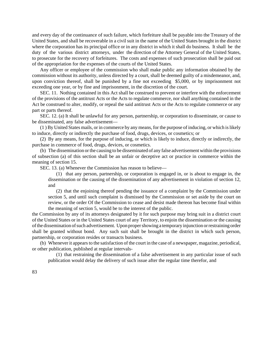and every day of the continuance of such failure, which forfeiture shall be payable into the Treasury of the United States, and shall be recoverable in a civil suit in the name of the United States brought in the district where the corporation has its principal office or in any district in which it shall do business. It shall be the duty of the various district attorneys, under the direction of the Attorney General of the United States, to prosecute for the recovery of forfeitures. The costs and expenses of such prosecution shall be paid out of the appropriation for the expenses of the courts of the United States.

Any officer or employee of the commission who shall make public any information obtained by the commission without its authority, unless directed by a court, shall be deemed guilty of a misdemeanor, and, upon conviction thereof, shall be punished by a fine not exceeding \$5,000, or by imprisonment not exceeding one year, or by fine and imprisonment, in the discretion of the court.

SEC. 11. Nothing contained in this Act shall be construed to prevent or interfere with the enforcement of the provisions of the antitrust Acts or the Acts to regulate commerce, nor shall anything contained in the Act be construed to alter, modify, or repeal the said antitrust Acts or the Acts to regulate commerce or any part or parts thereof.

SEC. 12. (a) It shall be unlawful for any person, partnership, or corporation to disseminate, or cause to be disseminated, any false advertisement—

(1 ) By United States mails, or in commerce by any means, for the purpose of inducing, or which islikely to induce, directly or indirectly the purchase of food, drugs, devices, or cosmetics; or

(2) By any means, for the purpose of inducing, or which is likely to induce, directly or indirectly, the purchase in commerce of food, drugs, devices, or cosmetics.

(b) The dissemination orthe causing to be disseminated of any false advertisement within the provisions of subsection (a) of this section shall be an unfair or deceptive act or practice in commerce within the meaning of section 15.

SEC. 13. (a) Whenever the Commission has reason to believe—

(1) that any person, partnership, or corporation is engaged in, or is about to engage in, the dissemination or the causing of the dissemination of any advertisement in violation of section 12, and

(2) that the enjoining thereof pending the issuance of a complaint by the Commission under section 5, and until such complaint is dismissed by the Commission or set aside by the court on review, or the order Of the Commission to cease and desist made thereon has become final within the meaning of section 5, would be to the interest of the public.

the Commission by any of its attorneys designated by it for such purpose may bring suit in a district court of the United States or in the United States court of any Territory, to enjoin the dissemination or the causing of the dissemination of such advertisement. Upon proper showing a temporary injunction or restraining order shall be granted without bond. Any such suit shall be brought in the district in which such person, partnership, or corporation resides or transacts business.

(b) Whenever it appears to the satisfaction of the court in the case of a newspaper, magazine, periodical, or other publication, published at regular intervals-

(1) that restraining the dissemination of a false advertisement in any particular issue of such publication would delay the delivery of such issue after the regular time therefor, and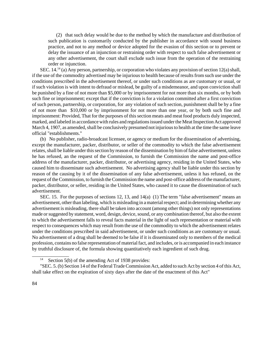(2) that such delay would be due to the method by which the manufacture and distribution of such publication is customarily conducted by the publisher in accordance with sound business practice, and not to any method or device adopted for the evasion of this section or to prevent or delay the issuance of an injunction or restraining order with respect to such false advertisement or any other advertisement, the court shall exclude such issue from the operation of the restraining order or injunction.

SEC. 14.<sup>14</sup> (a) Any person, partnership, or corporation who violates any provision of section 12(a) shall, if the use of the commodity advertised may be injurious to health because of results from such use under the conditions prescribed in the advertisement thereof, or under such conditions as are customary or usual, or if such violation is with intent to defraud or mislead, be guilty of a misdemeanor, and upon conviction shall be punished by a fine of not more than \$5,000 or by imprisonment for not more than six months, or by both such fine or imprisonment; except that if the conviction is for a violation committed after a first conviction of such person, partnership, or corporation, for any violation of such section, punishment shall be by a fine of not more than \$10,000 or by imprisonment for not more than one year, or by both such fine and imprisonment: Provided, That for the purposes of this section meats and meat food products duly inspected, marked, and labeled in accordance with rules and regulations issued under the Meat Inspection Act approved March 4, 1907, as amended, shall be conclusively presumed not injurious to health at the time the same leave official "establishments."

(b) No publisher, radio-broadcast licensee, or agency or medium for the dissemination of advertising, except the manufacturer, packer, distributor, or seller of the commodity to which the false advertisement relates, shall be liable under this section by reason of the dissemination by him of false advertisement, unless he has refused, an the request of the Commission, to furnish the Commission the name and post-office address of the manufacturer, packer, distributor, or advertising agency, residing in the United States, who caused him to disseminate such advertisement. No advertising agency shall be liable under this section by reason of the causing by it of the dissemination of any false advertisement, unless it has refused, on the request of the Commission, to furnish the Commission the name and post-office address of the manufacturer, packer, distributor, or seller, residing in the United States, who caused it to cause the dissemination of such advertisement.

SEC. 15. For the purposes of sections 12, 13, and 14(a) (1) The term "false advertisement" means an advertisement, other than labeling, which is misleading in a material respect; and in determining whether any advertisement is misleading, there shall be taken into account (among other things) not only representations made or suggested by statement, word, design, device, sound, or any combination thereof, but also the extent to which the advertisement falls to reveal facts material in the light of such representation or material with respect to consequences which may result from the use of the commodity to which the advertisement relates under the conditions prescribed in said advertisement, or under such conditions as are customary or usual. No advertisement of a drug shall be deemed to be false if it is disseminated only to members of the medical profession, contains no false representation of material fact, and includes, or is accompanied in each instance by truthful disclosure of, the formula showing quantitatively each ingredient of such drug.

Section 5(b) of the amending Act of 1938 provides:

<sup>&</sup>quot;SEC. 5. (b) Section 14 of the Federal Trade Commission Act, added to such Act by section 4 of this Act, shall take effect on the expiration of sixty days after the date of the enactment of this Act"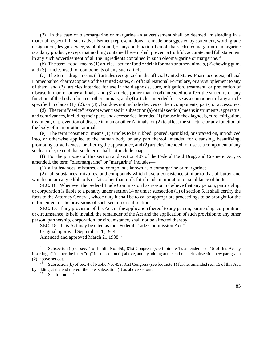(2) In the case of oleomargarine or margarine an advertisement shall be deemed misleading in a material respect if in such advertisement representations are made or suggested by statement, word, grade designation, design, device, symbol, sound, or any combination thereof, that such oleomargarine or margarine is a dairy product, except that nothing contained herein shall prevent a truthful, accurate, and full statement in any such advertisement of all the ingredients contained in such oleomargarine or margarine.<sup>15</sup>

(b) The term"food" means(1) articles used for food or drink for man or other animals,(2) chewing gum, and (3) articles used for components of any such article.

(c) The term "drug" means(1) articles recognized in the official United States Pharmacopoeia, official Homeopathic Pharmacopoeia of the United States, or official National Formulary, or any supplement to any of them; and (2) articles intended for use in the diagnosis, cure, mitigation, treatment, or prevention of disease in man or other animals; and (3) articles (other than food) intended to affect the structure or any function of the body of man or other animals; and (4) articles intended for use as a component of any article specified in clause (1), (2), or (3); but does not include devices or their components, parts, or accessories.

(d) The term "device" (except when used in subsection (a) of this section) means instruments, apparatus, and contrivances, including their parts and accessories, intended (1) for use in the diagnosis, cure, mitigation, treatment, or prevention of disease in man or other Animals; or (2) to affect the structure or any function of the body of man or other animals.

(e) The term "cosmetic" means (1) articles to be rubbed, poured, sprinkled, or sprayed on, introduced into, or otherwise applied to the human body or any part thereof intended for cleansing, beautifying, promoting attractiveness, or altering the appearance, and (2) articles intended for use as a component of any such article; except that such term shall not include soap.

(f) For the purposes of this section and section 407 of the Federal Food Drug, and Cosmetic Act, as amended, the term "oleomargarine" or "margarine" includes—

(1) all substances, mixtures, and compounds known as oleomargarine or margarine;

(2) all substances, mixtures, and compounds which have a consistence similar to that of butter and which contain any edible oils or fats other than milk fat if made in imitation or semblance of butter.<sup>16</sup>

SEC. 16. Whenever the Federal Trade Commission has reason to believe that any person, partnership, or corporation is liable to a penalty under section 14 or under subsection (1) of section 5, it shall certify the facts to the Attorney General, whose duty it shall be to cause appropriate proceedings to be brought for the enforcement of the provisions of such section or subsection.

SEC. 17. If any provision of this Act, or the application thereof to any person, partnership, corporation, or circumstance, is held invalid, the remainder of the Act and the application of such provision to any other person, partnership, corporation, or circumstance, shall not be affected thereby.

SEC. 18. This Act may be cited as the "Federal Trade Commission Act."

Original approved September 26,1914.

Amended and approved March 21,1938.<sup>17</sup>

See footnote. 1.

<sup>&</sup>lt;sup>15</sup> Subsection (a) of sec. 4 of Public No. 459, 81st Congress (see footnote 1), amended sec. 15 of this Act by inserting "(1)" after the letter "(a)" in subsection (a) above, and by adding at the end of such subsection new paragraph (2), above set out.

Subsection (b) of sec. 4 of Public No. 459, 81st Congress (see footnote 1) further amended sec. 15 of this Act, by adding at the end thereof the new subsection (f) as above set out.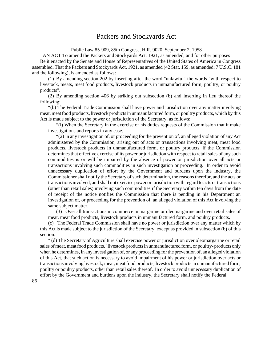# Packers and Stockyards Act

[Public Law 85-909, 85th Congress, H.R. 9020, September 2, 1958]

AN ACT To amend the Packers and Stockyards Act, 1921, as amended, and for other purposes

Be it enacted by the Senate and House of Representatives of the United States of America in Congress assembled, That the Packers and Stockyards Act, 1921, as amended (42 Stat. 159, as amended; 7 U.S.C. 181 and the following), is amended as follows:

(1) By amending section 202 by inserting after the word "unlawful" the words "with respect to livestock, meats, meat food products, livestock products in unmanufactured form, poultry, or poultry products".

(2) By amending section 406 by striking out subsection (b) and inserting in lieu thereof the following:

"(b) The Federal Trade Commission shall have power and jurisdiction over any matter involving meat, meat food products, livestock products in unmanufactured form, or poultry products, which by this Act is made subject to the power or jurisdiction of the Secretary, as follows:

"(l) When the Secretary in the exercise of his duties requests of the Commission that it make investigations and reports in any case.

"(2) In any investigation of, or proceeding for the prevention of, an alleged violation of any Act administered by the Commission, arising out of acts or transactions involving meat, meat food products, livestock products in unmanufactured form, or poultry products, if the Commission determines that effective exercise of its power or jurisdiction with respect to retail sales of any such commodities is or will be impaired by the absence of power or jurisdiction over all acts or transactions involving such commodities in such investigation or proceeding. In order to avoid unnecessary duplication of effort by the Government and burdens upon the industry, the Commissioner shall notify the Secretary of such determination, the reasons therefor, and the acts or transactionsinvolved, and shall not exercise power orjurisdiction with regard to acts or transactions (other than retail sales) involving such commodities if the Secretary within ten days from the date of receipt of the notice notifies the Commission that there is pending in his Department an investigation of, or proceeding for the prevention of, an alleged violation of this Act involving the same subject matter.

(3) Over all transactions in commerce in margarine or oleomargarine and over retail sales of meat, meat food products, livestock products in unmanufactured form, and poultry products.

(c) The Federal Trade Commission shall have no power or jurisdiction over any matter which by this Act is made subject to the jurisdiction of the Secretary, except as provided in subsection (b) of this section.

" (d) The Secretary of Agriculture shall exercise power or jurisdiction over oleomargarine or retail sales of meat, meat food products, llivestock products in unmanufactured form, or poultry- products only when he determines, in any investigation of, or any proceeding forthe prevention of, an alleged violation of this Act, that such action is necessary to avoid impairment of his power or jurisdiction over acts or transactionsinvolving livestock, meat, meat food products, livestock products in unmanufactured form, poultry or poultry products, other than retail sales thereof. In order to avoid unnecessary duplication of effort by the Government and burdens upon the industry, the Secretary shall notify the Federal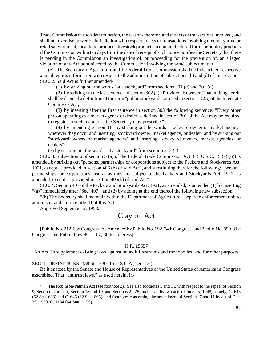Trade Commission of such determination, the reasons therefor, and the acts or transactions involved, and shall not exercise power or Jurisdiction with respect to acts or transactions involving oleomargarine or retail sales of meat, meat food products, livestock products in unmanufactured form, or poultry products if the Commission within ten days from the date of receipt of such notice notifies the Secretary that there is pending in the Commission an investigation of, or proceeding for the prevention of, an alleged violation of any Act administered by the Commission involving the same subject matter.

(e) The Secretary ofAgriculture and the Federal TradeCommission shall include in theirrespective annual reports information with respect to the administration of subsections (b) and (d) of this section." SEC. 2. Said Act is further amended-

(1) by striking out the words "at a stockyard" from sections 301 (c) and 301 (d)

(2) by striking out the last sentence of section  $302$  (a) : Provided, However, That nothing herein shall be deemed a definition of the term "public stockyards" as used in section 15(5) of the Interstate Commerce Act;

(3) by inserting after the first sentence in section 303 the following sentence: "Every other person operating as a market agency or dealer as defined in section 301 of the Act may be required to register in such manner as the Secretary may prescribe.";

(4) by amending section 311 by striking out the words "stockyard owner or market agency" wherever they occur and inserting "stockyard owner, market agency, or dealer" and by striking out "stockyard owners or market agencies" and inserting "stockyard owners, market agencies, or dealers";

(5) by striking out the words "at a stockyard" from section 312 (a).

SEC. 3. Subsection 6 of section 5 (a) of the Federal Trade Commission Act (15 U.S.C. 45 (a) (6)) is amended by striking out "persons, partnerships or corporations subject to the Packers and Stockyards Act, 1921, except as provided in section 406 (b) of said Act", and substituting therefor the following: "persons, partnerships, or corporations insofar as they are subject to the Packers and Stockyards Act, 1921, as amended, except as provided in section 406(b) of said Act".

SEC. 4. Section 407 of the Packers and Stockyards Act, 1921, as amended, is amended (1) by inserting "(a)" immediately after "Sec. 407." and (2) by adding at the end thereof the following new subsection:

"(b) The Secretary shall maintain within the Department of Agriculture a separate enforcement unit to administer and enforce title III of this Act."

Approved September 2, 1958.

\_\_\_\_\_\_\_\_\_\_\_\_\_\_\_

# Clayton Act

[Public-No. 212-63d Congress, As Amended by Public-No. 692-74th Congress<sup>1</sup> and Public-No. 899-81st Congress and Public Law 86—107, 86th Congress]

#### [H.R. 15657]

An Act To supplement existing laws against unlawful restraints and monopolies, and for other purposes

SEC. 1. DEFINITIONS. (38 Stat 730; 15 U.S.C.A., sec. 12.)

Be it enacted by the Senate and House of Representatives of the United States of America in Congress assembled, That "antitrust laws," as used herein, in-

<sup>1</sup> The Robinson-Patman Act (see footnote 2). See also footnotes 5 and 1 3 with respect to the repeal of Section 9, Section 17 in part, Section 18 and 19, and Sections 21-25, inclusive, by two acts of June 25, 1948, namely, C. 645 (62 Stat. 683) and C. 646 (62 Stat. 896); and footnotes concerning the amendment of Sections 7 and 11 by act of Dec. 29, 1950, C. 1184 (64 Stat. 1125).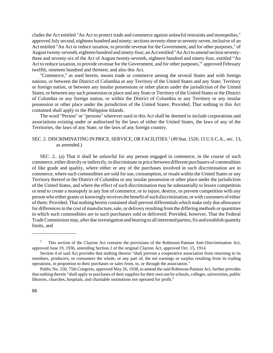cludes the Act entitled "An Act to protect trade and commerce against unlawful restraints and monopolies," approved July second, eighteen hundred and ninety; sectionsseventy-three to seventy-seven, inclusive of an Act entitled "An Act to reduce taxation, to provide revenue for the Government, and for other purposes," of August twenty-seventh, eighteen hundred and ninety-four; an Act entitled "An Act to amend section seventythree and seventy-six of the Act of August twenty-seventh, eighteen hundred and ninety-four, entitled "An Act to reduce taxation, to provide revenue for the Government, and for other purposes,'" approved February twelfth, nineteen hundred and thirteen; and also this Act.

"Commerce," as used herein, means trade or commerce among the several States and with foreign nations, or between the District of Columbia or any Territory of the United States and any State, Territory or foreign nation, or between any insular possessions or other places under the jurisdiction of the United States, or between any such possession or place and any State or Territory of the United States or the District of Columbia or any foreign nation, or within the District of Columbia or any Territory or any insular possession or other place under the jurisdiction of the United States: Provided, That nothing in this Act contained shall apply to the Philippine Islands.

The word "Person" or "persons" wherever used in this Act shall be deemed to include corporations and associations existing under or authorized by the laws of either the United States, the laws of any of the Territories, the laws of any State, or the laws of any foreign country.

#### SEC. 2. DISCRIMINATING IN PRICE, SERVICE, OR FACILITIES.<sup>2</sup> (49 Stat. 1526; 15 U.S.C.A., sec. 13, as amended.)

SEC. 2.. (a) That it shall be unlawful for any person engaged in commerce, in the course of such commerce, either directly orindirectly, to discriminate in price between different purchasers of commodities of like grade and quality, where either or any of the purchases involved in such discrimination are in commerce, where such commodities are sold for use, consumption, or resale within the United States or any Territory thereof or the District of Columbia or any insular possession or other place under the jurisdiction of the United States, and where the effect of such discrimination may be substantially to lessen competition or tend to create a monopoly in any line of commerce, or to injure, destroy, or prevent competition with any person who either grants or knowingly receivesthe benefit ofsuch discrimination, orwith customers of either of them: Provided, That nothing herein contained shall prevent differentials which make only due allowance for differences in the cost of manufacture, sale, or delivery resulting from the differing methods or quantities in which such commodities are to such purchasers sold or delivered: Provided, however, That the Federal TradeCommissionmay, after due investigation and hearing to all interested parties,fix and establish quantity limits, and

<sup>2</sup> This section of the Clayton Act contains the provisions of the Robinson-Patman Anti-Discrimination Act, approved June 19, 1936, amending Section 2 of the original Clayton Act, approved Oct. 15, 1914.

Section 4 of said Act provides that nothing therein "shall prevent a cooperative association from returning to its members, producers, or consumers the whole, or any part of, the net earnings or surplus resulting from its trading operations, in proportion to their purchases or sales from, to, or through the association."

Public No. 550, 75th Congress, approved May 26, 1938, to amend the said Robinson-Patman Act, further provides that nothing therein "shall apply to purchases of their supplies for their own use by schools, colleges, universities, public libraries, churches, hospitals, and charitable institutions not operated for profit.''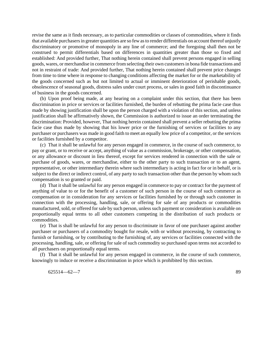revise the same as it finds necessary, as to particular commodities or classes of commodities, where it finds that available purchasers in greater quantities are so few as to render differentials on account thereof unjustly discriminatory or promotive of monopoly in any line of commerce; and the foregoing shall then not be construed to permit differentials based on differences in quantities greater than those so fixed and established: And provided further, That nothing herein contained shall prevent persons engaged in selling goods, wares, or merchandise in commerce from selecting their own customersin bona fide transactions and not in restraint of trade: And provided further, That nothing herein contained shall prevent price changes from time to time where in response to changing conditions affecting the market for or the marketability of the goods concerned such as but not limited to actual or imminent deterioration of perishable goods, obsolescence of seasonal goods, distress sales under court process, or sales in good faith in discontinuance of business in the goods concerned.

(b) Upon proof being made, at any hearing on a complaint under this section, that there has been discrimination in price or services or facilities furnished, the burden of rebutting the prima facie case thus made by showing justification shall be upon the person charged with a violation of this section, and unless justification shall be affirmatively shown, the Commission is authorized to issue an order terminating the discrimination: Provided, however, That nothing herein contained shall prevent a seller rebutting the prima facie case thus made by showing that his lower price or the furnishing of services or facilities to any purchaser or purchasers was made in good faith to meet an equally low price of a competitor, or the services or facilities furnished by a competitor.

(c) That it shall be unlawful for any person engaged in commerce, in the course of such commerce, to pay or grant, or to receive or accept, anything of value as a commission, brokerage, or other compensation, or any allowance or discount in lieu thereof, except for services rendered in connection with the sale or purchase of goods, wares, or merchandise, either to the other party to such transaction or to an agent, representative, or other intermediary therein where such intermediary is acting in fact for or in behalf, or is subject to the direct or indirect control, of any party to such transaction other than the person by whom such compensation is so granted or paid.

(d) That it shall be unlawful for any person engaged in commerce to pay or contract for the payment of anything of value to or for the benefit of a customer of such person in the course of such commerce as compensation or in consideration for any services or facilities furnished by or through such customer in connection with the processing, handling, sale, or offering for sale of any products or commodities manufactured, sold, or offered for sale by such person, unless such payment or consideration is available on proportionally equal terms to all other customers competing in the distribution of such products or commodities.

(e) That is shall be unlawful for any person to discriminate in favor of one purchaser against another purchaser or purchasers of a commodity bought for resale, with or without processing, by contracting to furnish or furnishing, or by contributing to the furnishing of, any services or facilities connected with the processing, handling, sale, or offering for sale of such commodity so purchased upon terms not accorded to all purchasers on proportionally equal terms.

(f) That it shall be unlawful for any person engaged in commerce, in the course of such commerce, knowingly to induce or receive a discrimination in price which is prohibited by this section.

625514—62—7 89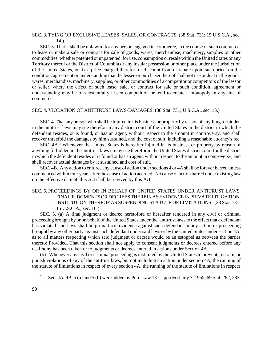#### SEC. 3. TYING OR EXCLUSIVE LEASES, SALES, OR CONTRACTS. (38 Stat. 731; 15 U.S.C.A., sec. 14.)

SEC. 3. That it shall be unlawful for any person engaged in commerce, in the course of such commerce, to lease or make a sale or contract for sale of goods, wares, merchandise, machinery, supplies or other commodities, whether patented or unpatented, for use, consumption orresale within the United States or any Territory thereof or the District of Columbia or any insular possession or other place under the jurisdiction of the United States, or fix a price charged therefor, or discount from or rebate upon, such price, on the condition, agreement or understanding that the lessee or purchaser thereof shall not use or deal in the goods, wares, merchandise, machinery, supplies, or other commodities of a competitor or competitors of the lessor or seller, where the effect of such lease, sale, or contract for sale or such condition, agreement or understanding may be to substantially lessen competition or tend to create a monopoly in any line of commerce.

#### SEC. 4. VIOLATION OF ANTITRUST LAWS-DAMAGES. (38 Stat. 731; U.S.C.A., sec. 15.)

SEC. 4. That any person who shall be injured in his business or property by reason of anything forbidden in the antitrust laws may sue therefor in any district court of the United States in the district in which the defendant resides, or is found, or has an agent, without respect to the amount in controversy, and shall recover threefold the damages by him sustained, and the cost of suit, including a reasonable attorney's fee.

SEC. 4A.<sup>3</sup> Whenever the United States is hereafter injured in its business or property by reason of anything forbidden in the antitrust laws it may sue therefor in the United States district court for the district in which the defendent resides or is found or has an agent, without respect to the amount in controversy, and shall recover actual damages by it sustained and cost of suit.

SEC. 4B. Any action to enforce any cause of action under sections 4 or 4A shall be forever barred unless commenced within four years after the cause of action accrued. No cause of action barred under existing law on the effective date of' this Act shall be revived by this Act.

## SEC. 5. PROCEEDINGS BY OR IN BEHALF OF UNITED STATES UNDER ANTITRUST LAWS. FINAL JUDGMENTS OR DECREES THEREIN AS EVIDENCE IN PRIVATE LITIGATION. INSTITUTION THEREOF AS SUSPENDING STATUTE OF LIMITATIONS. (38 Stat. 731; 15 U.S.C.A., sec. 16.)

SEC. 5. (a) A final judgment or decree heretofore or hereafter rendered in any civil or criminal proceeding brought by or on behalf of the United States under the. antitrust lawsto the effect that a defendant has violated said laws shall be prima facie evidence against such defendant in any action or proceeding brought by any other party against such defendant under said laws or by the United States under section 4A, as to all matters respecting which said judgment or decree would be an estoppel as between the parties thereto: Provided, That this section shall not apply to consent judgments or decrees entered before any testimony has been taken or to judgments or decrees entered in actions under Section 4A.

(b) Whenever any civil or criminal proceeding is instituted by the United States to prevent, restrain, or punish violations of any of the antitrust laws, but not including an action under section 4A, the running of the statute of limitations in respect of every section 4A, the running of the statute of limitations in respect

<sup>3</sup> Sec. 4A, 4B, 5 (a) and 5 (b) were added by Pub. Law 137, approved July 7, 1955, 69 Stat. 282, 283.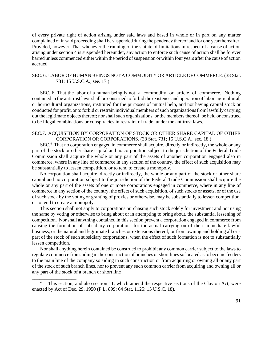of every private right of action arising under said laws and based in whole or in part on any matter complained of in said proceeding shall be suspended during the pendency thereof and for one year thereafter: Provided, however, That whenever the running of the statute of limitations in respect of a cause of action arising under section 4 is suspended hereunder, any action to enforce such cause of action shall be forever barred unless commenced either within the period of suspension or within four years after the cause of action accrued.

#### SEC. 6. LABOR OF HUMAN BEINGS NOT A COMMODITY OR ARTICLE OF COMMERCE. (38 Stat. 731; 15 U.S.C.A., see. 17.)

SEC. 6. That the labor of a human being is not a commodity or article of commerce. Nothing contained in the antitrust laws shall be construed to forbid the existence and operation of labor, agricultural, or horticultural organizations, instituted for the purposes of mutual help, and not having capital stock or conducted for profit, or to forbid or restrain individual members of such organizations from lawfully carrying out the legitimate objects thereof; nor shall such organizations, or the members thereof, be held or construed to be illegal combinations or conspiracies in restraint of trade, under the antitrust laws.

#### SEC.7. ACQUISITION BY CORPORATION OF STOCK OR OTHER SHARE CAPITAL OF OTHER CORPORATION OR CORPORATIONS. (38 Stat. 731; 15 U.S.C.A., sec. 18.)

SEC.<sup>4</sup> That no corporation engaged in commerce shall acquire, directly or indirectly, the whole or any part of the stock or other share capital and no corporation subject to the jurisdiction of the Federal Trade Commission shall acquire the whole or any part of the assets of another corporation engaged also in commerce, where in any line of commerce in any section of the country, the effect of such acquisition may be substantially to lessen competition, or to tend to create a monopoly.

No corporation shall acquire, directly or indirectly, the whole or any part of the stock or other share capital and no corporation subject to the jurisdiction of the Federal Trade Commission shall acquire the whole or any part of the assets of one or more corporations engaged in commerce, where in any line of commerce in any section of the country, the effect of such acquisition, of such stocks or assets, or of the use of such stock by the voting or granting of proxies or otherwise, may be substantially to lessen competition, or to tend to create a monopoly.

This section shall not apply to corporations purchasing such stock solely for investment and not using the same by voting or otherwise to bring about or in attempting to bring about, the substantial lessening of competition. Nor shall anything contained in this section prevent a corporation engaged in commerce from causing the formation of subsidiary corporations for the actual carrying on of their immediate lawful business, or the natural and legitimate branches or extensions thereof, or from owning and holding all or a part of the stock of such subsidiary corporations, when the effect of such formation is not to substantially lessen competition.

Nor shall anything herein contained be construed to prohibit any common carrier subject to the laws to regulate commerce from aiding in the construction of branches or short lines so located as to become feeders to the main line of the company so aiding in such construction or from acquiring or owning all or any part of the stock of such branch lines, nor to prevent any such common carrier from acquiring and owning all or any part of the stock of a branch or short line

This section, and also section 11, which amend the respective sections of the Clayton Act, were enacted by Act of Dec. 29, 1950 (P.L. 899; 64 Stat. 1125; 15 U.S.C. 18).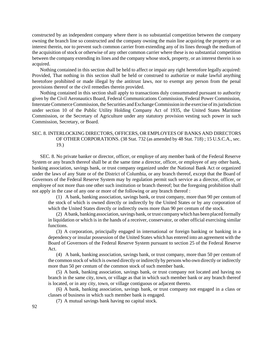constructed by an independent company where there is no substantial competition between the company owning the branch line so constructed and the company owning the main line acquiring the property or an interest therein, nor to prevent such common carrier from extending any of its lines through the medium of the acquisition of stock or otherwise of any other common carrier where these is no substantial competition between the company extending its lines and the company whose stock, property, or an interest therein is so acquired.

Nothing contained in this section shall be held to affect or impair any right heretofore legally acquired: Provided, That nothing in this section shall be held or construed to authorize or make lawful anything heretofore prohibited or made illegal by the antitrust laws, nor to exempt any person from the penal provisions thereof or the civil remedies therein provided.

Nothing contained in this section shall apply to transactions duly consummated pursuant to authority given by the Civil Aeronautics Board, Federal Communications Commission, Federal Power Commission, Interstate Commerce Commission, the Securities and Exchange Commission in the exercise of its jurisdiction under section 10 of the Public Utility Holding Company Act of 1935, the United States Maritime Commission, or the Secretary of Agriculture under any statutory provision vesting such power in such Commission, Secretary, or Board.

## SEC. 8. INTERLOCKING DIRECTORS, OFFICERS, OR EMPLOYEES OF BANKS AND DIRECTORS OF OTHER CORPORATIONS. (38 Stat. 732 (as amended by 48 Stat. 718) ; 15 U.S.C.A., sec. 19.)

SEC. 8. No private banker or director, officer, or employe of any member bank of the Federal Reserve System or any branch thereof shall be at the same time a director, officer, or employee of any other bank, banking association, savings bank, or trust company organized under the National Bank Act or organized under the laws of any State or of the District of Columbia, or any branch thereof, except that the Board of Governors of the Federal Reserve System may by regulation permit such service as a director, officer, or employee of not more than one other such institution or branch thereof; but the foregoing prohibition shall not apply in the case of any one or more of the following or any branch thereof :

(1) A bank, banking association, savings bank, or trust company, more than 90 per centum of the stock of which is owned directly or indirectly by the United States or by any corporation of which the United States directly or indirectly owns more than 90 per centum of the stock.

(2) A bank, banking association, savings bank, or trust company which has been placed formally in liquidation or which is in the hands of a receiver, conservator, or other official exercising similar functions.

(3) A corporation, principally engaged in international or foreign banking or banking in a dependency or insular possession of the United States which has entered into an agreement with the Board of Governors of the Federal Reserve System pursuant to section 25 of the Federal Reserve Act.

(4) A bank, banking association, savings bank, or trust company, more than 50 per centum of the common stock of which is owned directly or indirectly by persons who own directly or indirectly more than 50 per centum of the common stock of such member bank.

(5) A bank, banking association, savings bank, or trust company not located and having no branch in the same city, town, or village as that in which such member bank or any branch thereof is located, or in any city, town, or village contiguous or adjacent thereto.

(6) A bank, banking association, savings bank, or trust company not engaged in a class or classes of business in which such member bank is engaged.

(7) A mutual savings bank having no capital stock.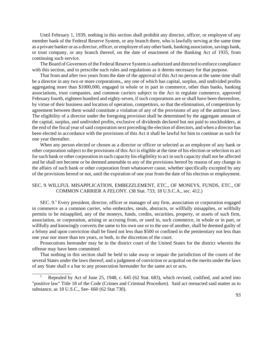Until February 1, 1939, nothing in this section shall prohibit any director, officer, or employee of any member bank of the Federal Reserve System, or any branch there, who is lawfully serving at the same time as a private banker or as a director, officer, or employee of any other bank, banking association, savings bank, or trust company, or any branch thereof, on the date of enactment of the Banking Act of 1935, from continuing such service.

The Board of Governors of the Federal Reserve System is authorized and directed to enforce compliance with this section, and to prescribe such rules and regulations as it deems necessary for that purpose.

That from and after two years from the date of the approval of this Act no person at the same time shall be a director in any two or more corporations,, any one of which has capital, surplus, and undivided profits aggregating more than \$1000,000, engaged in whole or in part in commerce, other than banks, banking associations, trust companies, and common carriers subject to the Act to regulate commerce, approved February fourth, eighteen hundred and eighty-seven, if such corporations are or shall have been theretofore, by virtue of their business and location of operation, competitors, so that the elimination, of competition by agreement between them would constitute a violation of any of the provisions of any of the antitrust laws. The eligibility of a director under the foregoing provision shall be determined by the aggregate amount of the capital, surplus, and undivided profits, exclusive of dividends declared but not paid to stockholders, at the end of the fiscal year of said corporation next preceding the election of directors, and when a director has been elected in accordance with the provisions of this Act it shall be lawful for him to continue as such for one year thereafter.

When any person elected or chosen as a director or officer or selected as an employee of any bank or other corporation subject to the provisions of this Act is eligible at the time of his election or selection to act for such bank or other corporation in such capacity his eligibility to act in such capacity shall not be affected and he shall not become or be deemed amenable to any of the provisions hereof by reason of any change in the affairs of such bank or other corporation from whatsoever cause, whether specifically excepted by any of the provisions hereof or not, until the expiration of one year from the date of his election or employment.

#### SEC. 9. WILLFUL MISAPPLICATION, EMBEZZLEMENT, ETC., OF MONEYS, FUNDS, ETC., OF COMMON CARRIER A FELONY. (38 Stat. 733; 18 U.S.C.A., sec. 412.)

SEC. 9.<sup>5</sup> Every president, director, officer or manager of any firm, association or corporation engaged in commerce as a common carrier, who embezzles, steals, abstracts, or willfully misapplies, or willfully permits to be misapplied, any of the moneys, funds, credits, securities, property, or assets of such firm, association, or corporation, arising or accruing from, or used in, such commerce, in whole or in part, or willfully and knowingly converts the same to his own use or to the use of another, shall be deemed guilty of a felony and upon conviction shall be fined not less than \$500 or confined in the penitentiary not less than one year nor more than ten years, or both, in the discretion of the court.

Prosecutions hereunder may be in the district court of the United States for the district wherein the offense may have been committed.

That nothing in this section shall be held to take away or impair the jurisdiction of the courts of the several States under the laws thereof; and a judgment of conviction or acquittal on the merits under the laws of any State shall e a bar to any prosecution hereunder for the same act or acts.

<sup>5</sup> Repealed by Act of June 25, 1948, c. 645 (62 Stat. 683), which revised, codified, and acted into "positive law" Title 18 of the Code (Crimes and Criminal Procedure). Said act reenacted said matter as to substance, as 18 U.S.C., See- 660 (62 Stat 730).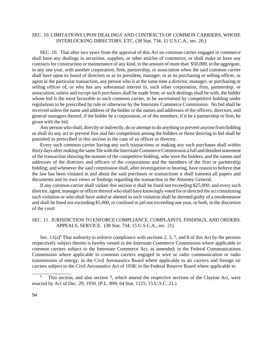#### SEC. 10. LIMITATIONS UPON DEALINGS AND CONTRACTS OF COMMON CARRIERS, WHOSE INTERLOCKING DIRECTORS, ETC. (38 Stat. 734; 15 U.S.C.A., sec. 20.)

SEC. 10. That after two years from the approval of this Act no common carrier engaged in commerce shall have any dealings in securities, supplies, or other articles of commerce, or shall make or have any contracts for construction or maintenance of any kind, to the amount of more than \$50,000, in the aggregate, in any one year, with another corporation, firm, partnership, or association when the said common carrier shall have upon its board of directors or as its president, manager, or as its purchasing or selling officer, or agent in the particular transaction, any person who is at the same time a director, manager, or purchasing or selling officer of, or who has any substantial interest in, such other corporation, firm, partnership, or association, unless and except such purchases shall be made from, or such dealings shall be with, the bidder whose bid is the most favorable to such common carrier, to be ascertained by competitive bidding under regulations to be prescribed by rule or otherwise by the Interstate Commerce Commission. No bid shall be received unless the name and address of the bidder or the names and addresses of the officers, directors, and general managers thereof, if the bidder be a corporation, or of the members, if it be a partnership or firm, be given with the bid.

Any person who shall, directly or indirectly, do or attempt to do anything to prevent anyone from bidding or shall do any act to prevent free and fair competition among the bidders or those desiring to bid shall be punished as prescribed in this section in the case of an officer or director.

Every such common carrier having any such transactions or making any such purchases shall within thirty days after making the same file with the InterstateCommerceCommission a full and detailed statement of the transaction showing the manner of the competitive bidding, who were the bidders, and the names and addresses of the directors and officers of the corporations and the members of the firm or partnership bidding; and whenever the said commission shall, after investigation or hearing, have reason to believe that the law has been violated in and about the said purchases or transactions it shall transmit all papers and documents and its own views or findings regarding the transaction to the Attorney General.

If any common carrier shall violate this section it shall be fined not exceeding \$25,000; and every such director, agent, manager or officer thereof who shall have knowingly voted for or directed the act constituting such violation or who shall have aided or abetted in such violation shall be deemed guilty of a misdemeanor and shall be fined not exceeding \$5,000, or confined in jail not exceeding one year, or both, in the discretion of the court

#### SEC. 11. JURISDICTION TO ENFORCE COMPLIANCE, COMPLAINTS, FINDINGS, AND ORDERS. APPEALS, SERVICE. (38 Stat. 734; 15 U.S.C.A., sec. 21)

Sec.  $11(a)^6$  That authority to enforce compliance with sections 2, 3, 7, and 8 of this Act by the persons respectively subject thereto is hereby vested in the Interstate Commerce Commission where applicable to common carriers subject to the Interstate Commerce Act, as amended; in the Federal Communications Commission where applicable to common carriers engaged in wire or radio communication or radio transmission of energy; in the Civil Aeronautics Board where applicable to air carriers and foreign air carriers subject to the Civil Aeronautics Act of 1038; in the Federal Reserve Board where applicable to

<sup>&</sup>lt;sup>6</sup> This section, and also section 7, which amend the respective sections of the Clayton Act, were enacted by Act of Dec. 29, 1950. (P.L. 899; 64 Stat. 1125; 15 U.S.C. 21.)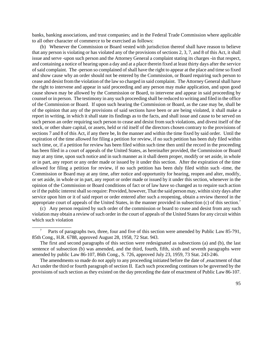banks, banking associations, and trust companies; and in the Federal Trade Commission where applicable to all other character of commerce to be exercised as follows:

(b) Whenever the Commission or Board vested with jurisdiction thereof shall have reason to believe that any person is violating or has violated any of the provisions of sections 2, 3, 7, and 8 of this Act, it shall issue and serve -upon such person and the Attorney General a complaint stating its charges -in that respect, and containing a notice of hearing upon a day and at a place therein fixed at least thirty days after the service of said complaint. The -person so complained of shall have the right to appear at the place and time so fixed and show cause why an order should not be entered by the Commission, or Board requiring such person to cease and desist fromthe violation of the law so charged in said complaint. The Attorney General shall have the right to intervene and appear in said proceeding and any person may make application, and upon good cause shown may be allowed by the Commission or Board, to intervene and appear in said proceeding by counsel or in person. The testimony in any such proceeding shall be reduced to writing and filed in the office of the Commission or Board. If upon such hearing the Commission or Board, as the case may be, shall be of the opinion that any of the provisions of said sections have been or are being violated, it shall make a report in writing, in which it shall state its findings as to the facts, and shall issue and cause to be served on such person an order requiring such person to cease and desist from such violations, and divest itself of the stock, or other share capital, or assets, held or rid itself of the directors chosen contrary to the provisions of sections 7 and 8 of this Act, if any there be, In the manner and within the time fixed by said order. Until the expiration of the time allowed for filing a petition for review, if no such petition has been duly filed within such time, or, if a petition for review has been filed within such time then until the record in the proceeding has been filed in a court of appeals of the United States, as hereinafter provided, the Commission or Board may at any time, upon such notice and in such manner as it shall deem proper, modify or set aside, in whole or in part, any report or any order made or issued by it under this section. After the expiration of the time allowed for filing a petition for review, if no such petition has been duly filed within such -time, the Commission or Board may at any time, after notice and opportunity for hearing, reopen and alter, modify, or set aside, in whole or in part, any report or order made or issued by it under this section, whenever in the opinion of the Commission or Board conditions of fact or of law have so changed as to require such action or if the public interest shall so require: Provided, however, That the said person may, within sixty days after service upon him or it of said report or order entered after such a reopening, obtain a review thereof in the appropriate court of appeals of the United States, in the manner provided in subsection (c) of this section.<sup>7</sup>

(c) Any person required by such order of the commission or board to cease and desist from any such violation may obtain a review of such order in the court of appeals of the United Statesfor any circuit within which such violation

<sup>7</sup> Parts of paragraphs two, three, four and five of this section were amended by Public Law 85-791, 85th Cong., H.R. 6788, approved August 28, 1958, 72 Stat. 943.

The first and second paragraphs of this section were redesignated as subsections (a) and (b), the last sentence of subsection (b) was amended, and the third, fourth, fifth, sixth and seventh paragraphs were amended by public Law 86-107, 86th Cong., S. 726, approved July 23, 1959, 73 Stat. 243-246.

The amendments so made do not apply to any proceeding initiated before the date of ,enactment of that Act under the third or fourth paragraph of section II. Each such proceeding continues to be governed by the provisions of such section as they existed on the day preceding the date of enactment of Public Law 86-107.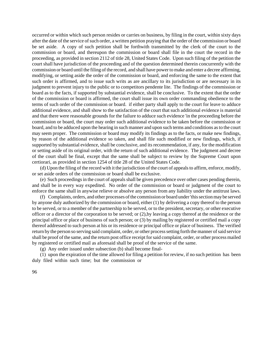occurred or within which such person resides or carries on business, by filing in the court, within sixty days after the date of the service of such order, a written petition praying that the order of the commission or board be set aside. A copy of such petition shall be forthwith transmitted by the clerk of the court to the commission or board, and thereupon the commission or board shall file in the court the record in the proceeding, as provided in section 2112 of title 28, United States Code. Upon such filing of the petition the court shall have jurisdiction of the proceeding and of the question determined therein concurrently with the commission or board until the filing of the record, and shall have power to make and enter a decree affirming, modifying, or setting aside the order of the commission or board, and enforcing the same to the extent that such order is affirmed, and to issue such writs as are ancillary to its jurisdiction or are necessary in its judgment to prevent injury to the public or to competitors pendente lite. The findings of the commission or board as to the facts, if supported by substantial evidence, shall be conclusive. To the extent that the order of the commission or board is affirmed, the court shall issue its own order commanding obedience to the terms of such order of the commission or board. if either party shall apply to the court for leave to adduce additional evidence, and shall show to the satisfaction of the court that such additional evidence is material and that there were reasonable grounds for the failure to adduce such evidence 'in the proceeding before the commission or board, the court may order such additional evidence to be taken before the commission or board, and to be adduced upon the hearing in such manner and upon such terms and conditions asto the court may seem proper. The commission or board may modify its findings as to the facts, or make new findings, by reason of the additional evidence so taken, and shall file such modified or new findings, which, if supported by substantial evidence, shall be conclusive, and its recommendation, if any, for the modification or setting aside of its original order, with the return of such additional evidence. The judgment and decree of the court shall be final, except that the same shall be subject to review by the Supreme Court upon certiorari, as provided in section 1254 of title 28 of the United States Code.

(d) Upon the filing of the record with it the jurisdiction of the court of appealsto affirm, enforce, modify, or set aside orders of the commission or board shall be exclusive.

(e) Such proceedings in the court of appeals shall be given precedence over other cases pending therein, and shall be in every way expedited. No order of the commission or board or judgment of the court to enforce the same shall in anywise relieve or absolve any person from any liability under the antitrust laws.

(f) Complaints, orders, and other processes ofthe commission or board under'thissectionmay be served by anyone duly authorized by the commission or board, either (1) by delivering a copy thereof to the person to be served, or to a member of the partnership to be served, or to the president, secretary, or other executive officer or a director of the corporation to be served; or (2),by leaving a copy thereof at the residence or the principal office or place of business of such person; or (3) by mailing by registered or certified mail a copy thereof addressed to such person at his or its residence or principal office or place of business. The verified return by the person so serving said complaint, order, or other process setting forth the manner of said service shall be proof ofthe same, and the return post office receipt forsaid complaint, order, or other process mailed by registered or certified mail as aforesaid shall be proof of the service of the same.

(g) Any order issued under subsection (b) shall become final-

(1) upon the expiration of the time allowed for filing a petition for review, if no such petition has been duly filed within such time; but the commission or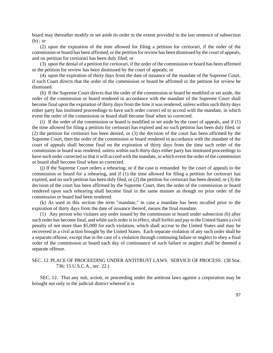board may thereafter modify or set aside its order to the extent provided in the last sentence of subsection (b) ; or

(2) upon the expiration of the time allowed for filing a petition for certiorari, if the order of the commission or board has been affirmed, or the petition for review has been dismissed by the court of appeals, and no petition for certiorari has been duly filed; or

(3) upon the denial of a petition for certiorari, if the order of the commission or board has been affirmed or the petition for review has been dismissed by the court of appeals; or

(4) upon the expiration of thirty days from the date of issuance of the mandate of the Supreme Court, if such Court directs that the order of the commission or board be affirmed or the petition for review be dismissed.

(h) If the Supreme Court directs that the order of the commission or board be modified or set aside, the order of the commission or board rendered in accordance with the mandate of the Supreme Court shall become final upon the expiration of thirty days from the time it was rendered, unless within such thirty days either party has instituted proceedings to have such order correct ed to accord with the mandate, in which event the order of the commission or board shall become final when so corrected.

(i) If the order of the commission or board is modified or set aside by the court of appeals, and if  $(1)$ the time allowed for filing a petition for certiorari has expired and no such petition has been duly filed, or (2) the petition for certiorari has been denied, or (3) the decision of the court has been affirmed by the Supreme Court, then the order of the commission or board rendered in accordance with the mandate of the court of appeals shall become final on the expiration of thirty days from the time such order of the commission or board was rendered, unless within such thirty days either party has instituted proceedings to have such order corrected so that it will accord with the mandate, in which event the order of the commission or board shall become final when so corrected.

(j) If the Supreme Court orders a rehearing; or if the case is remanded by the court of appeals to the commission or board for a rehearing, and if (1) the time allowed for filing a petition for certiorari has expired, and no such petition has been duly filed, or (2) the petition for certiorari has been denied, or (3) the decision of the court has been affirmed by the Supreme Court, then the order of the commission or board rendered upon such rehearing shall become final in the same manner as though no prior order of the commission or board had been rendered.

(k) As used in this section the term "mandate," in case a mandate has been recalled prior to the expiration of thirty days from the date of issuance thereof, means the final mandate.

(1) Any person who violates any order issued by the commission or board under subsection (b) after such order has become final, and while such order is in effect, shall forfeit and pay to the United States a civil penalty of not more than \$5,000 for each violation, which shall accrue to the United States and may be recovered in a civil action brought by the United States. Each separate violation of any such order shall he a separate offense, except that in the case of a violation through continuing failure or neglect to obey a final order of the commission or board each day of continuance of such failure or neglect shall be deemed a separate offense.

#### SEC. 12. PLACE OF PROCEEDING UNDER ANTITRUST LAWS. SERVICE OF PROCESS. (38 Stat. 736; 15 U.S.C.A., sec. 22.)

SEC. 12. That any suit, action, or proceeding under the antitrust laws against a corporation may be brought not only in the judicial district whereof it is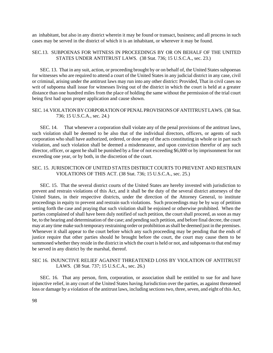an inhabitant, but also in any district wherein it may be found or transact, business; and all process in such cases may be served in the district of which it is an inhabitant, or wherever it may be found.

#### SEC.13. SUBPOENAS FOR WITNESS IN PROCEEDINGS BY OR ON BEHALF OF THE UNITED STATES UNDER ANTITRUST LAWS. (38 Stat. 736; 15 U.S.C.A., sec. 23.)

SEC. 13. That in any suit, action, or proceeding brought by or on behalf of, the United States subpoenas for witnesses who are required to attend a court of the United States in any judicial district in any case, civil or criminal, arising under the antitrust laws may run into any other district: Provided, That in civil cases no writ of subpoena shall issue for witnesses living out of the district in which the court is held at a greater distance than one hundred miles from the place of holding the same without the permission of the trial court being first had upon proper application and cause shown.

#### SEC. 14. VIOLATION BY CORPORATION OF PENAL PROVISIONS OF ANTITRUST LAWS. (38 Stat. 736; 15 U.S.C.A., sec. 24.)

SEC. 14. That whenever a corporation shall violate any of the penal provisions of the antitrust laws, such violation shall be deemed to be also that of the individual directors, officers, or agents of such corporation who shall have authorized, ordered, or done any of the acts constituting in whole or in part such violation, and such violation shall be deemed a misdemeanor, and upon conviction therefor of any such director, officer, or agent he shall be punished by a fine of not exceeding \$6,000 or by imprisonment for not exceeding one year, or by both, in the discretion of the court.

#### SEC. 15. JURISDICTION OF UNITED STATES DISTRICT COURTS TO PREVENT AND RESTRAIN VIOLATIONS OF THIS ACT. (38 Stat. 736; 15 U.S.C.A., sec. 25.)

SEC. 15. That the several district courts of the United States are hereby invested with jurisdiction to prevent and restrain violations of this Act, and it shall be the duty of the several district attorneys of the United States, in their respective districts, under the direction of the Attorney General, to institute proceedings in equity to prevent and restrain such violations. Such proceedings may be by way of petition setting forth the case and praying that such violation shall be enjoined or otherwise prohibited. When the parties complained of shall have been duly notified of such petition, the court shall proceed, as soon as may be, to the hearing and determination of the case; and pending such petition, and before final decree, the court may at any time make such temporary restraining order or prohibition asshall be deemed just in the premises. Whenever it shall appear to the court before which any such proceeding may be pending that the ends of justice require that other parties should he brought before the court, the court may cause them to be summoned whether they reside in the district in which the court is held or not, and subpoenas to that end may be served in any district by the marshal, thereof.

#### SEC 16. INJUNCTIVE RELIEF AGAINST THREATENED LOSS BY VIOLATION OF ANTITRUST LAWS. (38 Stat. 737; 15 U.S.C.A., sec. 26.)

SEC. 16. That any person, firm, corporation, or association shall be entitled to sue for and have injunctive relief, in any court of the United States having Jurisdiction over the parties, as against threatened loss or damage by a violation of the antitrust laws, including sections two, three, seven, and eight of this Act,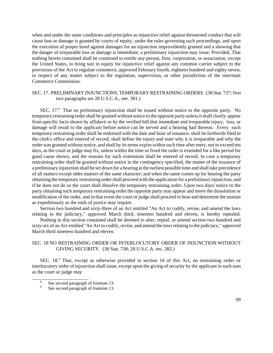when and under the same conditions and principles as injunctive relief against threatened conduct that will cause loss or damage is granted by courts of equity, under the rules governing such proceedings, and upon the execution of proper bond against damages for an injunction improvidently granted and a showing that the danger of irreparable loss or damage is immediate, a preliminary injunction may issue: Provided, That nothing herein contained shall be construed to entitle any person, firm, corporation, or association, except the United States, to bring suit in equity for injunctive relief against any common carrier subject to the provisions of the Act to regulate commerce, approved February fourth, eighteen hundred and eighty-seven, in respect of any matter subject to the regulation, supervision, or other jurisdiction of the interstate Commerce Commission.

#### SEC. 17. PRELIMINARY INJUNCTIONS, TEMPORARY RESTRAINING ORDERS. (38 Stat. 737; first two paragraphs are 28 U.S.C.A., see. 381.)

SEC. 17.<sup>8</sup> That no preliminary injunction shall be issued without notice to the opposite party. No temporary restraining order shall be granted without notice to the opposite party unless it shall clearly appear from specific facts shown by affidavit or by the verified bill that immediate and irreparable injury, loss, or damage will result to the applicant before notice can be served and a hearing had thereon. Every such temporary restraining order shall be endorsed with the date and hour of issuance, shall be forthwith filed in the clerk's office and entered of record, shall define the injury and state why it is irreparable and why the order was granted without notice, and shall by its terms expire within such time after entry, not to exceed ten days, as the court or judge may fix, unless within the time so fixed the order is extended for a like period for good cause shown, and the reasons for such extensions shall be entered of record. In case a temporary restraining order shall be granted without notice in the contingency specified, the matter of the issuance of a preliminary injunction shall be set down for a hearing at the earliest possible time and shall take precedence of all matters except older matters of the same character; and when the same comes up for hearing the party obtaining the temporary restraining ordershall proceed with the application for a preliminary injunction, and if he does not do so the court shall dissolve the temporary restraining order. Upon two days' notice to the party obtaining such temporary restraining order the opposite party may appear and move the dissolution or modification of the order, and in that event the court or judge shall proceed to hear and determine the motion as expeditiously as the ends of justice may require.

Section two hundred and sixty-three of an Act entitled "An Act to codify, revise, and amend the laws relating to the judiciary," approved March third, nineteen hundred and eleven, is hereby repealed.

Nothing in this section contained shall be deemed to alter, repeal, or amend section two hundred and sixty-six of an Act entitled "An Act to codify, revise, and amend the lawsrelating to the judiciary," approved March third nineteen hundred and eleven.

#### SEC. 18 NO RESTRAINING ORDER OR INTERLOCUTORY ORDER OF INJUNCTION WITHOUT GIVING SECURITY. (38 Stat. 738; 28 U.S.C.A. sec. 382.)

SEC. 18.<sup>9</sup> That, except as otherwise provided in section 16 of this Act, no restraining order or interlocutory order of injunction shall issue, except upon the giving of security by the applicant in such sum as the court or judge may

\_\_\_\_\_\_\_\_\_\_\_\_\_\_\_\_\_\_\_\_\_\_\_

<sup>8</sup> See second paragraph of footnote 13.

<sup>9</sup> See second paragraph of footnote 13.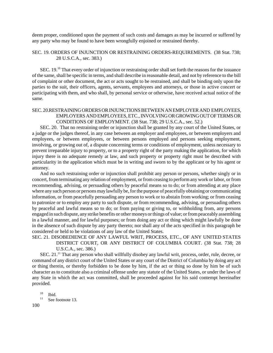deem proper, conditioned upon the payment of such costs and damages as may be incurred or suffered by any party who may be found to have been wrongfully enjoined or restrained thereby.

#### SEC. 19. ORDERS OF INJUNCTION OR RESTRAINING ORDERS-REQUIREMENTS. (38 Stat. 738; 28 U.S.C.A., sec. 383.)

SEC. 19.<sup>10</sup> That every order of injunction or restraining order shall set forth the reasons for the issuance of the same, shall be specific in terms, and shall describe in reasonable detail, and not by reference to the bill of complaint or other document, the act or acts sought to be restrained, and shall be binding only upon the parties to the suit, their officers, agents, servants, employees and attorneys, or those in active concert or participating with them, and who shall, by personal service or otherwise, have received actual notice of the same.

## SEC. 20. RESTRAINING ORDERS OR INJUNCTIONS BETWEEN AN EMPLOYER AND EMPLOYEES, EMPLOYERSANDEMPLOYEES,ETC.,INVOLVING OR GROWING OUT OF TERMS OR CONDITIONS OF EMPLOYMENT. (38 Stat. 738; 29 U.S.C.A., sec. 52.)

SEC. 20. That no restraining order or injunction shall be granted by any court of the United States, or a judge or the judges thereof, in any case between an employer and employees, or between employers and employees, or between employees, or between persons employed and persons seeking employment, involving, or growing out of, a dispute concerning terms or conditions of employment, unless necessary to prevent irreparable injury to property, or to a property right of the party making the application, for which injury there is no adequate remedy at law, and such property or property right must be described with particularity in the application which must be in writing and sworn to by the applicant or by his agent or attorney.

And no such restraining order or injunction shall prohibit any person or persons, whether singly or in concert, fromterminating any relation of employment, or fromceasing to performany work or labor, or from recommending, advising, or persuading others by peaceful means so to do; or from attending at any place where any such person or persons may lawfully be, for the purpose of peacefully obtaining or communicating information, or from peacefully persuading any person to work or to abstain from working; or from ceasing to patronize or to employ any party to such dispute, or from recommending, advising, or persuading others by peaceful and lawful means so to do; or from paying or giving to, or withholding from, any persons engaged in such dispute, any strike benefits or other moneys orthings of value; orfrompeaceably assembling in a lawful manner, and for lawful purposes; or from doing any act or thing which might lawfully be done in the absence of such dispute by any party thereto; nor shall any of the acts specified in this paragraph be considered or held to be violations of any law of the United States.

SEC. 21. DISOBEDIENCE OF ANY LAWFUL WRIT, PROCESS, ETC., OF ANY UNITED STATES DISTRICT COURT, OR ANY DISTRICT OF COLUMBIA COURT. (38 Stat. 738; 28 U.S.C.A., sec. 386.)

SEC. 21.<sup>11</sup> That any person who shall willfully disobey any lawful writ, process, order, rule, decree, or command of any district court of the United States or any court of the District of Columbia by doing any act or thing therein, or thereby forbidden to be done by him, if the act or thing so done by him be of such character as to constitute also a criminal offense under any statute of the United States, or under the laws of any State in which the act was committed, shall be proceeded against for his said contempt hereinafter provided.

- $\frac{10}{11}$  Ibid.
- See footnote 13.
- 100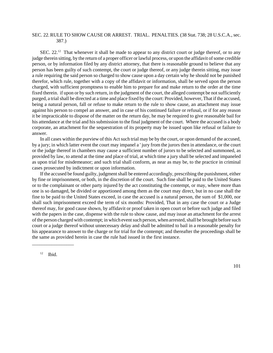#### SEC. 22. RULE TO SHOW CAUSE OR ARREST. TRIAL. PENALTIES. (38 Stat. 738; 28 U.S.C.A., sec. 387.)

SEC. 22.<sup>12</sup> That whenever it shall be made to appear to any district court or judge thereof, or to any judge therein sitting, by the return of a proper officer or lawful process, or upon the affidavit of some credible person, or by information filed by any district attorney, that there is reasonable ground to believe that any person has been guilty of such contempt, the court or judge thereof, or any judge therein sitting, may issue a rule requiring the said person so charged to show cause upon a day certain why he should not be punished therefor, which rule, together with a copy of the affidavit or information, shall be served upon the person charged, with sufficient promptness to enable him to prepare for and make return to the order at the time fixed therein. if upon or by such return, in the judgment of the court, the alleged contempt be not sufficiently purged, a trialshall be directed at a time and place fixed by the court: Provided, however, That if the accused, being a natural person, fall or refuse to make return to the rule to show cause, an attachment may issue against his person to compel an answer, and in case of his continued failure or refusal, or if for any reason it be impracticable to dispose of the matter on the return day, he may be required to give reasonable bail for his attendance at the trial and his submission to the final judgment of the court. Where the accused is a body corporate, an attachment for the sequestration of its property may be issued upon like refusal or failure to answer.

In all cases within the purview of this Act such trial may be by the court, or upon demand of the accused, by a jury; in which latter event the court may impanel a ' jury from the jurors then in attendance, or the court or the judge thereof in chambers may cause a sufficient number of jurors to be selected and summoned, as provided by law, to attend at the time and place of trial, at which time a jury shall be selected and impaneled as upon trial for misdemeanor; and such trial shall conform, as near as may be, to the practice in criminal cases prosecuted by indictment or upon information.

If the accused be found guilty, judgment shall be entered accordingly, prescribing the punishment, either by fine or imprisonment, or both, in the discretion of the court. Such fine shall be paid to the United States or to the complainant or other party injured by the act constituting the contempt, or may, where more than one is so damaged, be divided or apportioned among them as the court may direct, but in no case shall the fine to be paid to the United States exceed, in case the accused is a natural person, the sum of \$1,000, nor shall such imprisonment exceed the term of six months: Provided, That in any case the court or a Judge thereof may, for good cause shown, by affidavit or proof taken in open court or before such judge and filed with the papers in the case, dispense with the rule to show cause, and may issue an attachment for the arrest of the person charged with contempt; in which event such person, when arrested, shall be brought before such court or a judge thereof without unnecessary delay and shall be admitted to bail in a reasonable penalty for his appearance to answer to the charge or for trial for the contempt; and thereafter the proceedings shall be the same as provided herein in case the rule had issued in the first instance.

 $12$  Ibid.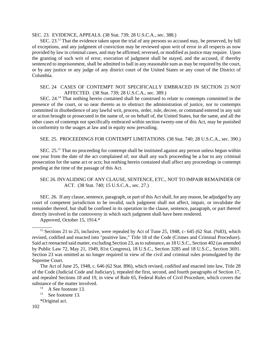SEC. 23. EVIDENCE, APPEALS. (38 Stat. 739; 28 U.S.C.A., sec. 388.)

SEC. 23.<sup>13</sup> That the evidence taken upon the trial of any persons so accused may, be preserved, by bill of exceptions, and any judgment of conviction may be reviewed upon writ of error in all respects as now provided by law in criminal cases, and may be affirmed, reversed, or modified as justice may require. Upon the granting of such writ of error, execution of judgment shall be stayed, and the accused, if thereby sentenced to imprisonment, shall be admitted to ball in any reasonable sum as may be required by the court, or by any justice or any judge of any district court of the United States or any court of the District of Columbia.

#### SEC. 24 CASES OF CONTEMPT NOT SPECIFICALLY EMBRACED IN SECTION 21 NOT AFFECTED. (38 Stat. 739; 28 U.S.C.A., sec. 389.)

SEC. 24.<sup>14</sup> That nothing herein contained shall be construed to relate to contempts committed in the presence of the court, or so near thereto as to obstruct the administration of justice, nor to contempts committed in disobedience of any lawful writ, process, order, rule, decree, or command entered in any suit or action brought or prosecuted in the name of, or on behalf of, the United States, but the same, and all the other cases of contempt not specifically embraced within section twenty-one of this Act, may be punished in conformity to the usages at law and in equity now prevailing.

SEE. 25. PROCEEDINGS FOR CONTEMPT LIMITATIONS. (38 Stat. 740; 28 U.S.C.A., sec. 390.)

SEC. 25.<sup>15</sup> That no proceeding for contempt shall be instituted against any person unless begun within one year from the date of the act complained of; nor shall any such proceeding be a bar to any criminal prosecution for the same act or acts; but nothing herein contained shall affect any proceedings in contempt pending at the time of the passage of this Act.

## SEC 26. INVALIDING OF ANY CLAUSE, SENTENCE, ETC., NOT TO IMPAIR REMAINDER OF ACT. (38 Stat. 740; 15 U.S.C.A., sec. 27.)

SEC. 26. If any clause, sentence, paragraph, or part of this Act shall, for any reason, be adjudged by any court of competent jurisdiction to be invalid, such judgment shall not affect, impair, or invalidate the remainder thereof, but shall be confined in its operation to the clause, sentence, paragraph, or part thereof directly involved in the controversy in which such judgment shall have been rendered.

Approved, October 15, 1914.\*

102

\_\_\_\_\_\_\_\_

<sup>&</sup>lt;sup>15</sup> Sections 21 to 25, inclusive, were repealed by Act of Tune 25, 1948, c- 645 (62 Stat. (%83), which revised, codified and enacted into "positive law," Title 18 of the Code (Crimes and Criminal Procedure). Said act reenacted said matter, excluding Section 23, asto substance, as 18 U.S.C., Section 402 (as amended by Public Law 72, May 21, 1949, 81st Congress), 18 U.S.C., Section 3285 and 18 U.S.C., Section 3691. Section 23 was omitted as no longer required in view of the civil and criminal rules promulgated by the Supreme Court.

The Act of June 25, 1948, c. 646 (62 Stat. 896), which revised, codified and enacted into law, Title 28 of the Code (Judicial Code and Judiciary), repealed the first, second, and fourth paragraphs of Section 17, and repealed Sections 18 and 19, in view of Rule 65, Federal Rules of Civil Procedure, which covers the substance of the matter involved.

A See footnote 13.

See footnote 13.

<sup>\*</sup>Original act.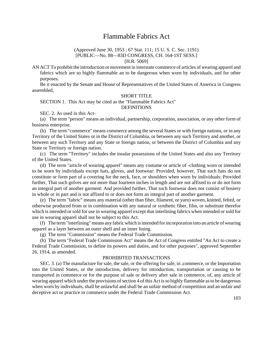# Flammable Fabrics Act

#### (Approved June 30, 1953 ; 67 Stat. 111; 15 U. S. C. Sec. 1191) [PUBLIC—No. 88—83D CONGRESS, CH. 164-1ST SESS.] [H.R. 5069]

AN ACT To prohibit the introduction or movement in interstate commerce of articles of wearing apparel and fabrics which are so highly flammable an to be dangerous when worn by individuals, and for other purposes.

Be it enacted by the Senate and House of Representatives of the United States of America in Congress assembled,

#### SHORT TITLE

SECTION 1. This Act may be cited as the "Flammable Fabrics Act" DEFINITIONS

SEC. 2. As used in this Act-

(a) The term "person" means an individual, partnership, corporation, association, or any other form of business enterprise.

(b) The term "commerce" means commerce among the several States or with foreign nations, or in any Territory of the United States or in the District of Columbia, or between any such Territory and another, or between any such Territory and any State or foreign nation, or between the District of Columbia and any State or Territory or foreign nation.

(c) The term "Territory" includes the insular possessions of the United States and also any Territory of the United States.

(d) The term "article of wearing apparel" means any costume or article of -clothing worn or intended to be worn by individuals except hats, gloves, and footwear: Provided, however, That such hats do not constitute or form part of a covering for the neck, face, or shoulders when worn by individuals: Provided further, That such golves are not more than fourteen inches in length and are not affixed to or do not form an integral part of another garment: And provided further, That such footwear does not consist of hosiery in whole or in part and is not affixed to or does not form an integral part of another garment.

(e) The term "fabric" means any material (other than fiber, filament, or yarn) woven, knitted, felted, or otherwise produced from or in combination with any natural or synthetic fiber, film, or substitute therefor which is intended or sold for use in wearing apparel except that interlining fabrics when intended orsold for use in wearing apparel shall not be subject to this Act.

(f) The term "interlining" means any fabric which is intended for incorporation into an article of wearing apparel as a layer between an outer shell and an inner lining.

(g) The term "Commission" means the Federal Trade Commission.

(h) The term "Federal Trade Commission Act" means the Act of Congress entitled "An Act to create a Federal Trade Commission, to define its powers and duties, and for other purposes", approved September 26, 1914, as amended.

#### PROHIBITED TRANSACTIONS

SEC. 3. (a) The manufacture for sale, the sale, or the offering for sale, in ,commerce, or the Importation into the United States, or the introduction, delivery for introduction, transportation or causing to be transported in commerce or for the purpose of sale or delivery after sale in commerce, of, any article of wearing apparel which under the provisions of section 4 of this Act is so highly flammable as to be dangerous when worn by individuals, shall be unlawful and shall be an unfair method of competition and an unfair and deceptive act or practice in commerce under the Federal Trade Commission Act.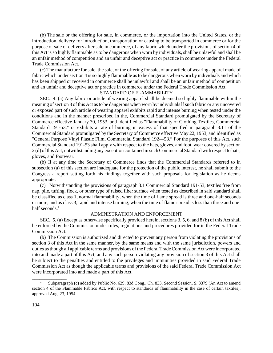(b) The sale or the offering for sale, in commerce, or the importation into the United States, or the introduction, delivery for introduction, transportation or causing to be transported in commerce or for the purpose of sale or delivery after sale in commerce, of any fabric which under the provisions of section 4 of this Act is so highly flammable as to be dangerous when worn by individuals, shall be unlawful and shall be an unfair method of competition and an unfair and deceptive act or practice in commerce under the Federal Trade Commission Act.

(c)'The manufacture for sale, the sale, or the offering for sale, of any article of wearing apparel made of fabric which under section 4 is so highly flammable as to be dangerous when worn by individuals and which has been shipped or received in commerce shall be unlawful and shall be an unfair method of competition and an unfair and deceptive act or practice in commerce under the Federal Trade Commission Act.

### STANDARD OF FLAMMABILITY

SEC.. 4. (a) Any fabric or article of wearing apparel shall be deemed so highly flammable within the meaning of section 3 of this Act as to be dangerous when worn by individuals If such fabric or any uncovered or exposed part of such article of wearing apparel exhibits rapid and intense burning when tested under the conditions and in the manner prescribed in the, Commercial Standard promulgated by the Secretary of Commerce effective January 30, 1953, and Identified as "Flammability of Clothing Textiles, Commercial Standard 191-53," or exhibits a rate of burning in excess of that specified in paragraph 3.11 of the Commercial Standard promulgated by the Secretary of Commerce effective May 22, 1953, and identified as "General Purpose Vinyl Plastic Film, Commercial Standard 192—53." For the purposes of this Act, such Commercial Standard 191-53 shall apply with respect to the hats, gloves, and foot. wear covered by section 2 (d) of this Act, notwithstanding any exception contained in such Commercial Standard with respect to hats, gloves, and footwear.

(b) If at any time the Secretary of Commerce finds that the Commercial Standards referred to in subsection (a) of this section are inadequate for the protection of the public interest, he shall submit to the Congress a report setting forth his findings together with such proposals for legislation as he deems appropriate.

(c) Notwithstanding the provisions of paragraph 3.1 Commercial Standard 191-53, textiles free from nap, pile, tufting, flock, or other type of raised fiber surface when tested as described in said standard shall be classified as class 1, normal flammability, when the time of flame spread is three and one-half seconds or more, and as class 3, rapid and intense burning, when the time of flame spread is less than three and onehalf seconds. $<sup>1</sup>$ </sup>

#### ADMINISTRATION AND ENFORCEMENT

SEC.. 5. (a) Except as otherwise specifically provided herein, sections 3, 5, 6, and 8 (b) of this Act shall be enforced by the Commission under rules, regulations and procedures provided for in the Federal Trade Commission Act.

(b) The Commission is authorized and directed to prevent any person from violating the provisions of section 3 of this Act in the same manner, by the same means and with the same jurisdiction, powers and duties as though all applicable terms and provisions of the Federal Trade Commission Act were incorporated into and made a part of this Act; and any such person violating any provision of section 3 of this Act shall be subject to the penalties and entitled to the privileges and immunities provided in said Federal Trade Commission Act as though the applicable terms and provisions of the said Federal Trade Commission Act were incorporated into and made a part of this Act.

\_\_\_\_\_\_\_\_\_\_\_\_\_\_

<sup>1</sup> Subparagraph (c) added by Public No. 629, 83d Cong., Ch. 833, Second Session, S. 3379 (An Act to amend section 4 of the Flammable Fabrics Act, with respect to standards of flammability in the case of certain textiles), approved Aug. 23, 1954.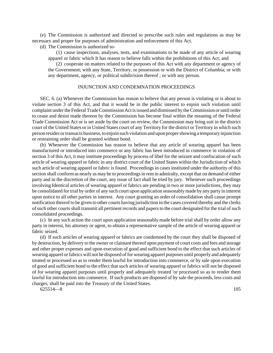(e) The Commission is authorized and directed to prescribe such rules and regulations as may be necessary and proper for purposes of administration and enforcement of this Act.

(d) The Commission is authorized to-

(1) cause inspections, analyses, tests, and examinations to be made of any article of wearing apparel or fabric which It has reason to believe falls within the prohibitions of this Act; and

(2) cooperate on matters related to the purposes of this Act with any department or agency of the Government; with any State, Territory, or possession or with the District of Columbia; or with any department, agency, or political subdivision thereof ; or with any person.

#### INJUNCTION AND CONDEMNATION PROCEEDINGS

SEC. 6. (a) Whenever the Commission has reason to believe that any person is violating or is about to violate section 3 of this Act, and that it would be in the public interest to enjoin such violation until complaint under the Federal Trade Commission Act is issued and dismissed by the Commission or until order to cease and desist made thereon by the Commission has become final within the meaning of the Federal Trade Commission Act or is set aside by the court on review, the Commission may bring suit in the district court of the United States or in United States court of any Territory for the district or Territory in which such person resides ortransacts business, to enjoin such violation and upon propershowing a temporary injunction or restraining order shall be granted without bond.

(b) Whenever the Commission has reason to believe that any article of wearing apparel has been manufactured or introduced into commerce or any fabric has been introduced in commerce in violation of section 3 of this Act, it may institute proceedings by process of libel for the seizure and confiscation of such article of wearing apparel or fabric in any district court of the United States within the Jurisdiction of which such article of wearing apparel or fabric is found. Proceedings in cases instituted under the authority of this section shall conform as nearly as may be to proceedings in rem in admiralty, except that on demand of either party and in the discretion of the court, any issue of fact shall be tried by jury. Whenever such proceedings involving Identical articles of wearing apparel or fabrics are pending in two or more jurisdictions, they may be consolidated for trial by order of any such court upon application seasonablymade by any party in interest upon notice to all other parties in interest. Any court granting an order of consolidation shall cause prompt notification thereof to be given to other courts having jurisdiction in the cases covered thereby and the clerks of such other courts shall transmit all pertinent records and papers to the court designated for the trial of such consolidated proceedings.

(c) In any such action the court upon application seasonably made before trial shall by order allow any party in interest, his attorney or agent, to obtain a representative sample of the article of wearing apparel or fabric seized.

(d) If such articles of wearing apparel or fabrics are condemned by the court they shall be disposed of by destruction, by delivery to the owner or claimant thereof upon payment of court costs and fees and storage and other proper expenses and upon execution of good and sufficient bond to the effect that such articles of wearing apparel or fabrics will not be disposed of for wearing apparel purposes until properly and adequately treated or processed so as to render them lawful for introduction into commerce, or by sale upon execution of good and sufficient bond to the effect that such articles of wearing apparel or fabrics will not be disposed of for wearing apparel purposes until properly and adequately treated 'or processed so as to render them lawful for introduction into commerce. If such products are disposed of by sale the proceeds, less costs and charges, shall be paid into the Treasury of the United States.

625514—8 105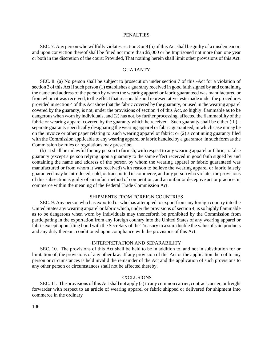#### PENALTIES

SEC. 7. Any person who willfully violates section  $3$  or  $8$  (b) of this Act shall be guilty of a misdemeanor, and upon conviction thereof shall be fined not more than \$5,000 or be Imprisoned not more than one year or both in the discretion of the court: Provided, That nothing herein shall limit other provisions of this Act.

#### **GUARANTY**

SEC. 8 (a) No person shall be subject to prosecution under section 7 of this -Act for a violation of section 3 of this Act if such person (1) establishes a guaranty received in good faith signed by and containing the name and address of the person by whom the wearing apparel or fabric guaranteed was manufactured or from whom it was received, to the effect that reasonable and representative tests made under the procedures provided in section 4 of this Actshow that the fabric covered by the guaranty, or used in the wearing apparel covered by the guaranty, is not, under the provisions of section 4 of this Act, so highly .flammable as to be dangerous when worn by individuals, and (2) has not, by further processing, affected the flammability of the fabric or wearing apparel covered by the guaranty which he received. Such guaranty shall be either (:L) a separate guaranty specifically designating the wearing apparel or fabric guaranteed, in which case it may be on the invoice or other paper relating to .such wearing apparel or fabric; or (2) a continuing guaranty filed with the Commission applicable to any wearing apparel or fabric handled by a guarantor, in such form as the Commission by rules or regulations may prescribe.

(b) It shall be unlawful for any person to furnish, with respect to any wearing apparel or fabric, a: false guaranty (except a person relying upon a guaranty to the same effect received in good faith signed by and containing the name and address of the person by whom the wearing apparel or fabric guaranteed was manufactured or from whom it was received) with reason to believe the wearing apparel or fabric falsely guaranteed may be introduced, sold, or transported in commerce, and any person who violates the provisions of this subsection is guilty of an unfair method of competition, and an unfair or deceptive act or practice, in commerce within the meaning of the Federal Trade Commission Act.

## SHIPMENTS FROM FOREIGN COUNTRIES

SEC. 9. Any person who has exported or who has attempted to export from any foreign country into the United States any wearing apparel or fabric which, under the provisions of section 4, is so highly flammable as to be dangerous when worn by individuals may thenceforth be prohibited by the Commission from participating in the exportation from any foreign country into the United States of any wearing apparel or fabric except upon filing bond with the Secretary of the Treasury in a sum double the value of said products and any duty thereon, conditioned upon compliance with the provisions of this Act.

### INTERPRETATION AND SEPARABILITY

SEC. 10. The provisions of this Act shall be held to be in addition to, and not in substitution for or limitation of, the provisions of any other law. If any provision of this Act or the application thereof to any person or circumstances is held invalid the remainder of the Act and the application of such provisions to any other person or circumstances shall not be affected thereby.

#### EXCLUSIONS

SEC. 11. The provisions of this Act shall not apply (a) to any common carrier, contract carrier, or freight forwarder with respect to an article of wearing apparel or fabric shipped or delivered for shipment into commerce in the ordinary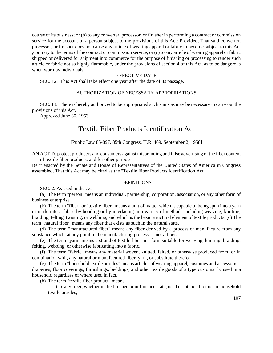course of its business; or (b) to any converter, processor, or finisher in performing a contract or commission service for the account of a person subject to the provisions of this Act: Provided, That said converter, processor, or finisher does not cause any article of wearing apparel or fabric to become subject to this Act ,contrary to the terms of the contract or commission service; or (c) to any article of wearing apparel or fabric shipped or delivered for shipment into commerce for the purpose of finishing or processing to render such article or fabric not so highly flammable, under the provisions of section 4 of this Act, as to be dangerous when worn by individuals.

#### EFFECTIVE DATE

SEC. 12. This Act shall take effect one year after the date of its passage.

## AUTHORIZATION OF NECESSARY APPROPRIATIONS

SEC. 13. There is hereby authorized to be appropriated such sums as may be necessary to carry out the provisions of this Act.

Approved June 30, 1953.

## Textile Fiber Products Identification Act

[Public Law 85-897, 85th Congress, H.R. 469, September 2, 1958]

AN ACT To protect producers and consumers against misbranding and false advertising of the fiber content of textile fiber products, and for other purposes

Be it enacted by the Senate and House of Representatives of the United States of America in Congress assembled, That this Act may be cited as the "Textile Fiber Products Identification Act".

### **DEFINITIONS**

SEC. 2. As used in the Act-

(a) The term "person" means an individual, partnership, corporation, association, or any other form of business enterprise.

(b) The term "fiber" or "textile fiber" means a unit of matter which is capable of being spun into a yarn or made into a fabric by bonding or by interlacing in a variety of methods including weaving, knitting, braiding, felting, twisting, or webbing, and which is the basic structural element of textile products. (c) The term "natural fiber" means any fiber that exists as such in the natural state.

(d) The term "manufactured fiber" means any fiber derived by a process of manufacture from any substance which, at any point in the manufacturing process, is not a fiber.

(e) The term "yarn" means a strand of textile fiber in a form suitable for weaving, knitting, braiding, felting, webbing, or otherwise fabricating into a fabric.

(f) The term "fabric" means any material woven, knitted, felted, or otherwise produced from, or in combination with, any natural or manufactured fiber, yarn, or substitute therefor.

(g) The term "household textile articles" means articles of wearing apparel, costumes and accessories, draperies, floor coverings, furnishings, beddings, and other textile goods of a type customarily used in a household regardless of where used in fact.

(h) The term "textile fiber product" means—

(1) any fiber, whether in the finished or unfinished state, used or intended for use in household textile articles;

107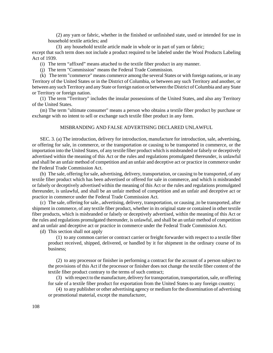(2) any yarn or fabric, whether in the finished or unfinished state, used or intended for use in household textile articles; and

(3) any household textile article made in whole or in part of yarn or fabric;

except that such term does not include a product required to be labeled under the Wool Products Labeling Act of 1939.

(i) The term "affixed" means attached to the textile fiber product in any manner.

(j) The term "Commission" means the Federal Trade Commission.

(k) The term "commerce" means commerce among the several States or with foreign nations, or in any Territory of the United States or in the District of Columbia, or between any such Territory and another, or between any such Territory and any State or foreign nation or between the District of Columbia and any State or Territory or foreign nation.

(1) The term "Territory" includes the insular possessions of the United States, and also any Territory of the United States.

(m) The term "ultimate consumer" means a person who obtains a textile fiber product by purchase or exchange with no intent to sell or exchange such textile fiber product in any form.

## MISBRANDING AND FALSE ADVERTISING DECLARED UNLAWFUL

SEC. 3. (a) The introduction, delivery for introduction, manufacture for introduction, sale, advertising, or offering for sale, in commerce, or the transportation or causing to be transported in commerce, or the importation into the United States, of any textile fiber product which is misbranded or falsely or deceptively advertised within the meaning of this Act or the rules and regulations promulgated thereunder, is unlawful and shall be an unfair method of competition and an unfair and deceptive act or practice in commerce under the Federal Trade Commission Act.

(b) The sale, offering for sale, advertising, delivery, transportation, or causing to be transported, of any textile fiber product which has been advertised or offered for sale in commerce, and which is misbranded or falsely or deceptively advertised within the meaning of this Act or the rules and regulations promulgated thereunder, is unlawful, and shall be an unfair method of competition and an unfair and deceptive act or practice in commerce under the Federal Trade Commission Act.

(c) The sale, offering for sale., advertising, delivery, transportation, or causing ,to be transported, after shipment in commerce, of any textile fiber product, whether in its original state or contained in other textile fiber products, which is misbranded or falsely or deceptively advertised, within the meaning of this Act or the rules and regulations promulgated thereunder, is unlawful, and shall be an unfair method of competition and an unfair and deceptive act or practice in commerce under the Federal Trade Commission Act.

(d) This section shall not apply

(1) to any common carrier or contract carrier or freight forwarder with respect to a textile fiber product received, shipped, delivered, or handled by it for shipment in the ordinary course of its business;

(2) to any processor or finisher in performing a contract for the account of a person subject to the provisions of this Act if the processor or finisher does not change the textile fiber content of the textile fiber product contrary to the terms of such contract;

(3) with respect to the manufacture, delivery for transportation, transportation, sale, or offering for sale of a textile fiber product for exportation from the United States to any foreign country;

(4) to any publisher or other advertising agency or medium for the dissemination of advertising or promotional material, except the manufacturer,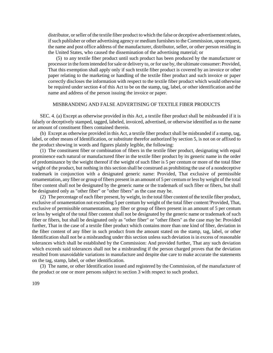distributor, or seller of the textile fiber product to which the false or deceptive advertisement relates, if such publisher or other advertising agency or medium furnishes to the Commission, upon request, the name and post office address of the manufacturer, distributor, seller, or other person residing in the United States, who caused the dissemination of the advertising material; or

(5) to any textile fiber product until such product has been produced by the manufacturer or processor in the formintended forsale or delivery to, or for use by, the ultimate consumer: Provided, That this exemption shall apply only if such textile fiber product is covered by an invoice or other paper relating to the marketing or handling of the textile fiber product and such invoice or paper correctly discloses the information with respect to the textile fiber product which would otherwise be required under section 4 of this Act to be on the stamp, tag, label, or other identification and the name and address of the person issuing the invoice or paper.

#### MISBRANDING AND FALSE ADVERTISING OF TEXTILE FIBER PRODUCTS

SEC. 4. (a) Except as otherwise provided in this Act, a textile fiber product shall be misbranded if it is falsely or deceptively stamped, tagged, labeled, invoiced, advertised, or otherwise identified as to the name or amount of constituent fibers contained therein.

(b) Except as otherwise provided in this Act, a textile fiber product shall be misbranded if a stamp, tag, label, or other means of Identification, or substitute therefor authorized by section 5, is not on or affixed to the product showing in words and figures plainly legible, the following:

(1) The constituent fiber or combination of fibers in the textile fiber product, designating with equal prominence each natural or manufactured fiber in the textile fiber product by its generic name in the order of predominance by the weight thereof if the weight of such fiber is 5 per centum or more of the total fiber weight of the product, but nothing in this section shall be construed as prohibiting the use of a nondeceptive trademark in conjunction with a designated generic name: Provided, That exclusive of permissible ornamentation, any fiber or group of fibers present in an amount of 5 per centumor less by weight of the total fiber content shall not be designated by the generic name or the trademark of such fiber or fibers, but shall be designated only as "other fiber" or "other fibers" as the case may be.

(2) The percentage of each fiber present, by weight, in the total fiber content of the textile fiber product, exclusive of ornamentation not exceeding 5 per centum by weight of the total fiber content:'Provided, That, exclusive of permissible ornamentation, any fiber or group of fibers present in an amount of 5 per centum or less by weight of the total fiber content shall not be designated by the generic name or trademark of such fiber or fibers, but shall be designated only as "other fiber" or "other fibers" as the case may be: Provided further, That in the case of a textile fiber product which contains more than one kind of fiber, deviation in the fiber content of any fiber in such product from the amount stated on the stamp, tag, label, or other Identification shall not be a misbranding under this section unless such deviation is in excess of reasonable tolerances which shall be established by the Commission: And provided further, That any such deviation which exceeds said tolerances shall not be a misbranding if the person charged proves that the deviation resulted from unavoidable variations in manufacture and despite due care to make accurate the statements on the tag, stamp, label, or other identification.

(3) The name, or other Identification issued and registered by the Commission, of the manufacturer of the product or one or more persons subject to section 3 with respect to such product.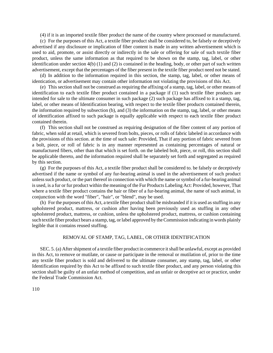(4) if it is an imported textile fiber product the name of the country where processed or manufactured.

(c) For the purposes of this Act, a textile fiber product shall be considered to, be falsely or deceptively advertised if any disclosure or implication of fiber content is made in any written advertisement which is used to aid, promote, or assist directly or indirectly in the sale or offering for sale of such textile fiber product, unless the same information as that required to be shown on the stamp, tag, label, or other identification under section 4(b) (1) and (2) is contained in the heading, body, or other part of such written advertisement, except that the percentages of the fiber present in the textile fiber product need not be stated.

(d) In addition to the information required in this section, the stamp, tag, label, or other means of identication, or advertisement may contain other information not violating the provisions of this Act.

(e) This section shall not be construed as requiring the affixing of a stamp, tag, label, or other means of identification to each textile fiber product contained in a package if (1) such textile fiber products are intended for sale to the ultimate consumer in such package (2) such package has affixed to it a stamp, tag, label, or other means of Identification bearing, with respect to the textile fiber products contained therein, the information required by subsection (b), and (3) the information on the stamp, tag, label, or other means of identification affixed to such package is equally applicable with respect to each textile fiber product contained therein.

(f) This section shall not be construed as requiring designation of the fiber content of any portion of fabric, when sold at retail, which is severed from bolts, pieces, or rolls of fabric labeled in accordance with the provisions of this section. at the time of such sale: Provided, That if any portion of fabric severed from a bolt, piece, or roll of fabric is in any manner represented as containing percentages of natural or manufactured fibers, other than that which is set forth. on the labeled bolt, piece, or roll, this section shall be applicable thereto, and the information required shall be separately set forth and segregated as required by this section.

(g) For the purposes of this Act, a textile fiber product shall be considered to. be falsely or deceptively advertised if the name or symbol of any fur-bearing animal is used in the advertisement of such product unless such product, or the part thereof in connection with which the name or symbol of a fur-bearing animal is used, is a fur or fur product within the meaning of the Fur Products Labeling Act: Provided, however, That where a textile fiber product contains the hair or fiber of a fur-bearing animal, the name of such animal, in conjunction with the word "fiber", "hair", or "blend", may be used.

(h) For the purposes of this Act, a textile fiber product shall be misbranded if it is used as stuffing in any upholstered product, mattress, or cushion after having been previously used as stuffing in any other upholstered product, mattress, or cushion, unless the upholstered product, mattress, or cushion containing such textile fiber product bears a stamp, tag, or label approved by the Commission indicating in words plainly legible that it contains reused stuffing.

#### REMOVAL OF STAMP, TAG, LABEL, OR OTHER IDENTIFICATION

SEC. 5. (a) After shipment of a textile fiber product in commerce it shall be unlawful, except as provided in this Act, to remove or mutilate, or cause or participate in the removal or mutilation of, prior to the time any textile fiber product is sold and delivered to the ultimate consumer, any stamp, tag, label, or other Identification required by this Act to be affixed to such textile fiber product, and any person violating this section shall be guilty of an unfair method of competition, and an unfair or deceptive act or practice, under the Federal Trade Commission Act.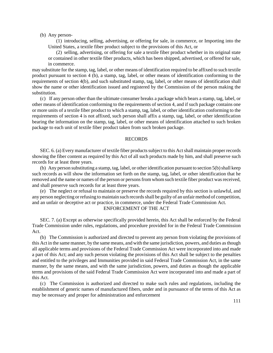(b) Any person-

(1) introducing, selling, advertising, or offering for sale, in commerce, or Importing into the United States, a textile fiber product subject to the provisions of this Act, or

(2) selling, advertising, or offering for sale a textile fiber product whether in its original state or contained in other textile fiber products, which has been shipped, advertised, or offered for sale, in commerce.

may substitute for the stamp, tag, label, or other means of identification required to be affixed to such textile product pursuant to section 4 (b), a stamp, tag, label, or other means of identification conforming to the requirements of section 4(b), and such substituted stamp, tag, label, or other means of identification shall show the name or other identification issued and registered by the Commission of the person making the substitution.

(c) If any person other than the ultimate consumer breaks a package which bears a stamp, tag, label, or other means of identification conforming to the requirements of section 4, and if such package contains one or more units of a textile fiber product to which a stamp, tag, label, or other identification conforming to the requirements of section 4 is not affixed, such person shall affix a stamp, tag, label, or other identification bearing the information on the stamp, tag, label, or other means of identification attached to such broken package to each unit of textile fiber product taken from such broken package.

#### RECORDS

SEC. 6. (a) Every manufacturer of textile fiber products subject to this Act shall maintain proper records showing the fiber content as required by this Act of all such products made by him, and shall preserve such records for at least three years.

(b) Any person substituting a stamp, tag, label, or other identification pursuant to section  $5(b)$  shall keep such records as will show the information set forth on the stamp, tag, label, or other identification that he removed and the name or names of the person or personsfromwhomsuch textile fiber product wasreceived, and shall preserve such records for at least three years.

(e) The neglect or refusal to maintain or preserve the records required by this section is unlawful, and any person neglecting or refusing to maintain such records shall be guilty of an unfair method of competition, and an unfair or deceptive act or practice, in commerce, under the Federal Trade Commission Act.

### ENFORCEMENT OF THE ACT

SEC. 7. (a) Except as otherwise specifically provided herein, this Act shall be enforced by the Federal Trade Commission under rules, regulations, and procedure provided for in the Federal Trade Commission Act.

(b) The Commission is authorized and directed to prevent any person from violating the provisions of this Act in the same manner, by the same means, and with the same jurisdiction, powers, and duties asthough all applicable terms and provisions of the Federal Trade Commission Act were incorporated into and made a part of this Act; and any such person violating the provisions of this Act shall be subject to the penalties and entitled to the privileges and Immunities provided in said Federal Trade Commission Act, in the same manner, by the same means, and with the same jurisdiction, powers, and duties as though the applicable terms and provisions of the said Federal Trade Commission Act were incorporated into and made a part of this Act.

(c) The Commission is authorized and directed to make such rules and regulations, including the establishment of generic names of manufactured fibers, under and in pursuance of the terms of this Act as may be necessary and proper for administration and enforcement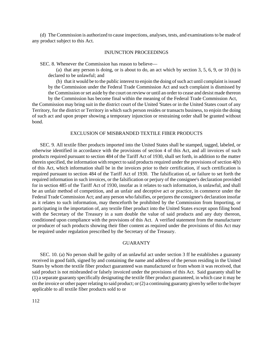(d) The Commission is authorized to cause inspections, analyses, tests, and examinations to be made of any product subject to this Act.

#### INJUNCTION PROCEEDINGS

SEC. 8. Whenever the Commission has reason to believe—

(a) that any person is doing, or is about to do, an act which by section 3, 5, 6, 9, or 10 (b) is declared to be unlawful; and

(b) that it would be to the public interest to enjoin the doing of such act until complaint is issued by the Commission under the Federal Trade Commission Act and such complaint is dismissed by the Commission orset aside by the court on review or until an order to cease and desist made thereon

by the Commission has become final within the meaning of the Federal Trade Commission Act, the Commission may bring suit in the district court of the United 'States or in the United States court of any Territory, for the district or Territory in which such person resides or transacts business, to enjoin the doing of such act and upon proper showing a temporary injunction or restraining order shall be granted without bond.

## EXCLUSION OF MISBRANDED TEXTILE FIBER PRODUCTS

SEC. 9. All textile fiber products imported into the United States shall be stamped, tagged, labeled, or otherwise identified in accordance with the provisions of section 4 of this Act, and all invoices of such products required pursuant to section 484 of the Tariff Act of 1930, shall set forth, in addition to the matter therein specified, the information with respect to said products required under the provisions of section 4(b) of this Act, which information shall be in the invoices prior to their certification, if such certification is required pursuant to section 484 of the Tariff Act of 1930. The falsification of, or failure to set forth the required information in such invoices, or the falsification or perjury of the consignee's declaration provided for in section 485 of the Tariff Act of 1930, insofar as it relates to such information, is unlawful, and shall be an unfair method of competition, and an unfair and deceptive act or practice, in commerce under the Federal Trade Commission Act; and any person who falsifies, or perjures the consignee's declaration insofar as it relates to such information, may thenceforth be prohibited by the Commission from Importing, or participating in the importation of, any textile fiber product into the United States except upon filing bond with the Secretary of the Treasury in a sum double the value of said products and any duty thereon, conditioned upon compliance with the provisions of this Act. A verified statement from the manufacturer or producer of such products showing their fiber content as required under the provisions of this Act may be required under regulation prescribed by the Secretary of the Treasury.

## GUARANTY

SEC. 10. (a) No person shall be guilty of an unlawful act under section 3 ff he establishes a guaranty received in good faith, signed by and containing the name and address of the person residing in the United States by whom the textile fiber product guaranteed was manufactured or from whom it was received, that said product is not misbranded or falsely invoiced under the provisions of this Act. Said guaranty shall be (1) a separate guaranty specifically designating the textile fiber product guaranteed, in which case it may be on the invoice or other paper relating to said product; or(2) a continuing guaranty given by sellerto the buyer applicable to all textile fiber products sold to or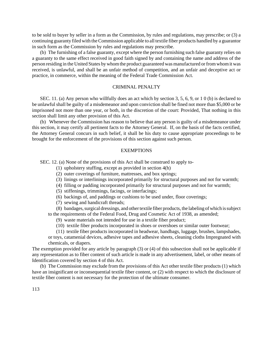to be sold to buyer by seller in a form as the Commission, by rules and regulations, may prescribe; or (3) a continuing guaranty filed with theCommission applicable to all textile fiber products handled by a guarantor in such form as the Commission by rules and regulations may prescribe.

(b) The furnishing of a false guaranty, except where the person furnishing such false guaranty relies on a guaranty to the same effect received in good faith signed by and containing the name and address of the person residing in the United States by whom the product guaranteed was manufactured or from whom it was received, is unlawful, and shall be an unfair method of competition, and an unfair and deceptive act or practice, in commerce, within the meaning of the Federal Trade Commission Act.

#### CRIMINAL PENALTY

SEC. 11. (a) Any person who willfully does an act which by section 3, 5, 6, 9, or 1 0 (b) is declared to be unlawful shall be guilty of a misdemeanor and upon conviction shall be fined not more than \$5,000 or be imprisoned not more than one year, or both, in the discretion of the court: Provided, That nothing in this section shall limit any other provision of this Act.

(b) Whenever the Commission has reason to believe that any person is guilty of a misdemeanor under this section, it may certify all pertinent facts to the Attorney General. If, on the basis of the facts certified, the Attorney General concurs in such belief, it shall be his duty to cause appropriate proceedings to be brought for the enforcement of the provisions of this section against such person.

#### **EXEMPTIONS**

SEC. 12. (a) None of the provisions of this Act shall be construed to apply to-

- (1) upholstery stuffing, except as provided in section 4(h)
- (2) outer coverings of furniture, mattresses, and box springs;
- (3) linings or interlinings incorporated primarily for structural purposes and not for warmth;
- (4) filling or padding incorporated primarily for structural purposes and not for warmth;
- (5) stiffenings, trimmings, facings, or interfacings;
- (6) backings of, and paddings or cushions to be used under, floor coverings;
- (7) sewing and handicraft threads;

(8) bandages, surgical dressings, and other textile fiber products, the labeling of which is subject to the requirements of the Federal Food, Drug and Cosmetic Act of 1938, as amended;

- (9) waste materials not intended for use in a textile fiber product;
- (10) textile fiber products incorporated in shoes or overshoes or similar outer footwear;
- (11) textile fiber products incorporated in headwear, handbags, luggage, brushes, lampshades,

or toys, catamenial devices, adhesive tapes and adhesive sheets, cleaning cloths Impregnated with chemicals, or diapers.

The exemption provided for any article by paragraph (3) or (4) of this subsection shall not be applicable if any representation as to fiber content of such article is made in any advertisement, label, or other means of Identification covered by section 4 of this Act.

(b) The Commission may exclude from the provisions of this Act other textile fiber products (1) which have an insignificant or inconsequential textile fiber content, or (2) with respect to which the disclosure of textile fiber content is not necessary for the protection of the ultimate consumer.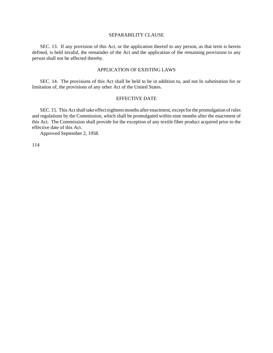#### SEPARABILITY CLAUSE

SEC. 13. If any provision of this Act, or the application thereof to any person, as that term is herein defined, is held invalid, the remainder of the Act and the application of the remaining provisions to any person shall not be affected thereby.

## APPLICATION OF EXISTING LAWS

SEC. 14. The provisions of this Act shall be held to be in addition to, and not In substitution for or limitation of, the provisions of any other Act of the United States.

## EFFECTIVE DATE

SEC. 15. This Act shall take effect eighteen months after enactment, except for the promulgation of rules and regulations by the Commission, which shall be promulgated within nine months after the enactment of this Act. The Commission shall provide for the exception of any textile fiber product acquired prior to the effective date of this Act.

Approved September 2, 1958.

114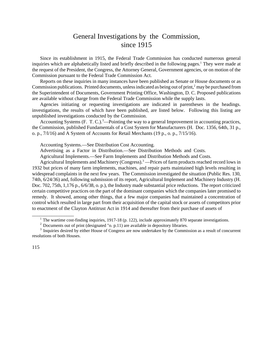# General Investigations by the Commission, since 1915

Since its establishment in 1915, the Federal Trade Commission has conducted numerous general inquiries which are alphabetically listed and briefly described in the following pages.<sup>1</sup> They were made at the request of the President, the Congress, the Attorney General, Government agencies, or on motion of the Commission pursuant to the Federal Trade Commission Act.

Reports on these inquiries in many instances have been published as Senate or House documents or as Commission publications. Printed documents, unless indicated as being out of print, $\frac{2}{3}$  may be purchased from the Superintendent of Documents, Government Printing Office, Washington, D. C. Proposed publications are available without charge from the Federal Trade Commission while the supply lasts.

Agencies initiating or requesting investigations are indicated in parentheses in the headings. investigations, the results of which have been published, are listed below. Following this listing are unpublished investigations conducted by the Commission.

Accounting Systems  $(F, T, C)$ .<sup>3</sup>—Pointing the way to a general Improvement in accounting practices, the Commission, published Fundamentals of a Cost System for Manufacturers (H. Doc. 1356, 64th, 31 p., o. p., 7/l/16) and A System of Accounts for Retail Merchants (19 p., o. p., 7/15/16).

Accounting Systems.—See Distribution Cost Accounting.

Advertising as a Factor in Distribution.—See Distribution Methods and Costs.

Agricultural Implements.—See Farm Implements and Distribution Methods and Costs.

Agricultural Implements and Machinery (Congress).<sup>3</sup> —Prices of farm products reached record lows in 1932 but prices of many farm implements, machines, and repair parts maintained high levels resulting in widespread complaints in the next few years. The Commission investigated the situation (Public Res. 130, 74th, 6/24/36) and, following submission of its report, Agricultural Implement and Machinery Industry (H. Doc. 702, 75th, 1,176 p., 6/6/38, o. p.), the Industry made substantial price reductions. The report criticized certain competitive practices on the part of the dominant companies which the companies later promised to remedy. It showed, among other things, that a few major companies had maintained a concentration of control which resulted in large part from their acquisition of the capital stock or assets of competitors prior to enactment of the Clayton Antitrust Act in 1914 and thereafter from their purchase of assets of

\_\_\_\_\_\_\_\_\_\_\_\_\_\_\_\_\_

<sup>&</sup>lt;sup>1</sup> The wartime cost-finding inquiries, 1917-18 (p. 122), include approximately 870 separate investigations.

 $2$  Documents out of print (designated "o. p.11) are available in depository libraries.

<sup>&</sup>lt;sup>3</sup> Inquiries desired by either House of Congress are now undertaken by the Commission as a result of concurrent resolutions of both Houses.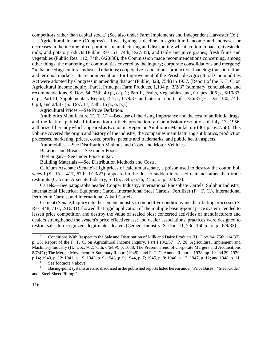competitors rather than capital stock.<sup>4</sup> (See also under Farm Implements and Independent Harvester Co.)

Agricultural Income (Congress).—Investigating a decline in agricultural income and increases or decreases in the income of corporations manufacturing and distributing wheat, cotton, tobacco, livestock, milk, and potato products (Public Res. 61, 74th, 8/27/35), and table and juice grapes, fresh fruits and vegetables (Public Res. 112, 74th, 6/20/36), the Commission made recommendations concerning, among other things, the marketing of commodities covered by the inquiry; corporate consolidations and mergers;<sup>5</sup> " unbalanced agricultural industrial relations; cooperative associations; production financing; transportation; and terminal markets. Its recommendations for Improvement of the Perishable Agricultural Commodities Act were adopted by Congress in amending that act (Public, 328, 75th) in 1937. [Report of the F. T. C. on Agricultural Income Inquiry, Part I, Principal Farm Products, 1,134 p., 3/2/37 (summary, conclusions, and recommendations, S. Doc. 54, 75th, 40 p., o. p.) ; Part II, Fruits, Vegetables, and, Grapes, 906 p., 6/10/37, o. p.; Part III, Supplementary Report, 154 p., 11/8/37; and interim reports of 12/26/35 (H. Doc. 380, 74th, 6 p.), and 2/l/37 (S. Doc. 17, 75th, 16 p., o. p.).]

Agricultural Prices.—See Price Deflation.

Antibiotics Manufacture (F. T. C).—Because of the rising Importance and the cost of antibiotic drugs, and the lack of published information on their production, a Commission resolution of July 13, 1956, authorized the study which appeared as Economic Report on Antibiotics Manufacture (361 p., 6/27/58). This volume covered the origin and history of the industry, the companies manufacturing antibiotics, production processes, marketing, prices, costs, profits, patents and trademarks, and public health aspects.

Automobiles.—See Distribution Methods and Costs, and Motor Vehicles.

Bakeries and Bread.—See under Food.

Beet Sugar.—See under Food-Sugar.

Building Materials.—See Distribution Methods and Costs.

Calcium Arsenate (Senate)-High prices of calcium arsenate, a poison used to destroy the cotton boll weevil (S. Res. 417, 67th, 1/23/23), appeared to be due to sudden increased demand rather than trade restraints (Calcium Arsenate Industry, S. Doc. 345, 67th, 21 p., o. p., 3/3/23).

Cartels.—See paragraphs headed Copper Industry, International Phosphate Cartels, Sulphur Industry, International Electrical Equipment Cartel, International Steel Cartels, Fertilizer (F. T. C.), International Petroleum Cartels, and International Alkali Cartels.

Cement (Senate)Inquiry into the cement industry's competitive conditions and distributing processes(S. Res. 448, 71st, 2/16/31) showed that rigid application of the multiple basing-point price system<sup>6</sup> tended to lessen price competition and destroy the value of sealed bids; concerted activities of manufacturers and dealers strengthened the system's price effectiveness; and dealer associations' practices were designed to restrict sales to recognized "legitimate" dealers (Cement Industry, S. Doc. 71, 73d, 160 p., o. p., 6/9/33).

\_\_\_\_\_\_\_\_\_\_\_\_\_\_\_\_\_\_\_

<sup>4</sup> Conditions With Respect to the Sale and Distribution of Milk and Dairy Products (H. Doc. 94, 75th, 1/4/87), p. 38; Report of the F. T. C. on Agricultural Income Inquiry, Part I (8/2/37), P. 26; Agricultural Implement and Machinery Industry (H. Doc. 702, 75th, 6/6/89), p. 1038; The Present Trend of Corporate Mergers and Acquisitions 8/7/47); The Merger Movement: A Summary Report (1948): and P. T. C. Annual Reports: 1938, pp. 19 and 29: 1939, p 14; 1940, p. 12: 1941, p. 19; 1942, p. 9; 1943. p. 9; 1944, p. 7; 1945, p. 8: 1946, p. 12; 1947, p. 12; and 1948, p. 11. 5

See footnote 4 above.

<sup>&</sup>lt;sup>6</sup> Basing-point systems are also discussed in the published reports listed herein under "Price Bases," "Steel Code," and "Steel Sheet Pilling."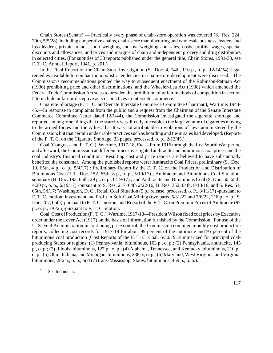Chain Stores (Senate).— Practically every phase of chain-store operation was covered (S. Res. 224, 70th, 5/5/28), including cooperative chains, chain-store manufacturing and wholesale business, leaders and loss leaders, private brands, short weighing and overweighing and sales, costs, profits, wages, special discounts and allowances, and prices and margins of chain and independent grocery and drug distributors in selected cities. (For subtitles of 33 reports published under the general title, Chain Stores, 1931-33, see F. T. C. Annual Report, 1941, p. 201.)

In the Final Report on the Chain-Store Investigation (S. Doc. 4, 74th, 110 p., o. p., 12/14/34), legal remedies available to combat monopolistic tendencies in chain-store development were discussed." The Commission's recommendations pointed the way to subsequent enactment of the Robinson-Patman Act (1936) prohibiting price and other discriminations, and the Wheeler-Lea Act (1938) which amended the Federal Trade Commission Act so as to broaden the prohibition of unfair methods of competition in section 5 to include unfair or deceptive acts or practices in interstate commerce.

Cigarette Shortage (F. T. C. and Senate Interstate Commerce Committee Chairman), Wartime, 1944- 45.—In response to complaints from the public and a request from the Chairman of the Senate Interstate Commerce Committee (letter dated 12/1/44), the Commission investigated the cigarette shortage and reported, among other things that the scarcity was directly traceable to the large volume of cigarettes moving to the armed forces and the Allies; that It was not attributable to violations of laws administered by the Commission; but that certain undesirable practices such as hoarding and tie-in sales had developed. (Reportof the P. T. C. on the Cigarette Shortage, 33 pages, processed, o. p., 2/13/45.)

Coal (Congress and F. T. C.), Wartime, 1917-18, Etc.—From 1916 through the first World War period and afterward, the Commission at different times investigated anthracite and bituminous coal prices and the coal industry's financial condition. Resulting cost and price reports are believed to have substantially benefited the consumer. Among the published reports were: Anthracite Coal Prices, preliminary (S. Doc. 19, 65th, 4 p., o. p., 5/4/17) ; Preliminary Report by the F. T. C. on the Production and Distribution of Bituminous Coal (1-1. Doc. 152, 65th, 8 p., o. p., 5/19/17) ; Anthracite and Bituminous Coal Situation, summary (H. Doc. 193, 65th, 29 p., o. p., 6/19/17) ; and Anthracite and Bituminous Coal (S. Doc. 50, 65th, 4:20 p., o. p., 6/19/17) -pursuant to S. Res. 217, 64th 2/22/16; H. Res. 352, 64th, 8/18/16, and S. Res. 51, 65th, 5/l/17; 'Washington, D. C., Retail Coal Situation (5 p., release, processed, o. P., 8/11/17) -pursuant to F. T. C. motion; investment and Profit in Soft-Coal Mining (two parts, 5/31/22 and 7/6/22, 218 p., o. p., S. Doc. 207, 65th)-pursuant to F. T. C. motion; and Report of the F. T. C. on Premium Prices of Anthracite (97 p., o. p., 7/6/25)-pursuant to F. T. C. motion.

Coal,Cost of Production (F. T. C.), Wartime, 1917-18—President Wilson fixed coal prices by Executive order under the Lever Act (1917) on the basis of information furnished by the Commission. For use of the U. S. Fuel Administration in continuing price control, the Commission compiled monthly cost production reports, collecting cost records for 1917-18 for about 99 percent of the anthracite and 95 percent of the bituminous coal production (Cost Reports of the F. T. C. Coal, 6/30/19, summarized for principal coalproducing States or regions: (1) Pennsylvania, bituminous, 103 p., o. p.; (2) Pennsylvania, anthracite, 145 p., o. p.; (2) Illinois, bituminous, 127 p., o. p.; (4) Alabama, Tennessee, and Kentucky, bituminous, 210 p., o. p.; (5) Ohio, Indiana, and Michigan, bituminous, 288 p., o. p.; (6) Maryland, West Virginia, and Virginia, bituminous, 286 p., o. p.; and (7) trans-Mississippi States, bituminous, 459 p., o. p.).

7 See footnote 4.

\_\_\_\_\_\_\_\_\_\_\_\_\_\_\_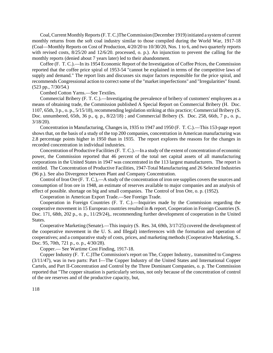Coal, Current Monthly Reports (F. T. C.)The Commission (December 1919) initiated a system of current monthly returns from the soft coal industry similar to those compiled during the World War, 1917-18 (Coal—Monthly Reports on Cost of Production, 4/20/20 to 10/30/20, Nos. 1 to 6, and two quarterly reports with revised costs, 8/25/20 and 12/6/20. processed, o. p.). An injunction to prevent the calling for the monthly reports (denied about 7 years later) led to their abandonment.

Coffee (F. T. C.).—In its 1954 Economic Report of the Investigation of Coffee Prices, the Commission reported that the coffee price spiral of 1953-54 "cannot be explained in terms of the competitive laws of supply and demand." The report lists and discusses six major factors responsible for the price spiral, and recommends Congressional action to correct some of the "market imperfections" and "Irregularities" found. (523 pp., 7/30/54.)

Combed Cotton Yarns.—See Textiles.

Commercial Bribery (F. T. C.).—Investigating the prevalence of bribery of customers' employees as a means of obtaining trade, the Commission published A Special Report on Commercial Bribery (H. Doc. 1107, 65th, 3 p., o. p., 5/15/18), recommending legislation striking at this practice; Commercial Bribery (S. Doc. unnumbered, 65th, 36 p., q. p., 8/22/18) ; and Commercial Bribery (S. Doc. 258, 66th, 7 p., o. p., 3/18/20).

Concentration in Manufacturing, Changes in, 1935 to 1947 and 1950 (F. T. C.).—This 153-page report shows that, on the basis of a study of the top 200 companies, concentration in American manufacturing was 2.8 percentage points higher in 1950 than in 1935. The report explores the reasons for the changes in recorded concentration in individual industries.

Concentration of Productive Facilities(F. T. C.).—In a study of the extent of concentration of economic power, the Commission reported that 46 percent of the total net capital assets of all manufacturing corporations in the United States in 1947 was concentrated in the 113 largest manufacturers. The report is entitled. The Concentration of Productive Facilities, 1947-Total Manufacturing and 26 Selected Industries (96 p.). See also Divergence between Plant and Company Concentration.

Control of Iron Ore (F. T. C.),—A study of the concentration of iron ore supplies covers the sources and consumption of Iron ore in 1948, an estimate of reserves available to major companies and an analysis of effect of possible. shortage on big and small companies. The Control of Iron Ore, o. p. (1952).

Cooperation in American Export Trade.—See Foreign Trade.

Cooperation in Foreign Countries (F. T. C.).—Inquiries made by the Commission regarding the cooperative movement in 15 European countries resulted in & report, Cooperation in Foreign Countries (S. Doc. 171, 68th, 202 p., o. p., 11/29/24),. recommending further development of cooperation in the United States.

Cooperative Marketing (Senate).—Thisinquiry (S. Res. 34, 69th, 3/17/25) covered the development of the cooperative movement in the U. S. and Illegal) interferences with the formation and operation of cooperatives; and a comparative study of costs, prices, and marketing methods (Cooperative Marketing, S.. Doc. 95, 70th, 721 p., o. p., 4/30/28).

Copper.— See Wartime Cost Finding, 1917-18.

Copper Industry (F. T. C.)The Commission's report on The, Copper Industry,. transmitted to Congress (3/11/47), was in two parts: Part I—The Copper Industry of the United States and International Copper Cartels, and Part II-Concentration and Control by the Three Dominant Companies, o. p. The Commission reported that "The copper situation is particularly serious, not only because of the concentration of control of the ore reserves and of the productive capacity, but,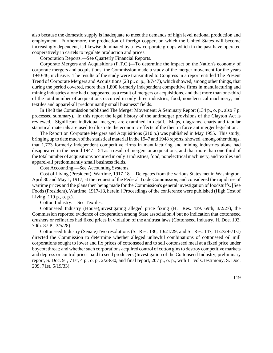also because the domestic supply is inadequate to meet the demands of high level national production and employment. Furthermore, the production of foreign copper, on which the United States will become increasingly dependent, is likewise dominated by a few corporate groups which in the past have operated cooperatively in cartels to regulate production and prices."

Corporation Reports.—See Quarterly Financial Reports.

Corporate Mergers and Acquisitions (F.T.C.)—To determine the impact on the Nation's economy of corporate mergers and acquisitions, the Commission made a study of the merger movement for the years 1940-46, inclusive. The results of the study were transmitted to Congress in a report entitled The Present Trend of Corporate Mergers and Acquisitions (23 p., o. p., 3/7/47), which showed, among other things, that during the period covered, more than 1,800 formerly independent competitive firms in manufacturing and mining industries alone had disappeared as a result of mergers or acquisitions, and that more than one-third of the total number of acquisitions occurred in only three industries, food, nonelectrical machinery, and textiles and apparel-all predominantly small business" fields.

In 1948 the Commission published The Merger Movement: A Seminary Report (134 p., o. p., also 7 p. processed summary). In this report the legal history of the antimerger provisions of the Clayton Act is reviewed. Significant individual mergers are examined in detail. Maps, diagrams, charts and tabular statistical materials are used to illustrate the economic effects of the then in force antimerger legislation.

The Report on Corporate Mergers and Acquisitions (210 p.) was published in May 1955. This study, bringing up to date much of the statistical material in the 1947 and 1948 reports, showed, among other things, that 1,773 formerly independent competitive firms in manufacturing and mining industries alone had disappeared in the period 1947—54 as a result of mergers or acquisitions, and that more than one-third of the total number of acquisitions occurred in only 3 industries, food, nonelectrical machinery, and textiles and apparel-all predominantly small business fields.

Cost Accounting.—See Accounting Systems.

Cost of Living (President), Wartime, 1917-18.—Delegates from the various States met in Washington, April 30 and May 1, 1917, at the request of the Federal Trade Commission, and considered the rapid rise of wartime prices and the plans then being made for the Commission's general investigation of foodstuffs. [See Foods (President), Wartime, 1917-18, herein.] Proceedings of the conference were published (High Cost of Living, 119 p., o. p.).

Cotton Industry.—See Textiles.

Cottonseed Industry (House),investigating alleged price fixing (H. Res. 439. 69th, 3/2/27), the Commission reported evidence of cooperation among State association.4 but no indication that cottonseed crushers or refineries had fixed prices in violation of the antitrust laws (Cottonseed Industry, H. Doe. 193, 70th. 87 P., 3/5/28).

Cottonseed Industry (Senate)Two resolutions (S. Res. 136, 10/21/29, and S. Res. 147, 11/2/29-71st) directed the Commission to determine whether alleged unlawful combinations of cottonseed oil mill corporations sought to lower and fix prices of cottonseed and to sell cottonseed meal at a fixed price under boycott threat; and whether such corporations acquired control of cotton gins to destroy competitive markets and depress or control prices paid to seed producers (Investigation of the Cottonseed Industry, preliminary report, S. Doc. 91, 71st, 4 p., o. p.. 2/28/30, and final report, 207 p., o. p., with 11 vols. testimony, S. Doc. 209, 71st, 5/19/33).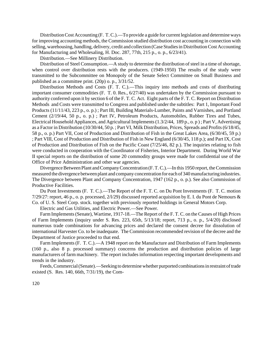DistributionCost Accounting (F. T. C.).—To provide a guide for current legislation and determine ways for improving accounting methods, the Commission studied distribution cost accounting in connection with selling, warehousing, handling, delivery, credit and collection (Case Studiesin DistributionCost Accounting for Manufacturing and Wholesaling, H. Doc. 287, 77th, 215 p., o. p., 6/23/41).

Distribution.—See Millinery Distribution.

Distribution of Steel Consumption.—A study to determine the distribution of steel in a time of shortage, when control over distribution rests with the producers. (1949-1950) The results of the study were transmitted to the Subcommittee on Monopoly of the Senate Select Committee on Small Business and published as a committee print. (20p) o. p., 3/31/52.

Distribution Methods and Costs (F. T. C.).—This inquiry into methods and costs of distributing important consumer commodities (F. T. 0. Res., 6/27/40) was undertaken by the Commission pursuant to authority conferred upon it by section 6 of the F. T. C. Act. Eight parts of the F. T. C. Report on Distribution Methods and Costs were transmitted to Congress and published under the subtitles: Part 1, Important Food Products (11/11/43, 223 p., o. p.) ; Part III, Building Materials-Lumber, Paints and Varnishes, and Portland Cement (2/19/44, 50 p., o. p.) ; Part IV, Petroleum Products, Automobiles, Rubber Tires and Tubes, Electrical Household Appliances, and Agricultural Implements(1.3/2/44, 189 p., o. p ) ; Part V, Advertising as a Factor in Distribution (10/30/44, 50 p. ; Part VI, Milk Distribution, Prices, Spreads and Profits(6/18/45, 58 p., o. p.) Part VII, Cost of Production and Distribution of Fish in the Great Lakes Area, (6/30/45, 59 p.) ; Part VIII, Cost of Production and Distribution of Fish in New England (6/30/45, 118 p.); and Part IX, Cost of Production and Distribution of Fish on the Pacific Coast (7/25/46, 82 p.). The inquiries relating to fish were conducted in cooperation with the Coordinator of Fisheries, Interior Department. During World War II special reports on the distribution of some 20 commodity groups were made for confidential use of the Office of Price Administration and other war agencies.

Divergence Between Plant and Company Concentration (F. T. C.).—In this 1950 report, the Commission measured the divergence between plant and company concentration for each of 340 manufacturing industries. The Divergence between Plant and Company Concentration, 1947 (162 p., o. p.). See also Commission of Productive Facilities.

Du Pont Investments (F. T. C.).—The Report of the F. T. C. on Du Pont Investments (F. T. C. motion 7/29/27: report, 46 p., o. p. processed, 2/l/29) discussed reported acquisition by E. I. du Pont de Nemours & Co. of U. S. Steel Corp. stock. together with previously reported holdings in General Motors Corp.

Electric and Gas Utilities, and Electric Power.—See Power.

FarmImplements(Senate), Wartime, 1917-18.—The Report of the F. T. C. on the Causes of High Prices of Farm Implements (inquiry under S. Res. 223, 65th, 5/13/18; report, 713 p., o. p., 5/4/20) disclosed numerous trade combinations for advancing prices and declared the consent decree for dissolution of international Harvester Co. to be inadequate. The Commission recommended revision of the decree and the Department of Justice proceeded to that end.

Farm Implements (F. T. C.).—A 1948 report on the Manufacture and Distribution of Farm Implements (160 p., also 8 p. processed summary) concerns the production and distribution policies of large manufacturers of farm machinery. The report includes information respecting important developments and trends in the industry.

Feeds,Commercial(Senate).—Seeking to determinewhether purported combinations in restraint of trade existed (S. Res. 140, 66th, 7/31/19), the Com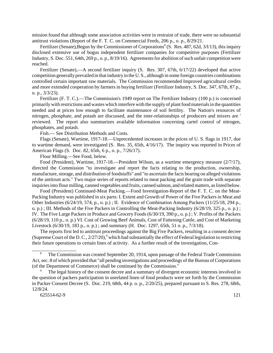mission found that although some association activities were in restraint of trade, there were no substantial antitrust violations (Report of the F. T. C. on Commercial Feeds, 206 p., o. p., 8/29/21.

Fertilizer (Senate), Begun by the Commissioner of Corporations<sup>8</sup> (S. Res. 487, 62d, 3/1/13), this inquiry disclosed extensive use of bogus independent fertilizer companies for competitive purposes (Fertilizer Industry, S. Doc. 551, 64th, 269 p., o. p., 8/19/16). Agreements for abolition of such unfair competition were reached.

Fertilizer (Senate),—A second fertilizer inquiry (S. Res. 307, 67th, 6/17/22) developed that active competition generally prevailed in that industry in theU.S., although in some foreign countries combinations controlled certain important raw materials. The Commission recommended Improved agricultural credits and more extended cooperation by farmers in buying fertilizer (Fertilizer Industry, S. Doc. 347, 67th, 87 p., o. p., 3/3/23).

Fertilizer (F. T. C.).—The Commission's 1949 report on The Fertilizer Industry (100 p.) is concerned primarily with restrictions and wastes which interfere with the supply of plant food materials in the quantities needed and at prices low enough to facilitate maintenance of soil fertility. The Nation's resources of nitrogen, phosphate, and potash are discussed, and the inter-relationships of producers and mixers are ' reviewed. The report also summarizes available information concerning cartel control of nitrogen, phosphates, and potash.

Fish.— See Distribution Methods and Costs.

Flags (Senate), Wartime, 1917-18.—Unprecedented increases in the prices of U. S. flags in 1917, due to wartime demand, were investigated (S. Res. 35, 65th, 4/16/17). The inquiry was reported in Prices of American Flags (S. Doc. 82, 65th, 6 p., o. p., 7/26/17).

Flour Milling.—See Food, below.

Food (President), Wartime, 1917-18.—President Wilson, as a wartime emergency measure (2/7/17), directed the Commission "to investigate and report the facts relating to the production, ownership, manufacture, storage, and distribution of foodstuffs" and "to ascertain the facts bearing on alleged violations of the antitrust acts." Two major series of reports related to meat packing and the grain trade with separate inquiries into flour milling, canned vegetables and fruits, canned salmon, and related matters, as listed below.

Food (President) Continued-Meat Packing.—Food Investigation-Report of the F. T. C. on the Meat-Packing Industry was published in six parts: I. Extent and Growth of Power of the Five Packers in Meat and Other Industries (6/24/19, 574, p., o. p.) ; II. Evidence of Combination Among Packers (11/25/18, 294 p., o. p.) ; III. Methods of the Five Packers in Controlling the Meat-Packing Industry (6/28/19, 325 p., o. p.) ; IV. The Five Large Packers in Produce and Grocery Foods (6/30/19, 390 p., o. p.) ; V. Profits of the Packers (6/28/19, 110 p., o. p.) VI. Cost of Growing Beef Animals, Cost of Fattening Cattle, and Cost of Marketing Livestock (6/30/19, 183 p., o. p.) ; and summary (H. Doc. 1297, 65th, 51 o. p., 7/3/18).

The reports first led to antitrust proceedings against the Big Five Packers, resulting in a consent decree (Supreme Court of the D. C.,  $2/27/20$ ),<sup>9</sup> which had substantially the effect of Federal legislation in restricting their future operations to certain lines of activity. As a further result of the investigation, Con-

\_\_\_\_\_\_\_\_\_\_\_\_\_\_\_\_\_\_

The Commission was created September 20, 1914, upon passage of the Federal Trade Commission Act, sec. 8 of which provided that "all pending investigations and proceedings of the Bureau of Corporations (of the Department of Commerce) shall be continued by the Commission."

The legal history of the consent decree and a summary of divergent economic interests involved in the question of packers participation in unrelated linen of food products were set forth by the Commission in Packer Consent Decree (S. Doc. 219, 68th, 44 p. o. p., 2/20/25), prepared pursuant to S. Res. 278, 68th, 12/8/24.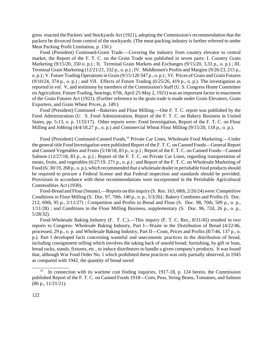gress enacted the Packers 'and Stockyards Act (1921), adopting the Commission's recommendation that the packers be divorced from control of the stockyards. (The meat-packing industry is further referred to under Meat Packing Profit Limitation, p. 150.)

Food (President) Continued-Grain Trade.—Covering the industry from country elevator to central market, the Report of the F. T. C. on the Grain Trade was published in seven parts: I. Country Grain Marketing (9/15/20, 350 o. p.) ; II. Terminal Grain Markets and Exchanges (9/15/20, 3,33 p., o. p.) ; III. Terminal Grain Marketing (12/21/21, 332 p., o. p.) ; IV. Middlemen's Profits and Margins (9/26/23, 215 p., o. p.) ; V. Future Trading Operationsin Grain (9/15/120 347 p., o. p.) ; VI. Prices of Grain and Grain Futures  $(9/10/24, 374 \text{ p., o. p.})$ ; and VII. Effects of Future Trading  $(6/25/26, 419 \text{ p., o. p.})$ . The investigation as reported in vol. V, and testimony by members of the Commission's Staff (U. S. Congress Home Committee on Agriculture, Future Trading, hearings, 67th, April 25-May 2, 1921) was an important factor in enactment of the Grain Futures Act (1921). (Further reference to the grain trade is made under Grain Elevators, Grain Exporters, and Grain Wheat Prices, p. 149.)

Food (President) Continued—Bakeries and Flour Milling.—One F. T. C. report was published by the Food Administration (U. S. Food Administration, Report of the F. T. C. on Bakery Business in United States, pp. 5-13, o. p. 1133/17). Other reports were: Food Investigation, Report of the F. T. C. on Flour Milling and Jobbing (4/4/18,27 p., o. p.) and Commercial Wheat Flour Milling (9/15/20, 118 p., o. p.).

Food (President) Continued-Canned Foods,<sup>10</sup> Private Car Lines, Wholesale Food Marketing.—Under the general title Food Investigation were published Report of the F. T.C. on Canned Foods—General Report and Canned Vegetables and Fruits (5/18/18, 83 p., o. p.) ; Report of the F. T. C. on Canned Foods—Canned Salmon (12/27/18, 83 p., o. p.) ; Report of the F. T. C. on Private Car Lines, regarding transportation of meats, fruits, and vegetables (6/27/19. 271 p., o. p.) ; and Report of the F. T. C. on Wholesale Marketing of Food (6/.30/19, 268 p., o. p.), which recommended that a wholesale dealer in perishable food products should be required to procure a Federal license and that Federal inspection and standards should be provided. Provisions in accordance with these recommendations were incorporated in the Perishable Agricultural Commodities Act (1930).

Food-Bread and Flour (Senate).—Reports on this inquiry (S. Res. 163, 68th, 2/26/24) were: Competitive Conditions in Flour Milling (S. Doc. 97, 70th. 140 p., o. p., 5/3/26) ; Bakery Combines and Profits (S. Doc. 212, 69th, 95 p., 2/11/27) ; Competition and Profits in Bread and Flour (S. Doc. 98, 70th, 509 p., o. p., 1/11/28) ; and Conditions in the Flour Milling Business, supplementary (S. Doc. 96, 72d, 26 p., o. p., 5/28/32).

Food-Wholesale Baking Industry (F. T. C.).—This inquiry (F. T. C. Res., 8/31/45) resulted in two reports to Congress: Wholesale Baking Industry, Part I—Waste in the Distribution of Bread (4/22/46, processed, 29 p., o. p. and Wholesale Baking Industry, Part II—Costs, Prices and Profits (8/7/46, 137 p., o. p.). Part I developed facts concerning wasteful and uneconomic practices in the distribution of bread, including consignment selling which involves the taking back of unsold bread; furnishing, by gift or loan, bread racks, stands, fixtures, etc., to induce distributors to handle a given company's products. It was found that, although War Food Order No. 1 which prohibited these practices was only partially observed, in 1945 as compared with 1942, the quantity of bread saved

\_\_\_\_\_\_\_\_\_\_\_\_\_\_\_

In connection with its wartime cost finding inquiries, 1917-18, p. 124 herein, the Commission published Report of the F. T. C. on Canned Foods 1918—Corn, Peas, String Beans, Tomatoes, and Salmon (86 p., 11/21/21).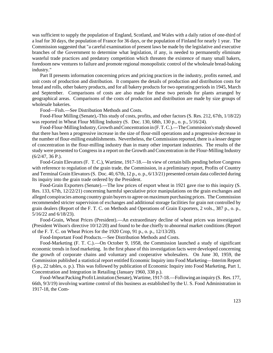was sufficient to supply the population of England, Scotland, and Wales with a daily ration of one-third of a loaf for 30 days, the population of France for 36 days, or the population of Finland for nearly 1 year. The Commission suggested that "a careful examination of present laws be made by the legislative and executive branches of the Government to determine what legislation, if any, is needed to permanently eliminate wasteful trade practices and predatory competition which threaten the existence of many small bakers, foredoom new ventures to failure and promote regional monopolistic control of the wholesale bread-baking industry."

Part II presents information concerning prices and pricing practices in the industry, profits earned, and unit costs of production and distribution. It compares the details of production and distribution costs for bread and rolls, other bakery products, and for all bakery products for two operating periods in 1945, March and September. Comparisons of costs are also made for these two periods for plants arranged by geographical areas. Comparisons of the costs of production and distribution are made by size groups of wholesale bakeries.

Food—Fish.—See Distribution Methods and Costs.

Food-Flour Milling (Senate),-This study of costs, profits, and other factors (S. Res. 212, 67th, 1/18/22) was reported in Wheat Flour Milling Industry (S. Doc. 130, 68th, 130 p., o. p., 5/16/24).

Food-Flour-Milling Industry, Growth and Concentration in (F.T.C.).—The Commission's study showed that there has been a progressive increase in the size of flour-mill operations and a progressive decrease in the number of flour-milling establishments. Nevertheless, the Commission reported, there is a lesser degree of concentration in the flour-milling industry than in many other important industries. The results of the study were presented to Congress in a report on the Growth and Concentration in the Flour-Milling Industry (6/2/47, 36 P.).

Food-Grain Elevators (F. T. C.), Wartime, 1917-18.—In view of certain bills pending before Congress with reference to regulation of the grain trade, the Commission, in a preliminary report, Profits of Country and Terminal Grain Elevators(S. Doc. 40, 67th, 12 p., o. p., 6/13/21) presented certain data collected during Its inquiry into the grain trade ordered by the President.

Food-Grain Exporters (Senate).—The low prices of export wheat in 1921 gave rise to this inquiry (S. Res. 133, 67th, 12/22/21) concerning harmful speculative price manipulations on the grain exchanges and alleged conspiracies among country grain buyersto agree on maximum purchasing prices. The Commission recommended stricter supervision of exchanges and additional storage facilities for grain not controlled by grain dealers (Report of the F. T. C. on Methods and Operations of Grain Exporters, 2 vols., 387 p., o. p., 5/16/22 and 6/18/23).

Food-Grain, Wheat Prices (President).—An extraordinary decline of wheat prices was investigated (President Wilson's directive 10/12/20) and found to be due chiefly to abnormal market conditions (Report of the F. T. C. on Wheat Prices for the 1920 Crop, 91 p., o. p., 12/13/20).

Food-Important Food Products.—See Distribution Methods and Costs.

Food-Marketing (F. T. C.).—On October 9, 1958, the Commission launched a study of significant economic trends in food marketing. In the first phase of this investigation facts were developed concerning the growth of corporate chains and voluntary and cooperative wholesalers. On June 30, 1959, the Commission published a statistical report entitled Economic Inquiry into Food Marketing—Interim Report (6 p., 22 tables, o. p.). This was followed by publication of Economic Inquiry into Food Marketing, Part 1, Concentration and Integration in Retailing (January 1960, 338 p.).

Food-Wheat Packing Profit Limitation (Senate), Wartime, 1917-18.—Following an inquiry (S. Res. 177, 66th, 9/3/19) involving wartime control of this business as established by the U. S. Food Administration in 1917-18, the Com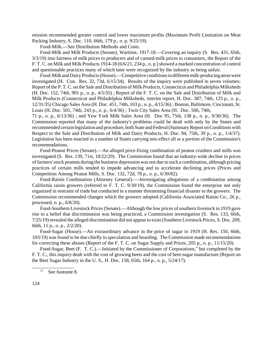mission recommended greater control and lower maximum profits (Maximum Profit Limitation on Meat Packing Industry, S. Doc. 110, 66th, 179 p., o. p. 9/25/19).

Food-Milk.—See Distribution Methods and Costs.

Food-Milk and Milk Products (Senate), Wartime, 1917-18.—Covering an inquiry (S. Res. 431, 65th, 3/3/19) into fairness of milk prices to producers and of canned-milk prices to consumers, the Report of the F. T. C. on Milk and Milk Products 1914-18 (6/6/21, 234 p., o. p.)showed a marked concentration of control and questionable practices many of which later were recognized by the industry as being unfair.

Food-Milk and Dairy Products (House).—Competitive conditions in different milk-producing areas were investigated (H. Con. Res. 32, 73d, 6/15/34). Results of the inquiry were published in seven volumes: Report of the P. T. C. on the Sale and Distribution of Milk Products, Connecticut and Philadelphia Milksheds (H. Doc. 152, 74th, 901 p., o. p., 4/5/35) ; Report of the F. T. C. on the Sale and Distribution of Milk and Milk Products (Connecticut and Philadelphia Milksheds, interim report, H. Doc. 387, 74th, 125 p., o. p., 12/31/35) Chicago Sales Area (H. Doc. 451, 74th, 103 p., o. p., 4/15/36) ; Boston, Baltimore, Cincinnati, St. Louis (H. Doc. 501, 74th, 243 p., o. p., 6/4/36) ; Twin City Sales Area (H. Doc. 506, 74th,

71 p., o. p., 6/13/36) ; and Yew York Milk Sales Area (H. Doc 95, 75th, 138 p., o. p., 9/30/36). The Commission reported that many of the industry's problems could be dealt with only by the States and recommended certain legislation and procedure, both State and Federal (Summary Report on Conditions with Respect to the Sale and Distribution of Milk and Dairy Products, H. Doc. 94, 75th, 39 p., o. p., 1/4/37). Legislation has been enacted in a number of States carrying into effect all or a portion of the Commission's recommendations.

Food-Peanut Prices (Senate).—An alleged price-fixing combination of peanut crushers and mills was investigated (S. Res. 139, 71st, 10/22/29). The Commission found that an industry-wide decline in prices offarmers'stock peanuts during the business depression was not due to such a combination, although pricing practices of certain mills tended to impede advancing and to accelerate declining prices (Prices and Competition Among Peanut Mills, S. Doc. 132, 72d, 78 p., o. p., 6/30/82).

Food-Raisin Combination (Attorney General).—-Investigating allegations of a combination among California raisin growers (referred to F. T. C. 9/30/19), the Commission found the enterprise not only organized in restraint of trade but conducted in a manner threatening financial disaster to the growers. The Commission recommended changes which the growers adopted (California Associated Raisin Co., 26 p., processed, o. p., 6/8/20).

Food-Southern Livestock Prices(Senate).—Although the low prices of southern livestock in 1919 gave rise to a belief that discrimination was being practiced, a Commission investigation (S. Res. 133, 66th, 7/25/19) revealed the alleged discrimination did not appear to exist (Southern Livestock Prices, S. Doc. 209, 66th, 11 p., o. p., 2/2/20).

Food-Sugar (House).—An extraordinary advance in the price of sugar in 1919 (H. Res. 150, 66th, 10/l/19) was found to be due chiefly to speculation and hoarding. The Commission made recommendations for correcting these abuses (Report of the F. T. C. on Sugar Supply and Prices, 205 p., o. p., 11/15/20).

Food-Sugar, Beet (F. T. C.).—Initiated by the Commissioner of Corporations," but completed by the F. T. C., this inquiry dealt with the cost of growing beets and the cost of beet-sugar manufacture (Report on the Beet Sugar Industry in the U. S., H. Doc. 158, 65th, 164 p., o. p., 5/24/17).

\_\_\_\_\_\_\_\_\_\_\_\_\_\_\_\_\_

 $\overline{11}$  See footnote 8.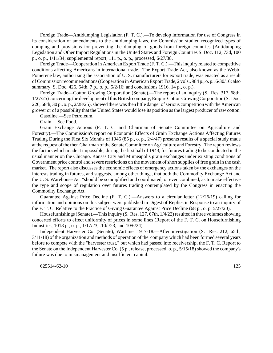Foreign Trade—Antidumping Legislation (F. T. C.).—To develop information for use of Congress in its consideration of amendments to the antidumping laws, the Commission studied recognized types of dumping and provisions for preventing the dumping of goods from foreign countries (Antidumping Legislation and Other Import Regulations in the United States and Foreign Countries S. Doc. 112, 73d, 100 p., o. p., 1/11/34; supplemental report, 111 p., o. p., processed, 6/27/38.

Foreign Trade—Cooperation in American Export Trade (F. T. C.).—This inquiry related to competitive conditions affecting Americans in international trade. The Export Trade Act, also known as the Webb-Pomerene law, authorizing the association of U. S. manufacturers for export trade, was enacted as a result ofCommission recommendations(Cooperation in AmericanExportTrade, 2 vols., 984 p., o. p., 6/30/16; also summary, S. Doc. 426, 64th, 7 p., o. p., 5/2/16; and conclusions 1916. 14 p., o. p.).

Foreign Trade—Cotton Growing Corporation (Senate).—The report of an inquiry (S. Res. 317, 68th, 1/27/25) concerning the development of this British company, Empire Cotton Growing Corporation (S. Doc. 226, 68th, 30 p., o. p., 2/28/25), showed there was then little danger of serious competition with the American grower or of a possibility that the United States would lose its position asthe largest producer of raw cotton.

Gasoline.—See Petroleum.

Grain.—See Food.

Grain Exchange Actions (F. T. C. and Chairman of Senate Committee on Agriculture and Forestry).—The Commission's report on Economic Effects of Grain Exchange Actions Affecting Futures Trading During the First Six Months of 1946 (85 p., o. p., 2/4/47) presents results of a special study made at the request of the then Chairman of the Senate Committee on Agriculture and Forestry. The report reviews the factors which made it impossible, during the first half of 1943, for futures trading to be conducted in the usual manner on the Chicago, Kansas City and Minneapolis grain exchanges under existing conditions of Government price control and severe restrictions on the movement of short supplies of free grain in the cash market. The report also discusses the economic effects of emergency actions taken by the exchanges on the interests trading in futures, and suggests, among other things, that both the Commodity Exchange Act and the U. S. Warehouse Act "should be so amplified and coordinated, or even combined, as to make effective the type and scope of regulation over futures trading contemplated by the Congress in enacting the Commodity Exchange Act."

Guarantee Against Price Decline (F. T. C.).—Answers to a circular letter (12/26/19) calling for information and opinions on this subject were published in Digest of Replies in Response to an inquiry of the F. T. C. Relative to the Practice of Giving Guarantee Against Price Decline (68 p., o. p. 5/27/20).

Housefurnishings (Senate).—This inquiry (S. Res. 127, 67th, 1/4/22) resulted in three volumes showing concerted efforts to effect uniformity of prices in some lines (Report of the F. T. C. on Housefurnishing Industries, 1018 p., o. p., 1/17/23, .10/l/23, and 10/6/24).

Independent Harvester Co. (Senate), Wartime, 1917-18.—After investigation (S. Res. 212, 65th, 3/11/18) of the organization and methods of operation of the company which had been formed several years before to compete with the "harvester trust," but which had passed into receivership, the F. T. C. Report to the Senate on the Independent Harvester Co. (5 p., release, processed, o. p., 5/15/18) showed the company's failure was due to mismanagement and insufficient capital.

625514-62-10 125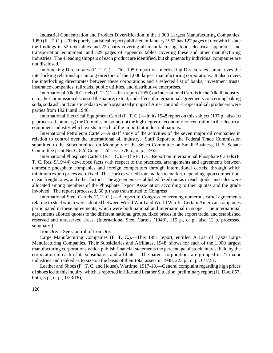Industrial Concentration and Product Diversification in the 1,000 Largest Manufacturing Companies: 1950 (F. T. C.).—This purely statistical report published in January 1957 has 127 pages of text which state the findings in 52 text tables and 22 charts covering all manufacturing, food, electrical apparatus, and transportation equipment, and 529 pages of appendix tables covering these and other manufacturing industries. The 4 leading shippers of each product are identified, but shipments by individual companies are not disclosed.

Interlocking Directorates (F. T. C.).—This 1950 report on Interlocking Directorates summarizes the interlocking relationships among directors of the 1,000 largest manufacturing corporations. It also covers the interlocking directorates between these corporations and a selected list of banks, investment trusts, insurance companies, railroads, public utilities, and distributive enterprises.

International Alkali Cartels (F. T. C.).—In a report (1950) on International Cartels in the Alkali Industry, o. p., the Commission discussed the nature, extent, and effect of international agreements concerning baking soda,soda ash, and caustic soda to which organized groups of American and European alkali producers were parties from 1924 until 1946.

International Electrical Equipment Cartel (F. T. C.).—In its 1948 report on this subject (107 p., also 10 p. processed summary) the Commission points out the high degree of economic concentration in the electrical equipment industry which exists in each of the important industrial nations.

International Petroleum Cartel.—A staff study of the activities of the seven major oil companies in relation to control over the international oil industry. Staff Report to the Federal Trade Commission submitted to the Subcommittee on Monopoly of the Select Committee on Small Business, U. S. Senate Committee print No. 6, 82d Cong.—2d sess. 378 p., o. p., 1952.

International Phosphate Cartels (F. T. C.).—The F. T. C. Report on International Phosphate Cartels (F. T. C. Res. 9/19/44) developed facts with respect to the practices, arrangements and agreements between domestic phosphate companies and foreign competitors through international cartels, through which minimumexport prices were fixed. These prices varied from market to market, depending upon competition, ocean freight rates, and other factors. The agreements established fixed quotas in each grade, and sales were allocated among members of the Phosphate Export Association according to their quotas and the grade involved. The report (processed, 60 p.) was transmitted to Congress

International Steel Cartels (F. T. C.).—A report to Congress concerning numerous cartel agreements relating to steel which were adopted between World War I and World War II. Certain American companies participated in these agreements, which were both national and international in scope. The international agreements allotted quotas to the different national groups, fixed prices in the export trade, and established reserved and unreserved areas. (International Steel Cartels (1948), 115 p., o. p., also 12 p. processed summary.)

Iron Ore.—See Control of Iron Ore.

Large Manufacturing Companies (F. T. C.).—This 1951 report, entitled A List of 1,000 Large Manufacturing Companies, Their Subsidiaries and Affiliates, 1948, shows for each of the 1,000 largest manufacturing corporations which publish financial statements the percentage of stock interest held by the corporation in each of its subsidiaries and affiliates. The parent corporations are grouped in 21 major industries and ranked as to size on the basis of their total assets in 1948, 223 p., o. p., 6/1/,51.

Leather and Shoes (F. T. C. and House), Wartime, 1917-18.—General complaint regarding high prices of shoes led to this inquiry, which is reported in Hide and Leather Situation, preliminary report (H. Doc. 857, 65th, 5 p., o. p., 1/23/18),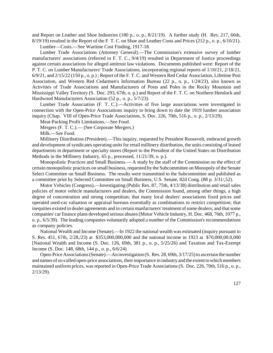and Report on Leather and Shoe Industries (180 p., o. p., 8/21/19). A further study (H. Res. 217, 66th, 8/19/19) resulted in the Report of the F. T. C. on Shoe and Leather Costs and Prices (212 p., o. p., 6/10/21).

Lumber—Costs.—See Wartime Cost Finding, 1917-18.

Lumber Trade Associations (Attorney General).—The Commission's extensive survey of lumber manufacturers' associations (referred to F. T. C., 9/4/19) resulted in Department of Justice proceedings against certain associations for alleged antitrust law violations. Documents published were: Report of the P. T. C. on Lumber Manufacturers' Trade Associations, incorporating regional reports of 1/10/21, 2/18/21, 6/9/21, and 2/15/22 (150 p., o. p.) ; Report of the F. T. C. and Western Red Cedar Association, Lifetime Post Association, and Western Red Cedarmen's Information Bureau (22 p., o. p., 1/24/23), also known as Activities of Trade Associations and Manufacturers of Posts and Poles in the Rocky Mountain and Mississippi Valley Territory (S. Doc. 293, 67th, o. p.) and Report of the F. T. C. on Northern Hemlock and Hardwood Manufacturers Association (52 p., o. p., 5/7/23).

Lumber Trade Association (F. T. C.).—Activities of five large associations were investigated in connection with the Open-Price Associations inquiry to bring down to date the 1919 lumber association inquiry (Chap. VIII of Open-Price Trade Associations, S. Doc. 226, 70th, 516 p., o. p., 2/13/29).

Meat-Packing Profit Limitations.—See Food.

Mergers (F. T. C.).— (See Corporate Mergers.)

Milk.—See Food.

Millinery Distribution (President).—This inquiry, requested by President Roosevelt, embraced growth and development of syndicates operating units for retail millinery distribution, the units consisting of leased departments in department or specialty stores (Report to the President of the United States on Distribution Methods in the Millinery Industry, 65 p., processed, 11/21/39, o. p.).

Monopolistic Practices and Small Business.— A study by the staff of the Commission on the effect of certain monopolistic practices on small business, requested by the Subcommittee on Monopoly of the Senate Select Committee on Small Business. The results were transmitted to the Subcommittee and published as a committee print by Selected Committee on Small Business, U.S. Senate, 82d Cong. (88 p. 3/31/,52).

Motor Vehicles (Congress).—Investigating (Public Res. 87, 75th, 4/13/38) distribution and retail sales policies of motor vehicle manufacturers and dealers, the Commission found, among other things, a high degree of concentration and strong competition; that many local dealers' associations fixed prices and operated used-car valuation or appraisal bureaus essentially as combinations to restrict competition; that inequities existed in dealer agreements and in certain manfacturers' treatment of some dealers; and that some companies' car finance plans developed serious abuses(Motor Vehicle Industry, H. Doc. 468, 76th, 1077 p., o. p., 6/5/39). The leading companies voluntarily adopted a number of the Commission's recommendations as company policies.

National Wealth and Income (Senate).—In 1922 the national wealth was estimated (inquiry pursuant to S. Res. 451, 67th, 2/28,/23) at \$353,000,000,000 and the national income in 1923 at \$70,000,00.0,000 [National Wealth and Income (S. Doc. 126, 69th, 381 p., o. p., 5/25/26) and Taxation and Tax-Exempt Income (S. Doc. 148, 68th, 144 p., o. p., 6/6/24)

Open-Price Associations (Senate).—An investigation (S. Res. 28, 69th,  $3/17/25$ ) to ascertain the number and names of so-called open-price associations, their importance in industry and the extent to which members maintained uniform prices, was reported in Open-Price Trade Associations (S. Doc. 226, 70th, 516 p., o. p., 2/13/29).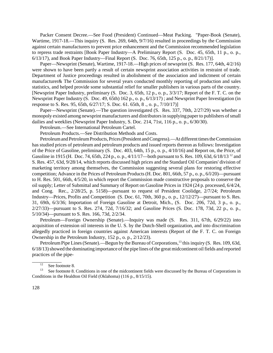Packer Consent Decree.—See Food (President) Continued—Meat Packing. "Paper-Book (Senate), Wartime, 1917-18.—This inquiry (S. Res. 269, 64th, 9/7/16) resulted in proceedings by the Commission against certain manufacturers to prevent price enhancement and the Commission recommended legislation to repress trade restraints [Book Paper Industry—A Preliminary Report (S. Doc. 45, 65th, 11 p., o. p., 6/13/17), and Book Paper Industry—Final Report (S. Doc. 76, 65th, 125 p., o. p., 8/21/17)].

Paper—Newsprint (Senate), Wartime, 1917-18.—High prices of newsprint (S. Res. 177, 64th, 4/2/16) were shown to have been partly a result of certain newsprint association activities in restraint of trade. Department of Justice proceedings resulted in abolishment of the association and indictment of certain manufacturer& The Commission for several years conducted monthly reporting of production and sales statistics, and helped provide some substantial relief for smaller publishers in various parts of the country. [Newsprint Paper Industry, preliminary (S. Doc. 3, 65th, 12 p., o. p., 3/3/17; Report of the F. T. C. on the Newsprint Paper Industry (S. Doc. 49, 65th) 162 p., o. p., 6/13/17) ; and Newsprint Paper Investigation (in response to S. Res. 95, 65th, 6/27/17; S. Doc. 61. 65th, 8 ., o. p., 7/10/17)]

Paper—Newsprint (Senate).—The question investigated (S. Res. 337, 70th, 2/27/29) was whether a monopoly existed among newsprint manufacturers and distributorsin supplying paper to publishers ofsmall dailies and weeklies (Newsprint Paper Industry, S. Doc. 214, 71st, 116 p., o. p., 6/30/30).

Petroleum.—See International Petroleum Cartel.

Petroleum Products.—See Distribution Methods and Costs.

Petroleum and Petroleum Products, Prices (President and Congress).—At different times the Commission has studied prices of petroleum and petroleum products and issued reports thereon as follows: Investigation of the Price of Gasoline, preliminary (S. Doc. 403, 64th, 15 p., o. p., 4/10/16) and Report on, the Price, of Gasoline in 1915 (H. Doc. 74, 65th, 224 p., o. p., 4/11/17—both pursuant to S. Res. 109, 63d, 6/18/13<sup>12</sup> and S. Res. 457, 63d, 9/28/14, which reports discussed high prices and the Standard Oil Companies' division of marketing territory among themselves, the Commission suggesting several plans for restoring effective competition; Advance in the Prices of Petroleum Products(H. Doc. 801, 66th, 57 p., o. p., 6/l/20)—pursuant to H. Res. 501, 66th, 4/5/20, in which report the Commission made constructive proposals to conserve the oil supply; Letter of Submittal and Summary of Report on Gasoline Prices in 1924 (24 p. processed, 6/4/24, and Cong. Rec., 2/28/25, p. 5158)—pursuant to request of President Coolidge, 2/7/24; Petroleum Industry—Prices, Profits and Competition (S. Doc. 61, 70th, 360 p., o. p., 12/12/27)—pursuant to S. Res. 31, 69th, 6/3/36; Importation of Foreign Gasoline at Detroit, Mich., (S. Doc. 206, 72d, 3 p., o. p., 2/27/33)—pursuant to S. Res. 274, 72d, 7/16/32; and Gasoline Prices (S. Doc. 178, 73d, 22 p., o. p., 5/10/34)—pursuant to S. Res. 166, 73d, 2/2/34.

Petroleum—Foreign Ownership (Senate).—Inquiry was made (S. Res. 311, 67th, 6/29/22) into acquisition of extension oil interests in the U. S. by the Dutch-Shell organization, and into discrimination allegedly practiced in foreign countries against American interests (Report of the F. T. C. on Foreign Ownership in the Petroleum Industry, 152 p., o. p., 2/12/23).

Petroleum Pipe Lines (Senate).—Begun by the Bureau of Corporations,<sup>13</sup> this inquiry (S. Res. 109, 63d, 6/18/13) showed the dominating importance of the pipe lines of the great midcontinent oil fields and reported practices of the pipe-

\_\_\_\_\_\_\_\_\_\_\_\_

<sup>13</sup> See footnote 8. Conditions in one of the midcontinent fields were discussed by the Bureau of Corporations in Conditions in the Healdton Oil Field (Oklahoma) (116 p., 8/15/15).

 $\frac{12}{13}$  See footnote 8.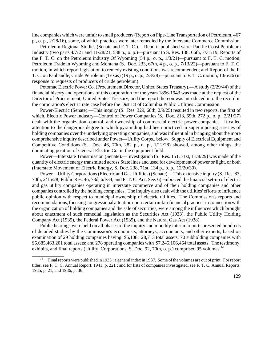line companies which were unfair to small producers (Report on Pipe-Line Transportation of Petroleum, 467) p., o. p., 2/28/16), some, of which practices were later remedied by the Interstate Commerce Commission.

Petroleum-Regional Studies (Senate and F. T. C.).—Reports published were: Pacific Coast Petroleum Industry (two parts 4/7/21 and 11/28/21, 538 p., o. p.)—pursuant to S. Res. 138, 66th, 7/31/19; Reports of the F. T. C. on the Petroleum industry Of Wyoming (54 p., o. p., 1/3/21)—pursuant to F. T. C. motion; Petroleum Trade in Wyoming and Montana (S. Doc. 233, 67th, 4 p., o. p., 7/13/22)—pursuant to F. T. C. motion, in which report legislation to remedy existing conditions was recommended; and Report of the F. T. C. on Panhandle, Crude Petroleum (Texas) (19 p., o. p., 2/3/28)—pursuant to F. T. C. motion, 10/6/26 (in response to requests of producers of crude petroleum).

Potomac Electric Power Co. (Procurement Director, United States Treasury).—A study (2/29/44) of the financial history and operations of this corporation for the years 1896-1943 was made at the request of the Director of Procurement, United States Treasury, and the report thereon was introduced into the record in the corporation's electric rate case before the District of Columbia Public Utilities Commission.

Power-Electric (Senate).—This inquiry (S. Res. 329, 68th, 2/9/25) resulted in two reports, the first of which, Electric Power Industry—Control of Power Companies (S. Doc. 213, 69th, 272 p., o. p., 2/21/27) dealt with the organization, control, and ownership of commercial electric-power companies. It called attention to the dangerous degree to which pyramiding had been practiced in superimposing a series of holding companies over the underlying operating companies, and was influential in bringing about the more comprehensive inquiry described under Power—Utility Corps., below. Supply of Electrical Equipment and Competitive Conditions (S. Doc. 46, 70th, 282 p., o. p., 1/12/28) showed, among other things, the dominating position of General Electric Co. in the equipment field.

Power—Interstate Transmission (Senate).—Investigation (S. Res. 151, 71st, 11/8/29) was made of the quantity of electric energy transmitted across State lines and used for development of power or light, or both (Interstate Movement of Electric Energy, S. Doc. 238, 71st, 134 p., o. p., 12/20/30).

Power—UtilityCorporations(Electric and Gas Utilities) (Senate).—This extensive inquiry (S. Res. 83, 70th, 2/15/28; Public Res. 46, 73d, 6/l/34; and F. T. C. Act, See. 6) embraced the financial set-up of electric and gas utility companies operating in interstate commerce and of their holding companies and other companies controlled by the holding companies. The inquiry also dealt with the utilities' efforts to influence public opinion with respect to municipal ownership of electric utilities. The Commission's reports and recommendations, focusing congressional attention upon certain unfair financial practices in connection with the organization of holding companies and the sale of securities, were among the influences which brought about enactment of such remedial legislation as the Securities Act (1933), the Public Utility Holding Company Act (1935), the Federal Power Act (1935), and the Natural Gas Act (1938).

Public hearings were held on all phases of the inquiry and monthly interim reports presented hundreds of detailed studies by the Commission's economists, attorneys, accountants, and other experts, based on examination of 29 holding companies having \$6,108,128,713 total assets; 70 subholding companies with \$5,685,463,201 total assets; and 278 operating companies with \$7,245,106,464 total assets. The testimony, exhibits, and final reports (Utility Corporations, S. Doc. 92, 70th, o. p.) comprised 95 volumes.<sup>14</sup>

\_\_\_\_\_\_\_\_\_\_\_\_\_

<sup>14</sup> Final reports were published in 1935 ; a general index in 1937. Some of the volumes are out of print. For report titles, see F. T. C. Annual Report, 1941, p. 221 ; and for lists of companies investigated, see F. T. C. Annual Reports, 1935, p. 21, and 1936, p. 36.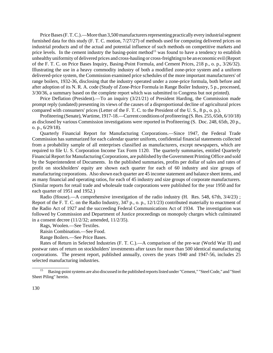Price Bases (F.T.C.).—More than 3,500 manufacturers representing practically every industrial segment furnished data for this study (F. T. C. motion, 7/27/27) of methods used for computing delivered prices on industrial products and of the actual and potential influence of such methods on competitive markets and price levels. In the cement industry the basing-point method<sup>15</sup> was found to have a tendency to establish unhealthy uniformity of delivered prices and cross-hauling or cross-freighting to be an economic evil(Report of the F. T. C. on Price Bases Inquiry, Basing-Point Formula, and Cement Prices, 218 p., o. p., 3/26/32). Illustrating the use in a heavy commodity industry of both a modified zone-price system and a uniform delivered-price system, the Commission examined price schedules of the more important manufacturers' of range boilers, 1932-36, disclosing that the industry operated under a zone-price formula, both before and after adoption of its N. R. A. code (Study of Zone-Price Formula in Range Boiler Industry, 5 p., processed, 3/30/36, a summary based on the complete report which was submitted to Congress but not printed).

Price Deflation (President).—To an inquiry (3/21/21) of President Harding, the Commission made prompt reply (undated) presenting its views of the causes of a disproportional decline of agricultural prices compared with consumers' prices (Letter of the F. T. C. to the President of the U. S., 8 p., o. p.).

Profiteering (Senate), Wartime, 1917-18.—Current conditions of profiteering (S. Res. 255, 65th, 6/10/18) as disclosed by various Commission investigations were reported in Profiteering (S. Doc. 248, 65th, 20 p., o. p., 6/29/18).

Quarterly Financial Report for Manufacturing Corporations.—Since 1947, the Federal Trade Commission has summarized for each calendar quarter uniform, confidential financial statements collected from a probability sample of all enterprises classified as manufacturers, except newspapers, which are required to file U. S. Corporation Income Tax Form 1120. The quarterly summaries, entitled Quarterly Financial Report for Manufacturing Corporations, are published by the Government Printing Office and sold by the Superintendent of Documents. In the published summaries, profits per dollar of sales and rates of profit on stockholders' equity are shown each quarter for each of 60 industry and size groups of manufacturing corporations. Also shown each quarter are 45 income statement and balance sheet items, and as many financial and operating ratios, for each of 45 industry and size groups of corporate manufacturers. (Similar reports for retail trade and wholesale trade corporations were published for the year 1950 and for each quarter of 1951 and 1952.)

Radio (House).—A comprehensive investigation of the radio industry (H. Res. 548, 67th, 3/4/23); Report of the F. T. C. on the Radio Industry, 347 p., o. p., 12/1/23) contributed materially to enactment of the Radio Act of 1927 and the succeeding Federal Communications Act of 1934. The investigation was followed by Commission and Department of Justice proceedings on monopoly charges which culminated in a consent decree (11/2/32; amended, 11/2/35).

Rags, Woolen.—See Textiles.

Raisin Combination.—See Food.

Range Boilers.—See Price Bases.

Rates of Return in Selected Industries (F. T. C.).—A comparison of the pre-war (World War II) and postwar rates of return on stockholders' investments after taxes for more than 500 identical manufacturing corporations. The present report, published annually, covers the years 1940 and 1947-56, includes 25 selected manufacturing industries.

\_\_\_\_\_\_\_\_\_\_\_\_\_\_\_

<sup>15</sup> Basing-pointsystems are also discussed in the published reports listed under "Cement," "Steel Code," and "Steel Sheet Piling" herein.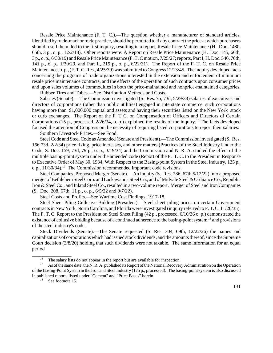Resale Price Maintenance (F. T. C.).—The question whether a manufacturer of standard articles, identified by trade-mark or trade practice, should be permitted to fix by contract the price at which purchasers should resell them, led to the first inquiry, resulting in a report, Resale Price Maintenance (H. Doc. 1480, 65th, 3 p., o. p., 12/2/18). Other reports were: A Report on Resale Price Maintenance (H. Doc. 145, 66th, 3 p., o. p., 6/30/19) and Resale Price Maintenance (F. T. C motion, 7/25/27; reports, Part I, H. Doc. 546, 70th, 141 p., o. p., 1/30/29, and Part II, 215 p., o. p., 6/22/31). The Report of the F. T. C. on Resale Price Maintenance, o. p., (F. T. C. Res., 4/25/39) was submitted to Congress 12/13/45. The inquiry developed facts concerning the programs of trade organizations interested in the extension and enforcement of minimum resale price maintenance contracts, and the effects of the operation of such contracts upon consumer prices and upon sales volumes of commodities in both the price-maintained and nonprice-maintained categories.

Rubber Tires and Tubes.—See Distribution Methods and Costs.

Salaries (Senate).—The Commission investigated (S. Res. 75, 73d, 5/29/33) salaries of executives and directors of corporations (other than public utilities) engaged in interstate commerce, such corporations having more than \$1,000,000 capital and assets and having their securities listed on the New York stock or curb exchanges. The Report of the F. T C. on Compensation of Officers and Directors of Certain Corporations (15 p., processed,  $2/26/34$ , o. p.) explained the results of the inquiry.<sup>16</sup> The facts developed focused the attention of Congress on the necessity of requiring listed corporations to report their salaries.

Southern Livestock Prices.—See Food.

SteelCode and SteelCode as Amended (Senate and President).—TheCommission investigated (S. Res. 166 73d, 2/2/34) price fixing, price increases, and other matters (Practices of the Steel Industry Under the Code, S. Doc. 159, 73d, 79 p., o. p., 3/19/34) and the Commission and N. R. A. studied the effect of the multiple basing-point system under the amended code (Report of the F. T. C. to the President in Response to Executive Order of May 30, 1934, With Respect to the Basing-point System in the Steel Industry, 125 p., o p., 11/30/34).<sup>17</sup> The Commission recommended important code revisions.

Steel Companies, Proposed Merger (Senate).—An inquiry (S. Res. 286, 67th 5/12/22) into a proposed merger of Bethlehem Steel Corp. and Lackawanna Steel Co., and of Midvale Steel & Ordnance Co., Republic Iron & Steel Co., and Inland Steel Co., resulted in a two-volume report. Merger of Steel and Iron Companies (S. Doc. 208, 67th, 11 p., o. p., 6/5/22 and 9/7/22).

Steel Costs and Profits.—See Wartime Cost Findings, 1917-18.

Steel Sheet Piling-Collusive Bidding (President).—Steel sheet piling prices on certain Government contracts in New York, North Carolina, and Florida were investigated (inquiry referred to F. T. C. 11/20/35). The F. T. C. Report to the President on Steel Sheet Piling (42 p., processed, 6/10/36 o. p.) demonstrated the existence of collusive bidding because of a continued adherence to the basing-point system <sup>18</sup> and provisions of the steel industry's code.

Stock Dividends (Senate).—The Senate requested (S. Res. 304, 69th, 12/22/26) the names and capitalizations of corporations which had issued stock dividends, and the amounts thereof, since the Supreme Court decision (3/8/20) holding that such dividends were not taxable. The same information for an equal period

\_\_\_\_\_\_\_\_\_\_\_\_\_\_\_\_

<sup>&</sup>lt;sup>16</sup> The salary lists do not appear in the report but are available for inspection.

As of the same date, the N.R. A. published its Report of the National Recovery Administration on the Operation of the Basing-Point System in the Iron and Steel Industry (175 p., processed). The basing-point system is also discussed in published reports listed under "Cement" and "Price Bases" herein.

See footnote 15.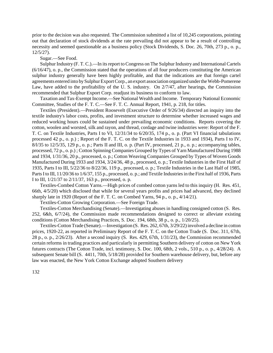prior to the decision was also requested. The Commission submitted a list of 10,245 corporations, pointing out that declaration of stock dividends at the rate prevailing did not appear to be a result of controlling necessity and seemed questionable as a business policy (Stock Dividends, S. Doc. 26, 70th, 273 p., o. p., 12/5/27).

Sugar.—See Food.

Sulphur Industry (F. T. C.).—In its report to Congress on The Sulphur Industry and International Cartels (6/16/47), o. p., the Commission stated that the operations of all four producers constituting the American sulphur industry generally have been highly profitable, and that the indications are that foreign cartel agreements entered into by Sulphur Export Corp., an export association organized under the Webb-Pomerene Law, have added to the profitability of the U. S. industry. On 2/7/47, after hearings, the Commission recommended that Sulphur Export Corp. readjust its business to conform to law.

Taxation and Tax-Exempt Income.—See National Wealth and Income. Temporary National Economic Committee, Studies of the F. T. C.—See F. T. C. Annual Report, 1941, p. 218, for titles.

Textiles (President).—President Roosevelt (Executive Order of 9/26/34) directed an inquiry into the textile industry's labor costs, profits, and investment structure to determine whether increased wages and reduced working hours could be sustained under prevailing economic conditions. Reports covering the cotton, woolen and worsted, silk and rayon, and thread, cordage and twine industries were: Report of the F. T. C. on Textile Industries, Parts I to VI, 12/31/34 to 6/20/35, 174 p., o. p. (Part VI financial tabulations processed 42 p., o. p.) ; Report of the F. T. C. on the Textile Industries in 1933 and 1934), Parts I to IV, 8/l/35 to 12/5/35, 129 p., o. p.; Parts II and III, o. p. (Part IV, processed, 21 p., o. p.; accompanying tables, processed, 72 p., o. p.) ; Cotton Spinning Companies Grouped by Types of Yarn Manufactured During 1988 and 1934, 1/31/36, 20 p., processed, o. p.; Cotton Weaving Companies Grouped by Types of Woven Goods Manufactured During 1933 and 1934, 3/24/36, 48 p., processed, o. p.; Textile Industries in the First Half of 1935, Parts I to III, 5/22/36 to 8/22/36, 119 p., processed, o. p.; Textile Industries in the Last Half of 1985, Parts I to III, 11/20/36 to 1/6/37, 155 p., processed, o. p.; and Textile Industries in the First half of 1936, Parts I to III, 1/21/37 to 2/11/37, 163 p., processed, o. p.

Textiles-Combed Cotton Yarns.—High prices of combed cotton yarns led to this inquiry (H. Res. 451, 66th, 4/5/20) which disclosed that while for several years profits and prices had advanced, they declined sharply late in 1920 (Report of the F. T. C. on Combed Yarns, 94 p., o. p., 4/14/21).

Textiles-Cotton Growing Corporation.—See Foreign Trade.

Textiles-Cotton Merchandising (Senate).—Investigating abuses in handling consigned cotton (S. Res. 252, 6&h, 6/7/24), the Commission made recommendations designed to correct or alleviate existing conditions (Cotton Merchandising Practices, S. Doc. 194, 68th, 38 p., o. p., 1/20/25).

Textiles-Cotton Trade (Senate).—Investigation (S. Res. 262, 67th, 3/29/22) involved a decline in cotton prices, 1920-22, as reported in Preliminary Report of the F. T. C. on the Cotton Trade (S. Doc. 311, 67th, 28 p., o. p., 2/26/23). After a second inquiry (S. Res. 429, 67th, 1/31/23), the Commission recommended certain reforms in trading practices and particularly in permitting Southern delivery of cotton on New York futures contracts (The Cotton Trade, incl. testimony, S. Doc. 100, 68th, 2 vols., 510 p., o. p., 4/28/24). A subsequent Senate bill (S. 4411, 70th, 5/18/28) provided for Southern warehouse delivery, but, before any law was enacted, the New York Cotton Exchange adopted Southern delivery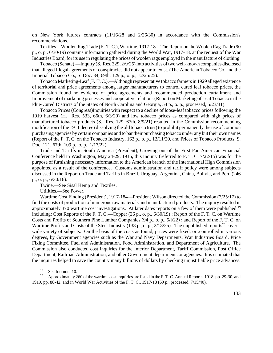on New York futures contracts (11/16/28 and 2/26/30) in accordance with the Commission's recommendations.

Textiles—Woolen Rag Trade (F. T. C.), Wartime, 1917-18—The Report on the Woolen Rag Trade (90 p., o. p., 6/30/19) contains information gathered during the World War, 1917-18, at the request of the War Industries Board, for its use in regulating the prices of woolen rags employed in the manufacture of clothing.

Tobacco (Senate).—Inquiry (S. Res. 329, 2/9/25) into activities of two well-known companies disclosed that alleged Illegal agreements or conspiracies did not appear to exist. (The American Tobacco Co. and the Imperial Tobacco Co., S. Doc. 34, 69th, 129 p., o. p., 12/25/25).

TobaccoMarketing-Leaf(F. T. C.).—Although representative tobacco farmers in 1929 alleged existence of territorial and price agreements among larger manufacturers to control cured leaf tobacco prices, the Commission found no evidence of price agreements and recommended production curtailment and Improvement of marketing processes and cooperative relations(Report on Marketing of Leaf Tobacco in the Flue-Cured Districts of the States of North Carolina and Georgia, 54 p., o. p., processed, 5/23/31).

Tobacco Prices (Congress)Inquiries with respect to a decline of loose-leaf tobacco prices following the 1919 harvest (H. Res. 533, 66th, 6/3/20) and low tobacco prices as compared with high prices of manufactured tobacco products (S. Res. 129, 67th, 8/9/21) resulted in the Commission recommending modification of the 1911 decree (dissolving the old tobacco trust) to prohibit permanently the use of common purchasing agencies by certain companies and to bartheir purchasing tobacco under any but their own names (Report of the F. T. C. on the Tobacco Industry, 162 p., o. p., 12/11/20, and Prices of Tobacco Products, S. Doc. 121, 67th, 109 p., o. p., 1/17/22).

Trade and Tariffs in South America (President),-Growing out of the First Pan-American Financial Conference held in Washington, May 24-29, 1915, this inquiry (referred to F. T. C. 7/22/15) was for the purpose of furnishing necessary information to the American branch of the International High Commission appointed as a result of the conference. Customs administration and tariff policy were among subjects discussed in the Report on Trade and Tariffs in Brazil, Uruguay, Argentina, China, Bolivia, and Peru (246 p., o. p., 6/30/16).

Twine.—See Sisal Hemp and Textiles.

Utilities.—See Power.

Wartime Cost Finding (President), 1917-184—President Wilson directed the Commission (7/25/17) to find the costs of production of numerous raw materials and manufactured products. The inquiry resulted in approximately 370 wartime cost investigations. At later dates reports on a few of them were published.<sup>19</sup> including: Cost Reports of the F. T. C.—Copper (26 p., o. p., 6/30/19) ; Report of the F. T. C. on Wartime Costs and Profits of Southern Pine Lumber Companies (94 p., o. p., 5/l/22) ; and Report of the F. T. C. on Wartime Profits and Costs of the Steel Industry (138 p., o. p., 2/18/25). The unpublished reports<sup>20</sup> cover a wide variety of subjects. On the basis of the costs as found, prices were fixed, or .controlled in various degrees, by Government agencies such as the War and Navy Departments, War Industries Board, Price Fixing Committee, Fuel and Administration, Food Administration, and Department of Agriculture. The Commission also conducted cost inquiries for the Interior Department, Tariff Commission, Post Office Department, Railroad Administration, and other Government departments or agencies. It is estimated that the inquiries helped to save the country many billions of dollars by checking unjustifiable price advances.

\_\_\_\_\_\_\_\_\_\_\_\_\_\_\_\_

 $\frac{19}{20}$  See footnote 10.

<sup>20</sup> Approximately 260 of the wartime cost inquiries are listed in the F. T. C. Annual Reports, 1918, pp. 29-30, and 1919, pp. 88-42, and in World War Activities of the F. T. C., 1917-18 (69 p., processed, 7/15/40).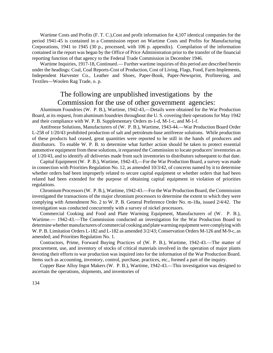Wartime Costs and Profits (F. T. C.),Cost and profit information for 4,107 identical companies for the period 1941-45 is contained in a Commission report on Wartime Costs and Profits for Manufacturing Corporations, 1941 to 1945 (30 p., processed, with 106 p. appendix). Compilation of the information contained in the report was began by the Office of Price Administration prior to the transfer of the financial reporting function of that agency to the Federal Trade Commission in December 1946.

Wartime Inquiries, 1917-18, Continued.— Further wartime inquiries of this period are described herein under the headings: Coal, Coal Reports-Cost of Production, Cost of Living, Flags, Food, Farm Implements, Independent Harvester Co., Leather and Shoes, Paper-Book, Paper-Newsprint, Profiteering, and Textiles—Woolen Rag Trade, o. p.

# The following are unpublished investigations by the Commission for the use of other government agencies:

Aluminum Foundries (W. P. B.), Wartime, 1942-43,—Details were obtained for the War Production Board, at its request, from aluminum foundries throughout the U. S. covering their operations for May 1942 and their compliance with W. P. B. Supplementary Orders m-1-d, M-1-c, and M-1-f.

Antifreeze Solutions, Manufacturers of (W. P. B.), Wartime, 1943-44.—War Production Board Order L-258 of 1/20/43 prohibited production of salt and petroleum-base antifreeze solutions. While production of these products had ceased, great quantities were reported to be still in the hands of producers and distributors. To enable W. P. B. to determine what further action should be taken to protect essential automotive equipment from these solutions, it requested the Commission to locate producers' inventories as of 1/20/43, and to identify all deliveries made from such inventories to distributors subsequent to that date.

Capital Equipment (W. P. B.), Wartime, 1942-43,—For the War Production Board, a survey was made in connection with Priorities Regulation No. 12, as amended 10/3/42, of concerns named by it to determine whether orders bad been improperly related to secure capital equipment or whether orders that had been related had been extended for the purpose of obtaining capital equipment in violation of priorities regulations.

ChromiumProcessors(W. P. B.), Wartime, 1942-43.—For the War Production Board, the Commission investigated the transactions of the major chromium processors to determine the extent to which they were complying with Amendment No. 2 to W. P. B. General Preference Order No. m-18a, issued 2/4/42. The investigation was conducted concurrently with a survey of nickel processors.

Commercial Cooking and Food and Plate Warming Equipment, Manufacturers of (W. P. B.), Wartime.— 1942-43.—The Commission conducted an investigation for the War Production Board to determine whether manufacturers of commercial cooking and plate warming equipment were complying with W. P. B. Limitation Orders L-182 and L-182 as amended 3/2/43; Conservation Orders M-126 and M-9-c, as amended; and Priorities Regulation No. 1.

Contractors, Prime, Forward Buying Practices of (W. P. B.), Wartime, 1942-43.—The matter of procurement, use, and inventory of stocks of critical materials involved in the operation of major plants devoting their efforts to war production was inquired into for the information of the War Production Board. Items such as accounting, inventory, control, purchase, practices, etc., formed a part of the inquiry.

Copper Base Alloy Ingot Makers (W. P. B.), Wartime, 1942-43.—This investigation was designed to ascertain the operations, shipments, and inventories of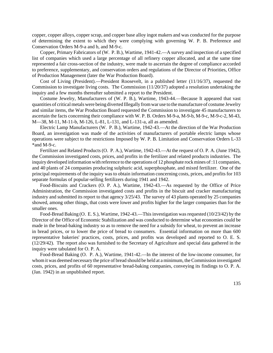copper, copper alloys, copper scrap, and copper base alloy ingot makers and was conducted for the purpose of determining the extent to which they were complying with governing W. P. B. Preference and Conservation Orders M-9-a and b, and M-9-c.

Copper, Primary Fabricators of (W. P. B.), Wartime, 1941-42.—A survey and inspection of a specified list of companies which used a large percentage of all refinery copper allocated, and at the same time represented a fair cross-section of the industry, were made to ascertain the degree of compliance accorded to preference, supplementary, and conservation orders and regulations of the Director of Priorities, Office of Production Management (later the War Production Board).

Cost of Living (President).—President Roosevelt, in a published letter (11/16/37), requested the Commission to investigate living costs. The Commission (11/20/37) adopted a resolution undertaking the inquiry and a few months thereafter submitted a report to the President.

Costume Jewelry, Manufacturers of (W. P. B.), Wartime, 1943-44.—Because It appeared that vast quantities of critical metals were being diverted Illegally from war use to the manufacture of costume Jewelry and similar items, the War Production Board requested the Commission to investigate 45 manufacturers to ascertain the facts concerning their compliance with W. P. B. Orders M-9-a, M-9-b, M-9-c, M-9-c-2, M-43, M—38, M-11, M-11-b, M-126, L-81, L-131, and L-131-a, all as amended.

Electric Lamp Manufacturers (W. P. B.), Wartime, 1942-43.—At the direction of the War Production Board, an investigation was made of the activities of manufacturers of portable electric lamps whose operations were subject to the restrictions Imposed by W. P. B. Limitation and Conservation Orders L-33 \*and M-9-c.

Fertilizer and Related Products (O. P. A.), Wartime, 1942-43.—At the request of O. P. A. (June 1942), the Commission investigated costs, prices, and profits in the fertilizer and related products industries. The inquiry developed information with reference to the operations of 12 phosphate rock mines of:11 companies, and 40 plants of 24 companies producing sulphuric acid, superphosphate, and mixed fertilizer. One of the principal requirements of the inquiry was to obtain information concerning costs, prices, and profits for 103 separate formulas of popular-selling fertilizers during 1941 and 1942.

Food-Biscuits and Crackers (O. P. A.), Wartime, 1942-43.—As requested by the Office of Price Administration, the Commission investigated costs and profits in the biscuit and cracker manufacturing industry and submitted its report to that agency 3/25/43. The survey of 43 plants operated by 25 companies showed, among other things, that costs were lower and profits higher for the larger companies than for the smaller ones.

Food-Bread Baking (O. E. S.), Wartime, 1942-43.—This investigation was requested (10/23/42) by the Director of the Office of Economic Stabilization and was conducted to determine what economies could be made in the bread-baking industry so as to remove the need for a subsidy for wheat, to prevent an increase in bread prices, or to lower the price of bread to consumers. Essential information on more than 600 representative bakeries' practices, costs, prices, and profits was developed and reported to O. E. S. (12/29/42). The report also was furnished to the Secretary of Agriculture and special data gathered in the inquiry were tabulated for O. P. A.

Food-Bread Baking (O. P. A.), Wartime, 1941-42.—In the interest of the low-income consumer, for whom it was deemed necessary the price of bread should be held at a minimum, the Commission investigated costs, prices, and profits of 60 representative bread-baking companies, conveying its findings to O. P. A. (Jan. 1942) in an unpublished report.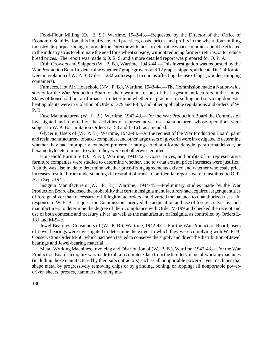Food-Flour Milling (O. E. S.), Wartime, 1942-43.—Requested by the Director of the Office of Economic Stabilization, this inquiry covered practices, costs, prices, and profits in the wheat flour-milling industry, Its purpose being to provide the Director with facts to determine what economies could be effected in the industry so as to eliminate the need for a wheat subsidy, without reducing farmers' returns, or to reduce bread prices. The report was made to 0. E. S. and a more detailed report was prepared for O. P. A.

Fruit Growers and Shippers (W. P. B.), Wartime, 1943-44.—This investigation was requested by the War Production Board to determine whether 7 grape growers and 12 grape shippers, all located in California, were in violation of W. P. B. Order L-232 with respect to quotas affecting the use of lugs (wooden shipping containers).

Furnaces, Hot Air, Household (NV. P. B.), Wartime, 1943-44.—The Commission made a Nation-wide survey for the War Production Board of the operations of one of the largest manufacturers in the United States of household hot air furnaces, to determine whether its practices in selling and servicing domestic heating plants were in violation of Orders L-79 and P-84, and other applicable regulations and orders of W. P. B.

Fuse Manufacturers (W. P. B.), Wartime, 1942-43.—For the War Production Board the Commission investigated and reported on the activities of representative fuse manufacturers whose operations were subject to W. P. B. Limitation Orders L-158 and L-161, as amended.

Glycerin, Users of (W. P. B.), Wartime, 1942-43.—At the request of the War Production Board, paint and resin manufacturers, tobacco companies, and other large users of glycerin were investigated to determine whether they had improperly extended preference ratings to obtain formaldehyde, paraformaldehyde, or hexamethylenetetramine, to which they were not otherwise entitled.

Household Furniture (O. P. A.), Wartime, 1941-42.—Costs, prices, and profits of 67 representative furniture companies were studied to determine whether, and to what extent, price increases were justified. A study was also made to determine whether price-fixing agreements existed and whether wholesale price increases resulted from understandings in restraint of trade. Confidential reports were transmitted to O. P. A. in Sept. 1941.

Insignia Manufacturers (W. P. B.), Wartime, 1944-45.—Preliminary studies made by the War Production Board disclosed the probability that certain Insignia manufacturers had acquired larger quantities of foreign silver than necessary to fill legitimate orders and diverted the balance to unauthorized uses. In response to W. P. B.'s request the Commission surveyed the acquisition and use of foreign. silver by such manufacturers to determine the degree of their compliance with Order M-199 and checked the receipt and use of both domestic and treasury silver, as well as the manufacture of Insignia, as controlled by Orders L-131 and M-9--c.

Jewel Bearings, Consumers of (W. P. B.), Wartime, 1942-43.—For the War Production Board, users of Jewel bearings were investigated to determine the extent to which they were complying with W. P. B. Conservation Order M-50, which had been Issued to conserve the supply and direct the distribution of Jewel bearings and Jewel-bearing material.

Metal-Working Machines, Invoicing and Distribution of (W. P. B.), Wartime, 1942-43.—For the War Production Board an inquiry was made to obtain complete data fromthe builders of metal-working machines (including those manufactured by their subcontractors) such as all nonportable power-driven machines that shape metal by progressively removing chips or by grinding, boning, or lopping; all nonportable powerdriven shears, presses, hammers, bending ma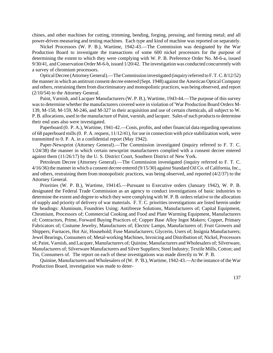chines, and other machines for cutting, trimming, bending, forging, pressing, and forming metal; and all power-driven measuring and testing machines. Each type and kind of machine was reported on separately.

Nickel Processors (W. P. B.), Wartime, 1942-43.—The Commission was designated by the War Production Board to investigate the transactions of some 600 nickel processors for the purpose of determining the extent to which they were complying with W. P. B. Preference Order No. M-6-a, issued 9/30/41, and Conservation Order M-6-b, issued 1/20/42. The investigation was conducted concurrently with a survey of chromium processors.

Optical Decree (Attorney General).—The Commission investigated (inquiry referred to F.T.C. 8/12/52) the manner in which an antitrust consent decree entered (Sept. 1948) against the American Optical Company and others, restraining them from discriminatory and monopolistic practices, was being observed, and report (2/10/54) to the Attorney General.

Paint, Varnish, and Lacquer Manufacturers (W. P. B.), Wartime, 1943-44.—The purpose of this survey was to determine whether the manufacturers covered were in violation of 'War Production Board Orders M-139, M-150, M-159, M-246, and M-327 in their acquisition and use of certain chemicals, all subject to W. P. B. allocations, used in the manufacture of Paint, varnish, and lacquer. Sales of such products to determine their end uses also were investigated.

Paperboard (0. P. A.), Wartime, 1941-42.—Costs, profits, and other financial data regarding operations of 68 paperboard mills(0. P. A. request, 11/12/41), for use in connection with price stabilization work, were transmitted to 0. P. A. in a confidential report (May 1942).

Paper-Newsprint (Attorney General).—The Commission investigated (inquiry referred to F. T. C. 1/24/38) the manner in which certain newsprint manufacturers complied with a consent decree entered against them (11/26/17) by the U. S. District Court, Southern District of New York.

Petroleum Decree (Attorney General).—The Commission investigated (inquiry referred to F. T. C. 4/16/36) the manner in which a consent decree entered (9/15/30) against Standard Oil Co. of California, Inc., and others, restraining them from monopolistic practices, was being observed, and reported (4/2/37) to the Attorney General.

Priorities (W. P. B.), Wartime, 194145.—Pursuant to Executive orders (January 1942), W. P. B. designated the Federal Trade Commission as an agency to conduct investigations of basic industries to determine the extent and degree to which they were complying with W. P. B. orders relative to the allocation of supply and priority of delivery of war materials. F. T. C. priorities investigations are listed herein under the headings: Aluminum, Foundries Using; Antifreeze Solutions, Manufacturers of; Capital Equipment, Chromium, Processors of; Commercial Cooking and Food and Plate Warming Equipment, Manufacturers of; Contractors, Prime, Forward Buying Practices of; Copper Base Alloy Ingot Makers; Copper, Primary Fabricators of; Costume Jewelry, Manufactures of; Electric Lamps, Manufacturers of; Fruit Growers and Shippers; Furnaces, Hot Air, Household; Fuse Manufacturers; Glycerin, Users of; Insignia Manufacturers; Jewel Bearings, Consumers of; Metal-working Machines, Invoicing and Distribution of; Nickel, Processors of; Paint, Varnish, and Lacquer, Manufacturers of; Quinine, Manufacturers and Wholesalers of; Silverware, Manufacturers of; Silverware Manufacturers and Silver Suppliers; Steel Industry; Textile Mills, Cotton; and Tin, Consumers of. The report on each of these investigations was made directly to W. P. B.

Quinine, Manufacturers and Wholesalers of (W. P. 'B.), Wartime, 1942-43.—At the instance of the War Production Board, investigation was made to deter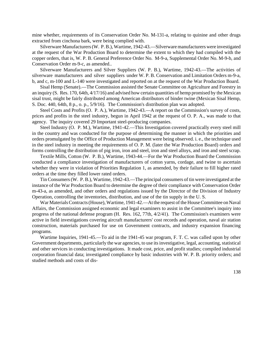mine whether, requirements of its Conservation Order No. M-131-a, relating to quinine and other drugs extracted from cinchona bark, were being complied with.

Silverware Manufacturers(W. P. B.), Wartime, 1942-43.—Silverware manufacturers were investigated at the request of the War Production Board to determine the extent to which they had compiled with the copper orders, that is, W. P. B. General Preference Order No. M-9-a, Supplemental Order No. M-9-b, and Conservation Order m-9-c, as amended..

Silverware Manufacturers and Silver Suppliers (W. P. B.), Wartime, 1942-43.—The activities of silverware manufacturers and silver suppliers under W. P. B. Conservation and Limitation Orders m-9-a, b, and c, m-100 and L-140 were investigated and reported on at the request of the War Production Board.

Sisal Hemp (Senate).—The Commission assisted the Senate Committee on Agriculture and Forestry in an inquiry (S. Res. 170, 64th, 4/17/16) and advised how certain quantities of hemp promised by the Mexican sisal trust, might be fairly distributed among American distributors of binder twine (Mexican Sisal Hemp, S. Doc. 440, 64th, 8 p., o. p., 5/9/16). The Commission's distribution plan was adopted.

Steel Costs and Profits (O. P. A.), Wartime, 1942-43.—A report on the Commission's survey of costs, prices and profits in the steel industry, begun in April 1942 at the request of O. P. A., was made to that agency. The inquiry covered 29 Important steel-producing companies.

Steel Industry (O. P. M.), Wartime, 1941-42.—This Investigation covered practically every steel mill in the country and was conducted for the purpose of determining the manner in which the priorities and orders promulgated by the Office of Production Management were being observed. i. e., the technique used in the steel industry in meeting the requirements of O. P. M. (later the War Production Board) orders and forms controlling the distribution of pig iron, iron and steel, iron and steel alloys, and iron and steel scrap.

Textile Mills, Cotton (W. P. B.), Wartime, 1943-44.—For the War Production Board the Commission conducted a compliance investigation of manufacturers of cotton yarns, cordage, and twine to ascertain whether they were in violation of Priorities Regulation 1, as amended, by their failure to fill higher rated orders at the time they filled lower rated orders.

Tin Consumers(W. P. B.), Wartime, 1942-43.—The principal consumers of tin were investigated at the instance of the War Production Board to determine the degree of their compliance with Conservation Order m-43-a, as amended, and other orders and regulations issued by the Director of the Division of Industry Operation, controlling the inventories, distribution, and use of the tin supply in the U. S.

War Materials Contracts (House), Wartime, 1941-42.—At the request of the House Committee on Naval Affairs, the Commission assigned economic and legal examiners to assist in the Committee's inquiry into progress of the national defense program (H. Res. 162, 77th, 4/2/41). The Commission's examiners were active in field investigations covering aircraft manufacturers' cost records and operation, naval air station construction, materials purchased for use on Government contracts, and industry expansion financing programs.

Wartime Inquiries, 1941-45.—To aid in the 1941-45 war program, F. T. C. was called upon by other Government departments, particularly the war agencies, to use itsinvestigative, legal, accounting, statistical and other services in conducting investigations. It made cost, price, and profit studies; compiled industrial corporation financial data; investigated compliance by basic industries with W. P. B. priority orders; and studied methods and costs of dis